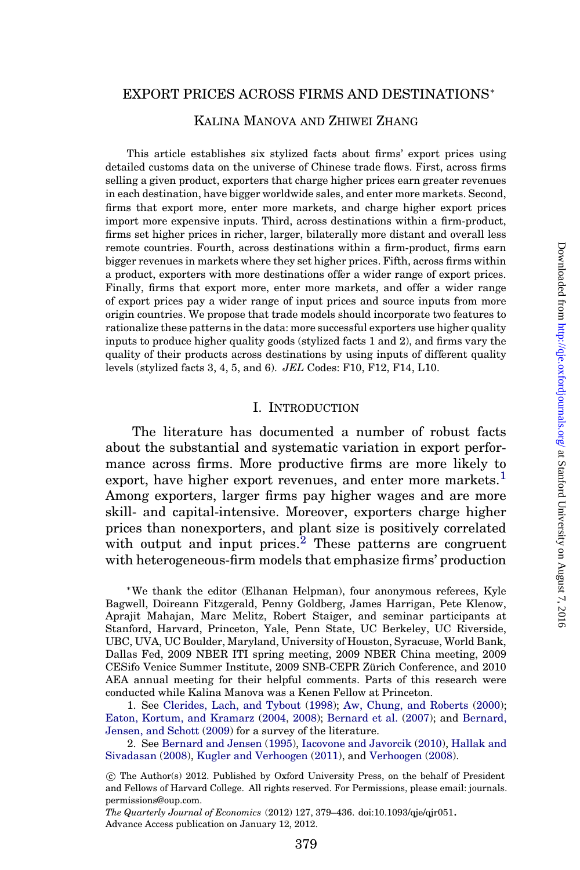### EXPORT PRICES ACROSS FIRMS AND DESTINATIONS∗

### KALINA MANOVA AND ZHIWEI ZHANG

This article establishes six stylized facts about firms' export prices using detailed customs data on the universe of Chinese trade flows. First, across firms selling a given product, exporters that charge higher prices earn greater revenues ineachdestination, havebiggerworldwidesales, andentermoremarkets. Second, firms that export more, enter more markets, and charge higher export prices import more expensive inputs. Third, across destinations within a firm-product, firms set higher prices in richer, larger, bilaterally more distant and overall less remote countries. Fourth, across destinations within a firm-product, firms earn bigger revenues in markets where they set higher prices. Fifth, across firms within a product, exporters with more destinations offer a wider range of export prices. Finally, firms that export more, enter more markets, and offer a wider range of export prices pay a wider range of input prices and source inputs from more origin countries. We propose that trade models should incorporate two features to rationalize these patterns in the data: more successful exporters use higher quality inputs to produce higher quality goods (stylized facts 1 and 2), and firms vary the quality of their products across destinations by using inputs of different quality levels (stylized facts 3, 4, 5, and 6). *JEL* Codes: F10, F12, F14, L10.

#### I. INTRODUCTION

The literature has documented a number of robust facts about the substantial and systematic variation in export performance across firms. More productive firms are more likely to export, have higher export revenues, and enter more markets.<sup>1</sup> Among exporters, larger firms pay higher wages and are more skill- and capital-intensive. Moreover, exporters charge higher prices than nonexporters, and plant size is positively correlated with output and input prices. $<sup>2</sup>$  These patterns are congruent</sup> with heterogeneous-firm models that emphasize firms' production

∗We thank the editor (Elhanan Helpman), four anonymous referees, Kyle Bagwell, Doireann Fitzgerald, Penny Goldberg, James Harrigan, Pete Klenow, Aprajit Mahajan, Marc Melitz, Robert Staiger, and seminar participants at Stanford, Harvard, Princeton, Yale, Penn State, UC Berkeley, UC Riverside, UBC, UVA, UC Boulder, Maryland, University of Houston, Syracuse, World Bank, Dallas Fed, 2009 NBER ITI spring meeting, 2009 NBER China meeting, 2009 CESifo Venice Summer Institute, 2009 SNB-CEPR Zürich Conference, and 2010 AEA annual meeting for their helpful comments. Parts of this research were conducted while Kalina Manova was a Kenen Fellow at Princeton.

1. See [Clerides, Lach, and Tybout](#page-56-0) [\(1998\)](#page-56-0); [Aw, Chung, and Roberts](#page-55-0) [\(2000\)](#page-55-0); [Eaton, Kortum, and Kramarz](#page-56-0) [\(2004](#page-56-0), [2008\)](#page-56-0); [Bernard et al.](#page-55-0) [\(2007\)](#page-55-0); and [Bernard,](#page-55-0) [Jensen, and Schott](#page-55-0) [\(2009](#page-55-0)) for a survey of the literature.

2. See [Bernard and Jensen](#page-55-0) [\(1995\)](#page-55-0), [Iacovone and Javorcik](#page-56-0) [\(2010](#page-56-0)), [Hallak and](#page-56-0) [Sivadasan](#page-56-0) [\(2008](#page-56-0)), [Kugler and Verhoogen](#page-57-0) [\(2011](#page-57-0)), and [Verhoogen](#page-57-0) [\(2008](#page-57-0)).

*The Quarterly Journal of Economics* (2012) 127, 379–436. doi:10.1093/qje/qjr051. Advance Access publication on January 12, 2012.

c The Author(s) 2012. Published by Oxford University Press, on the behalf of President and Fellows of Harvard College. All rights reserved. For Permissions, please email: journals. permissions@oup.com.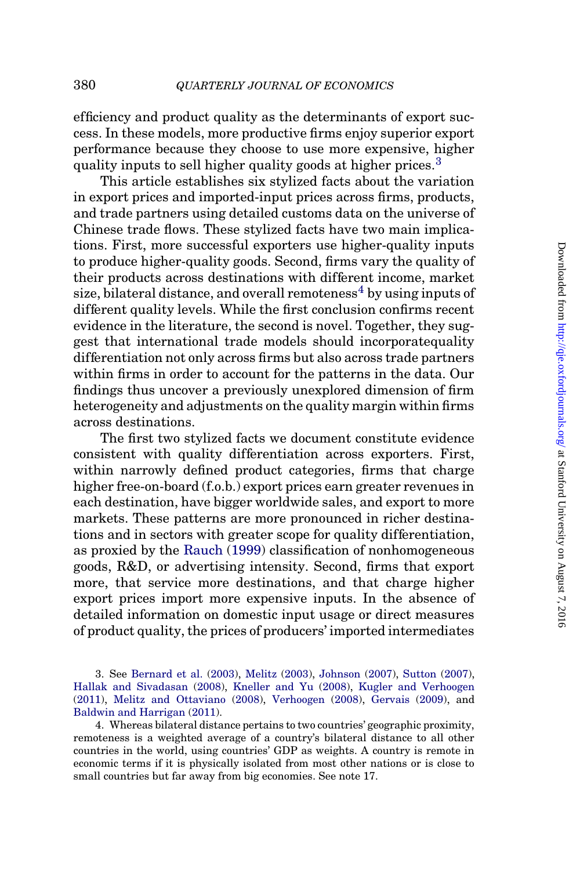efficiency and product quality as the determinants of export success. In these models, more productive firms enjoy superior export performance because they choose to use more expensive, higher quality inputs to sell higher quality goods at higher prices.<sup>3</sup>

This article establishes six stylized facts about the variation in export prices and imported-input prices across firms, products, and trade partners using detailed customs data on the universe of Chinese trade flows. These stylized facts have two main implications. First, more successful exporters use higher-quality inputs to produce higher-quality goods. Second, firms vary the quality of their products across destinations with different income, market size, bilateral distance, and overall remoteness<sup>4</sup> by using inputs of different quality levels. While the first conclusion confirms recent evidence in the literature, the second is novel. Together, they suggest that international trade models should incorporatequality differentiation not only across firms but also across trade partners within firms in order to account for the patterns in the data. Our findings thus uncover a previously unexplored dimension of firm heterogeneity and adjustments on the quality margin within firms across destinations.

The first two stylized facts we document constitute evidence consistent with quality differentiation across exporters. First, within narrowly defined product categories, firms that charge higher free-on-board (f.o.b.) export prices earn greater revenues in each destination, have bigger worldwide sales, and export to more markets. These patterns are more pronounced in richer destinations and in sectors with greater scope for quality differentiation, as proxied by the [Rauch](#page-57-0) [\(1999\)](#page-57-0) classification of nonhomogeneous goods, R&D, or advertising intensity. Second, firms that export more, that service more destinations, and that charge higher export prices import more expensive inputs. In the absence of detailed information on domestic input usage or direct measures of product quality, the prices of producers' imported intermediates

3. See [Bernard et al.](#page-55-0) [\(2003\)](#page-55-0), [Melitz](#page-57-0) [\(2003\)](#page-57-0), [Johnson](#page-56-0) [\(2007](#page-56-0)), [Sutton](#page-57-0) [\(2007\)](#page-57-0), [Hallak and Sivadasan](#page-56-0) [\(2008\)](#page-56-0), [Kneller and Yu](#page-56-0) [\(2008](#page-56-0)), [Kugler and Verhoogen](#page-57-0) [\(2011](#page-57-0)), [Melitz and Ottaviano](#page-57-0) [\(2008](#page-57-0)), [Verhoogen](#page-57-0) [\(2008](#page-57-0)), [Gervais](#page-56-0) [\(2009](#page-56-0)), and [Baldwin and Harrigan](#page-55-0) [\(2011\)](#page-55-0).

4. Whereas bilateral distance pertains to two countries' geographic proximity, remoteness is a weighted average of a country's bilateral distance to all other countries in the world, using countries' GDP as weights. A country is remote in economic terms if it is physically isolated from most other nations or is close to small countries but far away from big economies. See note 17.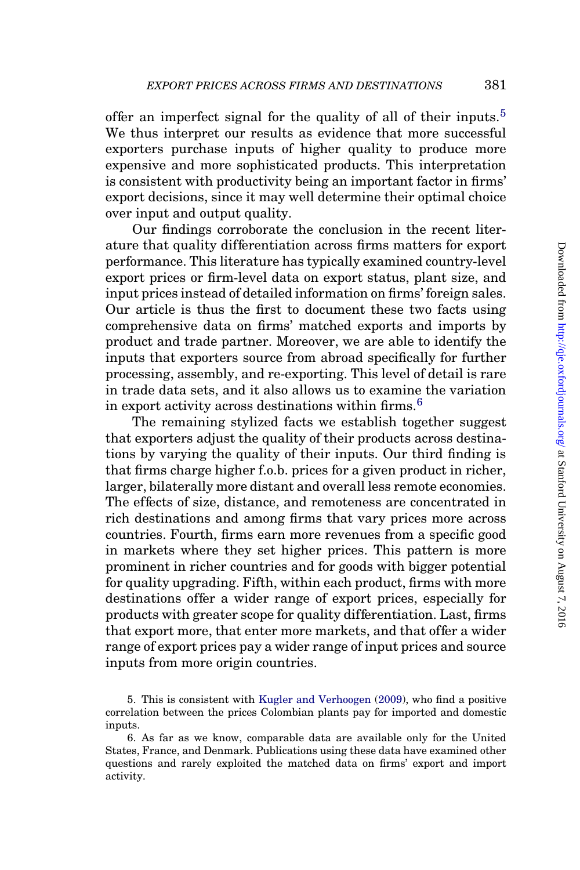offer an imperfect signal for the quality of all of their inputs.<sup>5</sup> We thus interpret our results as evidence that more successful exporters purchase inputs of higher quality to produce more expensive and more sophisticated products. This interpretation is consistent with productivity being an important factor in firms' export decisions, since it may well determine their optimal choice over input and output quality.

Our findings corroborate the conclusion in the recent literature that quality differentiation across firms matters for export performance. This literature has typically examined country-level export prices or firm-level data on export status, plant size, and input prices instead of detailed information on firms' foreign sales. Our article is thus the first to document these two facts using comprehensive data on firms' matched exports and imports by product and trade partner. Moreover, we are able to identify the inputs that exporters source from abroad specifically for further processing, assembly, and re-exporting. This level of detail is rare in trade data sets, and it also allows us to examine the variation in export activity across destinations within firms.<sup>6</sup>

The remaining stylized facts we establish together suggest that exporters adjust the quality of their products across destinations by varying the quality of their inputs. Our third finding is that firms charge higher f.o.b. prices for a given product in richer, larger, bilaterally more distant and overall less remote economies. The effects of size, distance, and remoteness are concentrated in rich destinations and among firms that vary prices more across countries. Fourth, firms earn more revenues from a specific good in markets where they set higher prices. This pattern is more prominent in richer countries and for goods with bigger potential for quality upgrading. Fifth, within each product, firms with more destinations offer a wider range of export prices, especially for products with greater scope for quality differentiation. Last, firms that export more, that enter more markets, and that offer a wider range of export prices pay a wider range of input prices and source inputs from more origin countries.

<sup>5.</sup> This is consistent with [Kugler and Verhoogen](#page-56-0) [\(2009\)](#page-56-0), who find a positive correlation between the prices Colombian plants pay for imported and domestic inputs.

<sup>6.</sup> As far as we know, comparable data are available only for the United States, France, and Denmark. Publications using these data have examined other questions and rarely exploited the matched data on firms' export and import activity.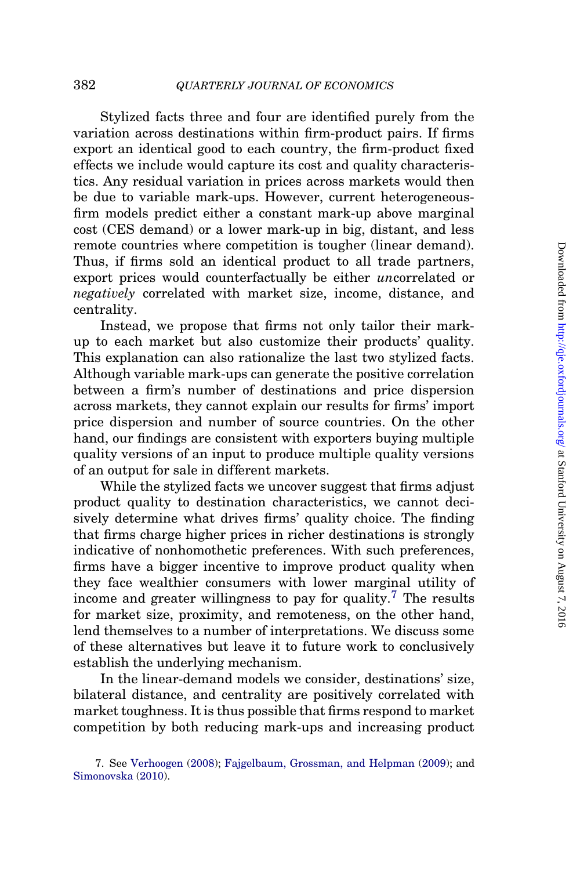Stylized facts three and four are identified purely from the variation across destinations within firm-product pairs. If firms export an identical good to each country, the firm-product fixed effects we include would capture its cost and quality characteristics. Any residual variation in prices across markets would then be due to variable mark-ups. However, current heterogeneousfirm models predict either a constant mark-up above marginal cost (CES demand) or a lower mark-up in big, distant, and less remote countries where competition is tougher (linear demand). Thus, if firms sold an identical product to all trade partners, export prices would counterfactually be either *un*correlated or *negatively* correlated with market size, income, distance, and centrality.

Instead, we propose that firms not only tailor their markup to each market but also customize their products' quality. This explanation can also rationalize the last two stylized facts. Although variable mark-ups can generate the positive correlation between a firm's number of destinations and price dispersion across markets, they cannot explain our results for firms' import price dispersion and number of source countries. On the other hand, our findings are consistent with exporters buying multiple quality versions of an input to produce multiple quality versions of an output for sale in different markets.

While the stylized facts we uncover suggest that firms adjust product quality to destination characteristics, we cannot decisively determine what drives firms' quality choice. The finding that firms charge higher prices in richer destinations is strongly indicative of nonhomothetic preferences. With such preferences, firms have a bigger incentive to improve product quality when they face wealthier consumers with lower marginal utility of income and greater willingness to pay for quality.<sup>7</sup> The results for market size, proximity, and remoteness, on the other hand, lend themselves to a number of interpretations. We discuss some of these alternatives but leave it to future work to conclusively establish the underlying mechanism.

In the linear-demand models we consider, destinations' size, bilateral distance, and centrality are positively correlated with market toughness. It is thus possible that firms respond to market competition by both reducing mark-ups and increasing product

<sup>7.</sup> See [Verhoogen](#page-57-0) [\(2008\)](#page-57-0); [Fajgelbaum, Grossman, and Helpman](#page-56-0) [\(2009](#page-56-0)); and [Simonovska](#page-57-0) [\(2010\)](#page-57-0).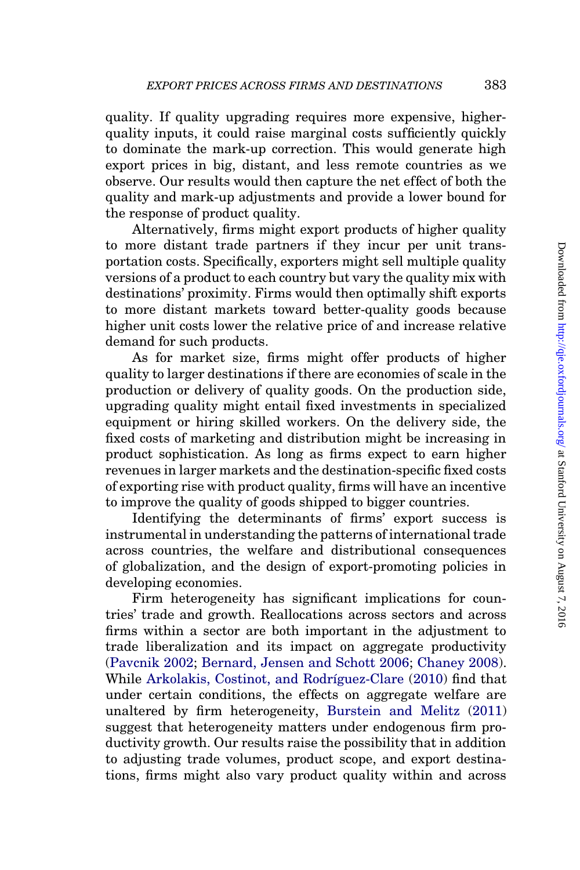quality. If quality upgrading requires more expensive, higherquality inputs, it could raise marginal costs sufficiently quickly to dominate the mark-up correction. This would generate high export prices in big, distant, and less remote countries as we observe. Our results would then capture the net effect of both the quality and mark-up adjustments and provide a lower bound for the response of product quality.

Alternatively, firms might export products of higher quality to more distant trade partners if they incur per unit transportation costs. Specifically, exporters might sell multiple quality versions of a product to each country but vary the quality mix with destinations' proximity. Firms would then optimally shift exports to more distant markets toward better-quality goods because higher unit costs lower the relative price of and increase relative demand for such products.

As for market size, firms might offer products of higher quality tolarger destinations if there are economies of scale in the production or delivery of quality goods. On the production side, upgrading quality might entail fixed investments in specialized equipment or hiring skilled workers. On the delivery side, the fixed costs of marketing and distribution might be increasing in product sophistication. As long as firms expect to earn higher revenues in larger markets and the destination-specific fixed costs of exporting rise with product quality, firms will have an incentive to improve the quality of goods shipped to bigger countries.

Identifying the determinants of firms' export success is instrumental in understanding the patterns of international trade across countries, the welfare and distributional consequences of globalization, and the design of export-promoting policies in developing economies.

Firm heterogeneity has significant implications for countries' trade and growth. Reallocations across sectors and across firms within a sector are both important in the adjustment to trade liberalization and its impact on aggregate productivity [\(Pavcnik 2002](#page-57-0); [Bernard, Jensen and Schott 2006;](#page-55-0) [Chaney 2008\)](#page-55-0). While Arkolakis, Costinot, and Rodríguez-Clare [\(2010\)](#page-55-0) find that under certain conditions, the effects on aggregate welfare are unaltered by firm heterogeneity, [Burstein and Melitz](#page-55-0) [\(2011](#page-55-0)) suggest that heterogeneity matters under endogenous firm productivity growth. Our results raise the possibility that in addition to adjusting trade volumes, product scope, and export destinations, firms might also vary product quality within and across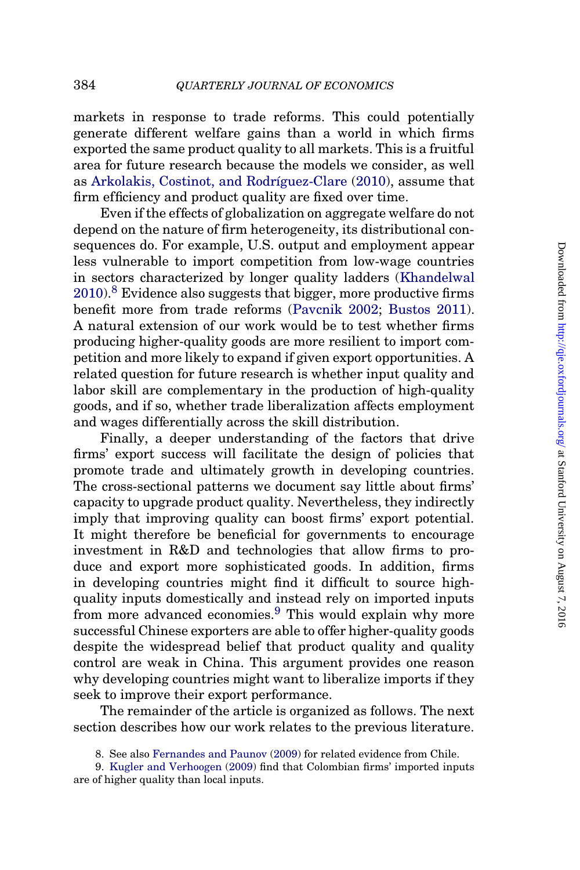markets in response to trade reforms. This could potentially generate different welfare gains than a world in which firms exported the same product quality to all markets. This is a fruitful area for future research because the models we consider, as well as Arkolakis, Costinot, and Rodríguez-Clare [\(2010\)](#page-55-0), assume that firm efficiency and product quality are fixed over time.

Even if the effects of globalization on aggregate welfare do not depend on the nature of firm heterogeneity, its distributional consequences do. For example, U.S. output and employment appear less vulnerable to import competition from low-wage countries in sectors characterized by longer quality ladders [\(Khandelwal](#page-56-0)  $2010$ .<sup>8</sup> Evidence also suggests that bigger, more productive firms benefit more from trade reforms [\(Pavcnik 2002;](#page-57-0) [Bustos 2011\)](#page-55-0). A natural extension of our work would be to test whether firms producing higher-quality goods are more resilient to import competition and more likely to expand if given export opportunities. A related question for future research is whether input quality and labor skill are complementary in the production of high-quality goods, and if so, whether trade liberalization affects employment and wages differentially across the skill distribution.

Finally, a deeper understanding of the factors that drive firms' export success will facilitate the design of policies that promote trade and ultimately growth in developing countries. The cross-sectional patterns we document say little about firms' capacity to upgrade product quality. Nevertheless, they indirectly imply that improving quality can boost firms' export potential. It might therefore be beneficial for governments to encourage investment in R&D and technologies that allow firms to produce and export more sophisticated goods. In addition, firms in developing countries might find it difficult to source highquality inputs domestically and instead rely on imported inputs from more advanced economies.<sup>9</sup> This would explain why more successful Chinese exporters are able to offer higher-quality goods despite the widespread belief that product quality and quality control are weak in China. This argument provides one reason why developing countries might want to liberalize imports if they seek to improve their export performance.

The remainder of the article is organized as follows. The next section describes how our work relates to the previous literature.

<sup>8.</sup> See also [Fernandes and Paunov](#page-56-0) [\(2009\)](#page-56-0) for related evidence from Chile.

<sup>9.</sup> [Kugler and Verhoogen](#page-56-0) [\(2009](#page-56-0)) find that Colombian firms' imported inputs are of higher quality than local inputs.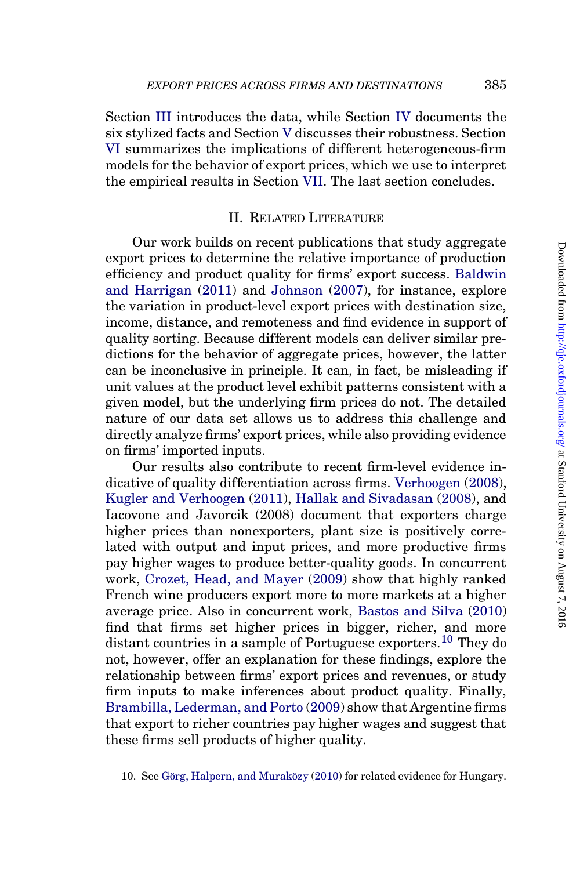Section [III](#page-7-0) introduces the data, while Section [IV](#page-12-0) documents the six stylized facts and Section [V](#page-36-0) discusses their robustness. Section [VI](#page-40-0) summarizes the implications of different heterogeneous-firm models for the behavior of export prices, which we use to interpret the empirical results in Section [VII.](#page-44-0) The last section concludes.

### II. RELATED LITERATURE

Our work builds on recent publications that study aggregate export prices to determine the relative importance of production efficiency and product quality for firms' export success. [Baldwin](#page-55-0) [and Harrigan](#page-55-0) [\(2011\)](#page-55-0) and [Johnson](#page-56-0) [\(2007\)](#page-56-0), for instance, explore the variation in product-level export prices with destination size, income, distance, and remoteness and find evidence in support of quality sorting. Because different models can deliver similar predictions for the behavior of aggregate prices, however, the latter can be inconclusive in principle. It can, in fact, be misleading if unit values at the product level exhibit patterns consistent with a given model, but the underlying firm prices do not. The detailed nature of our data set allows us to address this challenge and directly analyze firms' export prices, while also providing evidence on firms' imported inputs.

Our results also contribute to recent firm-level evidence indicative of quality differentiation across firms. [Verhoogen](#page-57-0) [\(2008\)](#page-57-0), [Kugler and Verhoogen](#page-57-0) [\(2011](#page-57-0)), [Hallak and Sivadasan](#page-56-0) [\(2008](#page-56-0)), and Iacovone and Javorcik (2008) document that exporters charge higher prices than nonexporters, plant size is positively correlated with output and input prices, and more productive firms pay higher wages to produce better-quality goods. In concurrent work, [Crozet, Head, and Mayer](#page-56-0) [\(2009](#page-56-0)) show that highly ranked French wine producers export more to more markets at a higher average price. Also in concurrent work, [Bastos and Silva](#page-55-0) [\(2010](#page-55-0)) find that firms set higher prices in bigger, richer, and more distant countries in a sample of Portuguese exporters.<sup>10</sup> They do not, however, offer an explanation for these findings, explore the relationship between firms' export prices and revenues, or study firm inputs to make inferences about product quality. Finally, Brambilla, Lederman, and Porto (2009) show that Argentine firms that export to richer countries pay higher wages and suggest that these firms sell products of higher quality.

<sup>10.</sup> See Görg, Halpern, and Muraközy [\(2010](#page-56-0)) for related evidence for Hungary.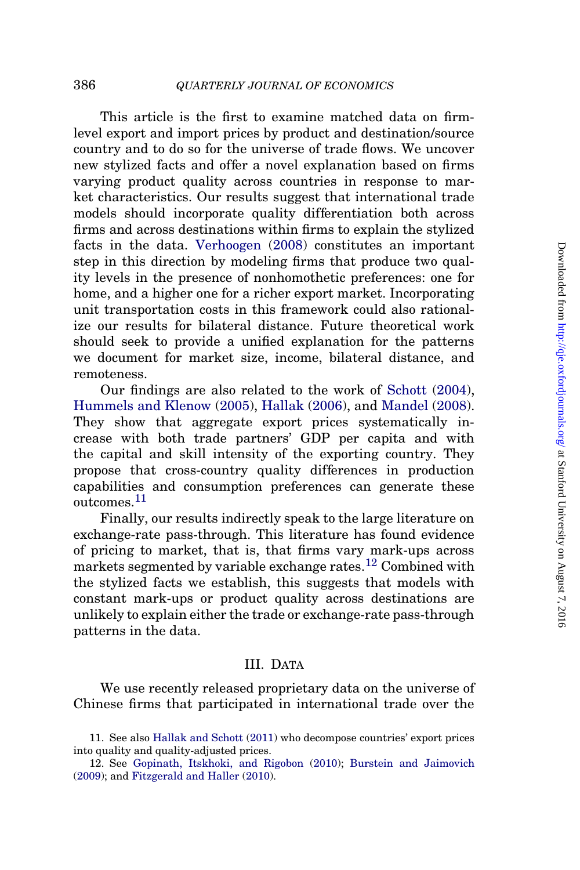<span id="page-7-0"></span>This article is the first to examine matched data on firmlevel export and import prices by product and destination/source country and to do so for the universe of trade flows. We uncover new stylized facts and offer a novel explanation based on firms varying product quality across countries in response to market characteristics. Our results suggest that international trade models should incorporate quality differentiation both across firms and across destinations within firms to explain the stylized facts in the data. [Verhoogen](#page-57-0) [\(2008\)](#page-57-0) constitutes an important step in this direction by modeling firms that produce two quality levels in the presence of nonhomothetic preferences: one for home, and a higher one for a richer export market. Incorporating unit transportation costs in this framework could also rationalize our results for bilateral distance. Future theoretical work should seek to provide a unified explanation for the patterns we document for market size, income, bilateral distance, and remoteness.

Our findings are also related to the work of [Schott](#page-57-0) [\(2004\)](#page-57-0), [Hummels and Klenow](#page-56-0) [\(2005\)](#page-56-0), [Hallak](#page-56-0) [\(2006\)](#page-56-0), and [Mandel](#page-57-0) [\(2008\)](#page-57-0). They show that aggregate export prices systematically increase with both trade partners' GDP per capita and with the capital and skill intensity of the exporting country. They propose that cross-country quality differences in production capabilities and consumption preferences can generate these outcomes.<sup>11</sup>

Finally, our results indirectly speak to the large literature on exchange-rate pass-through. This literature has found evidence of pricing to market, that is, that firms vary mark-ups across markets segmented by variable exchange rates.<sup>12</sup> Combined with the stylized facts we establish, this suggests that models with constant mark-ups or product quality across destinations are unlikely to explain either the trade or exchange-rate pass-through patterns in the data.

#### III. DATA

We use recently released proprietary data on the universe of Chinese firms that participated in international trade over the

<sup>11.</sup> See also [Hallak and Schott](#page-56-0) [\(2011\)](#page-56-0) who decompose countries' export prices into quality and quality-adjusted prices.

<sup>12.</sup> See [Gopinath, Itskhoki, and Rigobon](#page-56-0) ([2010](#page-56-0)); [Burstein and Jaimovich](#page-55-0) [\(2009](#page-55-0)); and [Fitzgerald and Haller](#page-56-0) [\(2010\)](#page-56-0).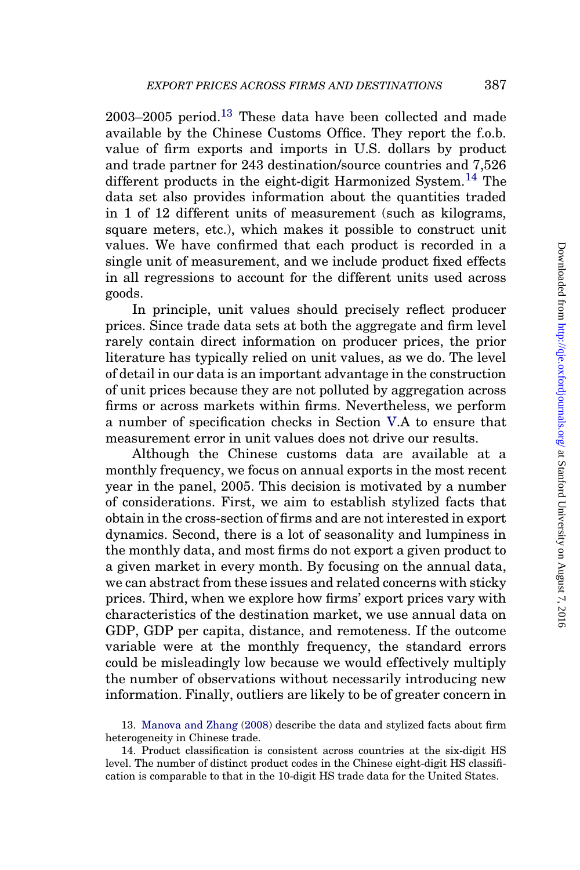$2003-2005$  period.<sup>13</sup> These data have been collected and made available by the Chinese Customs Office. They report the f.o.b. value of firm exports and imports in U.S. dollars by product and trade partner for 243 destination/source countries and 7,526 different products in the eight-digit Harmonized System.<sup>14</sup> The data set also provides information about the quantities traded in 1 of 12 different units of measurement (such as kilograms, square meters, etc.), which makes it possible to construct unit values. We have confirmed that each product is recorded in a single unit of measurement, and we include product fixed effects in all regressions to account for the different units used across goods.

In principle, unit values should precisely reflect producer prices. Since trade data sets at both the aggregate and firm level rarely contain direct information on producer prices, the prior literature has typically relied on unit values, as we do. The level of detail inourdata is animportant advantage inthe construction of unit prices because they are not polluted by aggregation across firms or across markets within firms. Nevertheless, we perform a number of specification checks in Section [V.](#page-36-0)A to ensure that measurement error in unit values does not drive our results.

Although the Chinese customs data are available at a monthly frequency, we focus on annual exports in the most recent year in the panel, 2005. This decision is motivated by a number of considerations. First, we aim to establish stylized facts that obtain in the cross-section of firms and are not interested in export dynamics. Second, there is a lot of seasonality and lumpiness in the monthly data, and most firms donot export a given product to a given market in every month. By focusing on the annual data, we can abstract from these issues and related concerns with sticky prices. Third, when we explore how firms' export prices vary with characteristics of the destination market, we use annual data on GDP, GDP per capita, distance, and remoteness. If the outcome variable were at the monthly frequency, the standard errors could be misleadingly low because we would effectively multiply the number of observations without necessarily introducing new information. Finally, outliers are likely tobe of greater concern in

13. [Manova and Zhang](#page-57-0) [\(2008](#page-57-0)) describe the data and stylized facts about firm heterogeneity in Chinese trade.

<sup>14.</sup> Product classification is consistent across countries at the six-digit HS level. The number of distinct product codes in the Chinese eight-digit HS classification is comparable to that in the 10-digit HS trade data for the United States.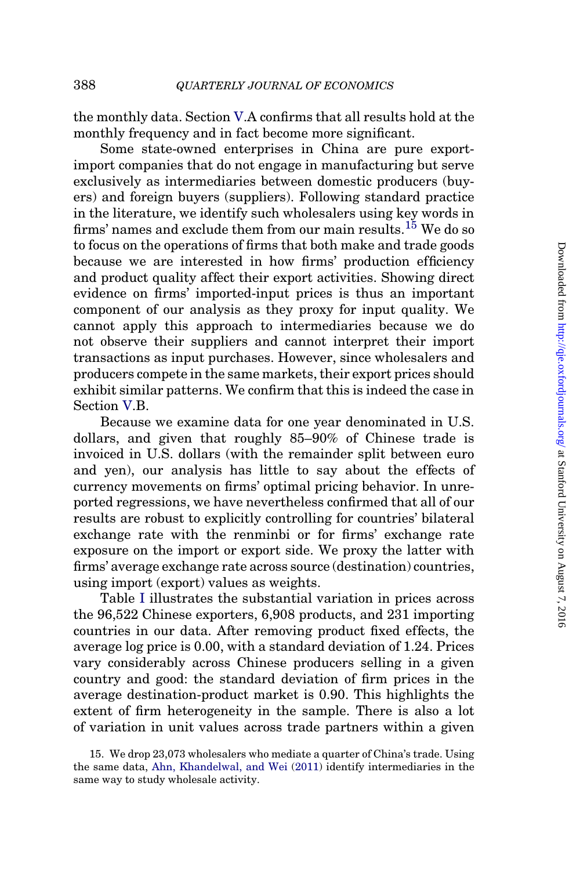the monthly data. Section [V.](#page-36-0)A confirms that all results hold at the monthly frequency and in fact become more significant.

Some state-owned enterprises in China are pure exportimport companies that do not engage in manufacturing but serve exclusively as intermediaries between domestic producers (buyers) and foreign buyers (suppliers). Following standard practice in the literature, we identify such wholesalers using key words in firms' names and exclude them from our main results.<sup>15</sup> We do so to focus on the operations of firms that both make and trade goods because we are interested in how firms' production efficiency and product quality affect their export activities. Showing direct evidence on firms' imported-input prices is thus an important component of our analysis as they proxy for input quality. We cannot apply this approach to intermediaries because we do not observe their suppliers and cannot interpret their import transactions as input purchases. However, since wholesalers and producers compete in the same markets, their export prices should exhibit similar patterns. We confirm that this is indeed the case in Section [V.](#page-36-0)B.

Because we examine data for one year denominated in U.S. dollars, and given that roughly 85–90% of Chinese trade is invoiced in U.S. dollars (with the remainder split between euro and yen), our analysis has little to say about the effects of currency movements on firms' optimal pricing behavior. In unreported regressions, we have nevertheless confirmed that all of our results are robust to explicitly controlling for countries' bilateral exchange rate with the renminbi or for firms' exchange rate exposure on the import or export side. We proxy the latter with firms' average exchange rate across source (destination) countries, using import (export) values as weights.

Table [I](#page-10-0) illustrates the substantial variation in prices across the 96,522 Chinese exporters, 6,908 products, and 231 importing countries in our data. After removing product fixed effects, the average log price is 0.00, with a standard deviation of 1.24. Prices vary considerably across Chinese producers selling in a given country and good: the standard deviation of firm prices in the average destination-product market is 0.90. This highlights the extent of firm heterogeneity in the sample. There is also a lot of variation in unit values across trade partners within a given

<sup>15.</sup> We drop23,073 wholesalers whomediate a quarter of China's trade. Using the same data, [Ahn, Khandelwal, and Wei](#page-55-0) [\(2011\)](#page-55-0) identify intermediaries in the same way to study wholesale activity.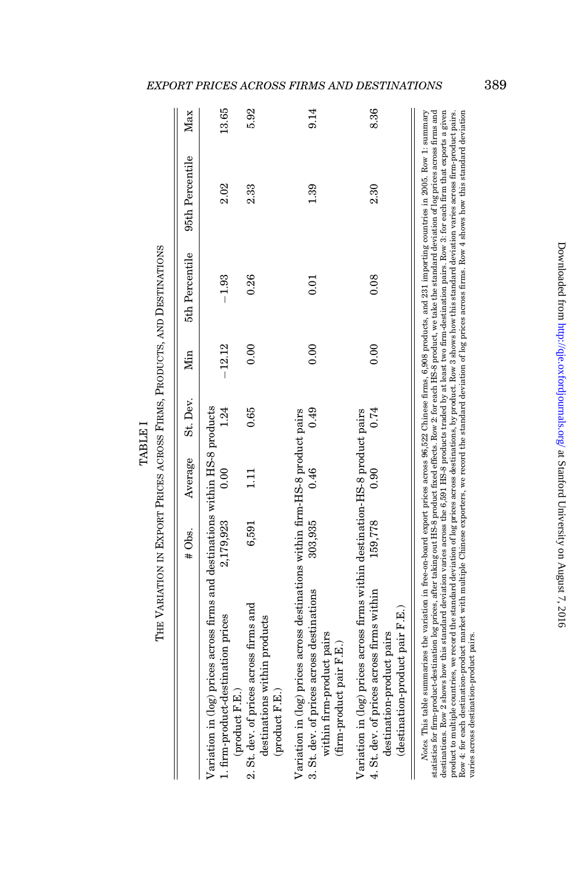| TABLE I | OPT Perce Aced Frenc Peoprorace Avo |
|---------|-------------------------------------|

| l                                                                                                                      |
|------------------------------------------------------------------------------------------------------------------------|
| I                                                                                                                      |
|                                                                                                                        |
|                                                                                                                        |
|                                                                                                                        |
|                                                                                                                        |
| ֺ֚                                                                                                                     |
| ֚֚֚֬                                                                                                                   |
| י<br>ו                                                                                                                 |
|                                                                                                                        |
|                                                                                                                        |
|                                                                                                                        |
|                                                                                                                        |
|                                                                                                                        |
| i<br>I                                                                                                                 |
| l                                                                                                                      |
| i                                                                                                                      |
| ו<br>                                                                                                                  |
| ı                                                                                                                      |
| l<br>í<br>i                                                                                                            |
| $\frac{1}{2}$<br>١<br>$\ddot{\phantom{a}}$                                                                             |
| ֖֖֖֖֖֢ׅ֪֪֪ׅ֚֚֚֚֚֚֚֡֝֓֓֓֓֝֬֝֓֓֬֝֬֝֓֬֝֬֓֓֬֝֓֬֓֓֬֝֓֬֝֬֓֓֬֝֓֬֝֓֬                                                           |
| :<br>י                                                                                                                 |
|                                                                                                                        |
| ı                                                                                                                      |
| l                                                                                                                      |
| <br> <br> <br>֖֦ׅׅׅׅׅ֚֚֚֚֚֚֚֚֚֚֚֚֚֚֚֚֚֬֡֡֡֓֡֡֡֓֡֡֡֓֡֡֓֡                                                                |
| I<br>I                                                                                                                 |
| <br> <br>֧ׅ֧ׅׅ֧ׅ֧ׅ֧ׅ֧֧ׅ֧֦֧֧֧֧ׅ֧ׅ֧ׅ֧ׅ֧ׅ֧֧֧ׅ֧ׅ֧ׅ֧֛֧֧ׅ֧֛֪֧֛֪ׅ֧֛֪ׅ֧֛֪֧֛֪֧֛֧֛֚֚֚֚֚֚֚֚֚֚֚֚֚֚֚֚֚֚֚֚֚֚֚֚֚֬֝֝֝֝֬֝֬֝֝֬֝֬֝֬֝֬֝֬֝֬ |

ØΩ

|                                                                                                                                                                                                                                                                                                                                                                            | # Obs.    | Average        | St. Dev. | Min      | 5th Percentile | 95th Percentile | Max   |
|----------------------------------------------------------------------------------------------------------------------------------------------------------------------------------------------------------------------------------------------------------------------------------------------------------------------------------------------------------------------------|-----------|----------------|----------|----------|----------------|-----------------|-------|
| Variation in (log) prices across firms and destinations within HS-8 products<br>1. firm-product-destination prices<br>(product F.E.)                                                                                                                                                                                                                                       | 2,179,923 | $\frac{6}{10}$ | 1.24     | $-12.12$ | $-1.93$        | 2.02            | 13.65 |
| 2. St. dev. of prices across firms and<br>destinations within products<br>(product F.E.)                                                                                                                                                                                                                                                                                   | 6,591     | 111            | 0.65     | 0.00     | 0.26           | 2.33            | 5.92  |
| Variation in $(\log)$ prices across destinations within firm-HS-8 product pairs<br>3. St. dev. of prices across destinations<br>within firm-product pairs<br>(firm-product pair F.E.)                                                                                                                                                                                      | 303,935   | 0.46           | 0.49     | 0.00     | 0.01           | 1.39            | 0.14  |
| Variation in (log) prices across firms within destination-HS-8 product pairs<br>4. St. dev. of prices across firms within<br>(destination-product pair F.E.)<br>destination-product pairs                                                                                                                                                                                  | 159,778   | 0.90           | 0.74     | 0.00     | 0.08           | 2.30            | 8.36  |
| Notes. This table summarizes the variation in free-on-board export prices across 96,522 Chinese firms, 6,908 products, and 231 importing countries in 2005. Row 1: summary<br>statistics for firm-product-destination log prices, after taking out HS-8 product fixed effects. Row 2: for each HS-8 product, we take the standard deviation of log prices across firms and |           |                |          |          |                |                 |       |

destinations. Row<sup>-</sup>2 shows how this standard deviation varies across the 6,591 HS-8 products traded by at least two firm-destination pairs. Row 3: for each firm that exports a given<br>product to multiple countries, we recor destinations. Row 2 shows how this standard deviation varies across the 6,591 HS-8 products traded by at least two firm-destination pairs. Row 3: for each firm that exports a given product to multiple countries, we record the standard deviation of log prices across destinations, by product. Row 3 shows how this standard deviation varies across firm-product pairs. Row 4: for each destination-product market with multiple Chinese exporters, we record the standard deviation of log prices across firms. Row 4 shows how this standard deviation varies across destination-product pairs. varies across destination-product pairs.

### <span id="page-10-0"></span>*EXPORT PRICES ACROSS FIRMS AND DESTINATIONS* 389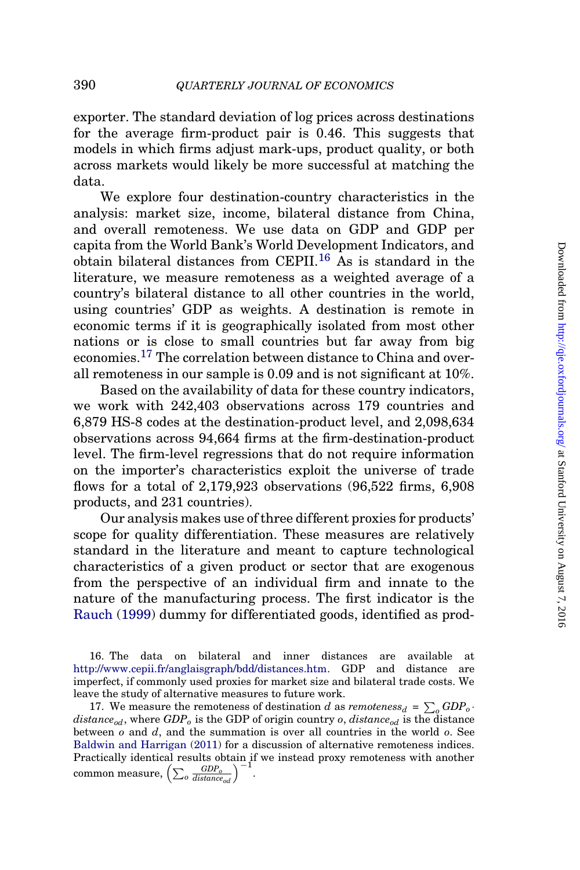exporter. The standard deviation of log prices across destinations for the average firm-product pair is 0.46. This suggests that models in which firms adjust mark-ups, product quality, or both across markets would likely be more successful at matching the data.

We explore four destination-country characteristics in the analysis: market size, income, bilateral distance from China, and overall remoteness. We use data on GDP and GDP per capita from the World Bank's World Development Indicators, and obtain bilateral distances from CEPII.<sup>16</sup> As is standard in the literature, we measure remoteness as a weighted average of a country's bilateral distance to all other countries in the world, using countries' GDP as weights. A destination is remote in economic terms if it is geographically isolated from most other nations or is close to small countries but far away from big economies.<sup>17</sup> The correlation between distance to China and overall remoteness in our sample is 0.09 and is not significant at 10%.

Based on the availability of data for these country indicators, we work with 242,403 observations across 179 countries and 6,879 HS-8 codes at the destination-product level, and 2,098,634 observations across 94,664 firms at the firm-destination-product level. The firm-level regressions that do not require information on the importer's characteristics exploit the universe of trade flows for a total of 2,179,923 observations (96,522 firms, 6,908 products, and 231 countries).

Our analysis makes use of three different proxies for products' scope for quality differentiation. These measures are relatively standard in the literature and meant to capture technological characteristics of a given product or sector that are exogenous from the perspective of an individual firm and innate to the nature of the manufacturing process. The first indicator is the [Rauch](#page-57-0) [\(1999\)](#page-57-0) dummy for differentiated goods, identified as prod-

16. The data on bilateral and inner distances are available at [http://www.cepii.fr/anglaisgraph/bdd/distances.htm.](http://www.cepii.fr/anglaisgraph/bdd/distances.htm) GDP and distance are imperfect, if commonly used proxies for market size and bilateral trade costs. We leave the study of alternative measures to future work.

17. We measure the remoteness of destination *d* as *remoteness<sub>d</sub>* =  $\sum_{o} GDP_o$ . *distance*<sub>od</sub>, where  $GDP<sub>o</sub>$  is the GDP of origin country *o*, *distance*<sub>od</sub> is the distance between *o* and *d*, and the summation is over all countries in the world *o*. See [Baldwin and Harrigan](#page-55-0) [\(2011](#page-55-0)) for a discussion of alternative remoteness indices. Practically identical results obtain if we instead proxy remoteness with another  $\text{common measure, } \left(\sum_o\frac{GDP_o}{distance_{od}}\right)^{-1}$ .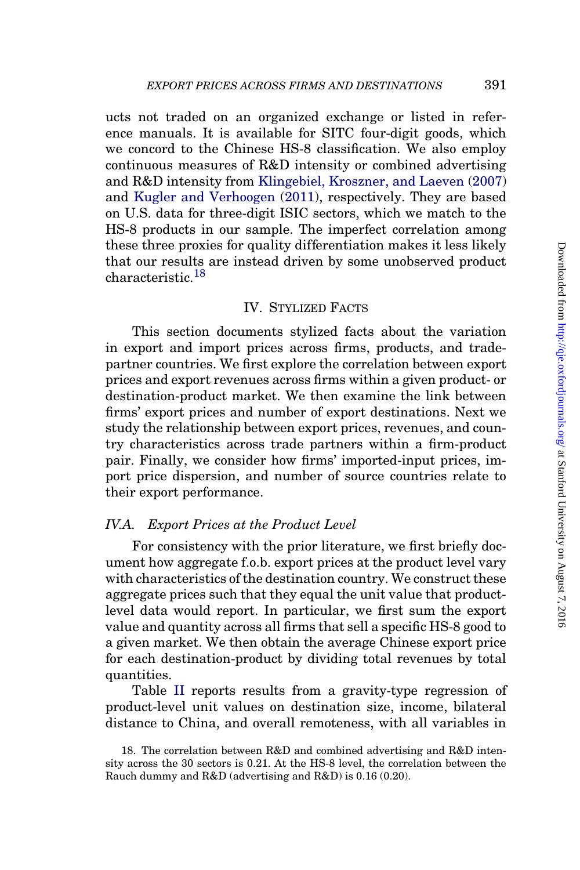<span id="page-12-0"></span>ucts not traded on an organized exchange or listed in reference manuals. It is available for SITC four-digit goods, which we concord to the Chinese HS-8 classification. We also employ continuous measures of R&D intensity or combined advertising and R&D intensity from [Klingebiel, Kroszner, and Laeven](#page-56-0) [\(2007](#page-56-0)) and [Kugler and Verhoogen](#page-57-0) [\(2011](#page-57-0)), respectively. They are based on U.S. data for three-digit ISIC sectors, which we match to the HS-8 products in our sample. The imperfect correlation among these three proxies for quality differentiation makes it less likely that our results are instead driven by some unobserved product characteristic.<sup>18</sup>

### IV. STYLIZED FACTS

This section documents stylized facts about the variation in export and import prices across firms, products, and tradepartner countries. We first explore the correlation between export prices andexport revenues across firms within a given product- or destination-product market. We then examine the link between firms' export prices and number of export destinations. Next we study the relationship between export prices, revenues, and country characteristics across trade partners within a firm-product pair. Finally, we consider how firms' imported-input prices, import price dispersion, and number of source countries relate to their export performance.

#### *IV.A. Export Prices at the Product Level*

For consistency with the prior literature, we first briefly document howaggregate f.o.b. export prices at the product level vary with characteristics of the destination country. We construct these aggregate prices such that they equal the unit value that productlevel data would report. In particular, we first sum the export value and quantity across all firms that sell a specific HS-8 good to a given market. We then obtain the average Chinese export price for each destination-product by dividing total revenues by total quantities.

Table [II](#page-13-0) reports results from a gravity-type regression of product-level unit values on destination size, income, bilateral distance to China, and overall remoteness, with all variables in

<sup>18.</sup> The correlation between R&D and combined advertising and R&D intensity across the 30 sectors is 0.21. At the HS-8 level, the correlation between the Rauch dummy and R&D (advertising and R&D) is 0.16 (0.20).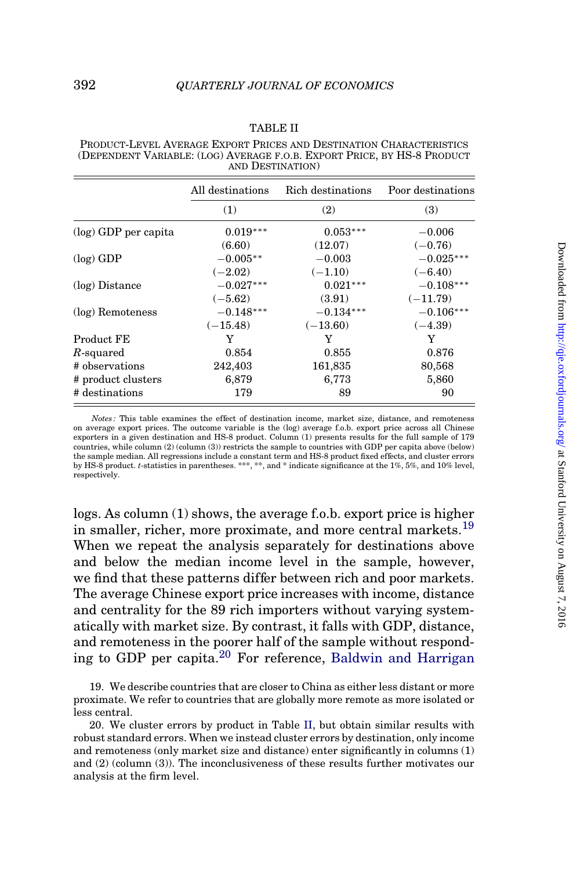#### TABLE II

<span id="page-13-0"></span>PRODUCT-LEVEL AVERAGE EXPORT PRICES AND DESTINATION CHARACTERISTICS (DEPENDENT VARIABLE: (LOG) AVERAGE F.O.B. EXPORT PRICE, BY HS-8 PRODUCT AND DESTINATION)

|                      | All destinations | Rich destinations | Poor destinations |
|----------------------|------------------|-------------------|-------------------|
|                      | (1)              | (2)               | (3)               |
| (log) GDP per capita | $0.019***$       | $0.053***$        | $-0.006$          |
|                      | (6.60)           | (12.07)           | $(-0.76)$         |
| $(log)$ GDP          | $-0.005**$       | $-0.003$          | $-0.025***$       |
|                      | $(-2.02)$        | $(-1.10)$         | $(-6.40)$         |
| $(log)$ Distance     | $-0.027***$      | $0.021***$        | $-0.108***$       |
|                      | $(-5.62)$        | (3.91)            | $(-11.79)$        |
| (log) Remoteness     | $-0.148***$      | $-0.134***$       | $-0.106***$       |
|                      | $(-15.48)$       | $(-13.60)$        | $(-4.39)$         |
| Product FE           | Y                | Y                 | Y                 |
| $R$ -squared         | 0.854            | 0.855             | 0.876             |
| # observations       | 242,403          | 161,835           | 80,568            |
| # product clusters   | 6,879            | 6,773             | 5,860             |
| # destinations       | 179              | 89                | 90                |

*Notes :* This table examines the effect of destination income, market size, distance, and remoteness on average export prices. The outcome variable is the (log) average f.o.b. export price across all Chinese exporters in a given destination and HS-8 product. Column (1) presents results for the full sample of 179 countries, while column (2) (column (3)) restricts the sample to countries with GDP per capita above (below) the sample median. All regressions include a constant term and HS-8 product fixed effects, and cluster errors by HS-8 product. *t*-statistics in parentheses. \*\*\*, \*\*, and \* indicate significance at the 1%, 5%, and 10% level, respectively.

logs. As column (1) shows, the average f.o.b. export price is higher in smaller, richer, more proximate, and more central markets.<sup>19</sup> When we repeat the analysis separately for destinations above and below the median income level in the sample, however, we find that these patterns differ between rich and poor markets. The average Chinese export price increases with income, distance and centrality for the 89 rich importers without varying systematically with market size. By contrast, it falls with GDP, distance, and remoteness in the poorer half of the sample without responding to GDP per capita.<sup>20</sup> For reference, [Baldwin and Harrigan](#page-55-0)

19. We describe countries that are closer to China as either less distant or more proximate. We refer tocountries that are globally more remote as more isolated or less central.

20. We cluster errors by product in Table II, but obtain similar results with robust standard errors. When we instead cluster errors by destination, only income and remoteness (only market size and distance) enter significantly in columns (1) and (2) (column (3)). The inconclusiveness of these results further motivates our analysis at the firm level.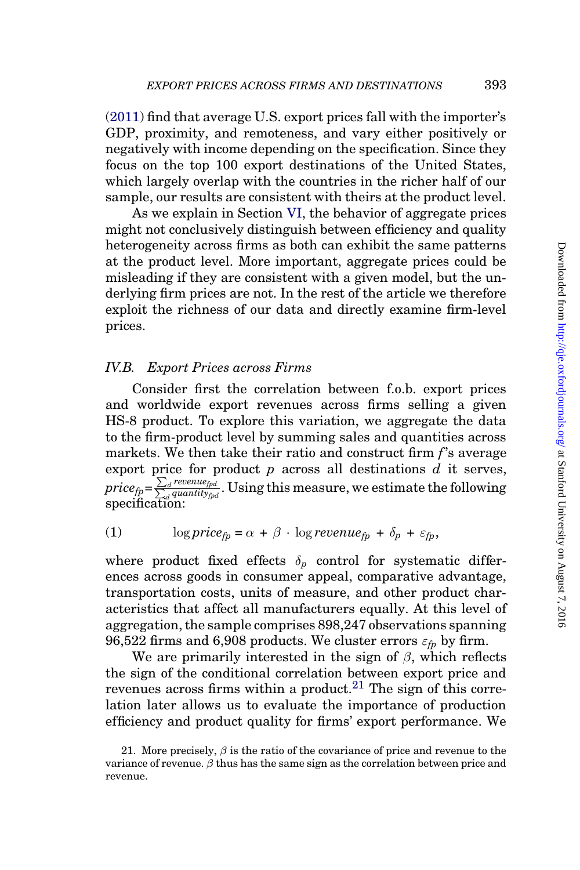<span id="page-14-0"></span> $(2011)$  $(2011)$  find that average U.S. export prices fall with the importer's GDP, proximity, and remoteness, and vary either positively or negatively with income depending on the specification. Since they focus on the top 100 export destinations of the United States, which largely overlap with the countries in the richer half of our sample, our results are consistent with theirs at the product level.

As we explain in Section [VI,](#page-40-0) the behavior of aggregate prices might not conclusively distinguish between efficiency and quality heterogeneity across firms as both can exhibit the same patterns at the product level. More important, aggregate prices could be misleading if they are consistent with a given model, but the underlying firm prices are not. In the rest of the article we therefore exploit the richness of our data and directly examine firm-level prices.

### *IV.B. Export Prices across Firms*

Consider first the correlation between f.o.b. export prices and worldwide export revenues across firms selling a given HS-8 product. To explore this variation, we aggregate the data to the firm-product level by summing sales and quantities across markets. We then take their ratio and construct firm *f*'s average export price for product *p* across all destinations *d* it serves,  $price_{fp} = \frac{\sum_{d} revenue_{pd}}{\sum_{d} quantumity_{pd}}$ . Using this measure, we estimate the following  $price_{fp} = \frac{1}{\sum_{d} quantity_{fpd}}$ <br>specification:

(1) 
$$
\log price_{fp} = \alpha + \beta \cdot \log revenue_{fp} + \delta_p + \varepsilon_{fp},
$$

where product fixed effects  $\delta_p$  control for systematic differences across goods in consumer appeal, comparative advantage, transportation costs, units of measure, and other product characteristics that affect all manufacturers equally. At this level of aggregation, the sample comprises 898,247 observations spanning 96,522 firms and 6,908 products. We cluster errors  $\varepsilon_{fn}$  by firm.

We are primarily interested in the sign of  $\beta$ , which reflects the sign of the conditional correlation between export price and revenues across firms within a product.<sup>21</sup> The sign of this correlation later allows us to evaluate the importance of production efficiency and product quality for firms' export performance. We

<sup>21.</sup> More precisely,  $\beta$  is the ratio of the covariance of price and revenue to the variance of revenue.  $\beta$  thus has the same sign as the correlation between price and revenue.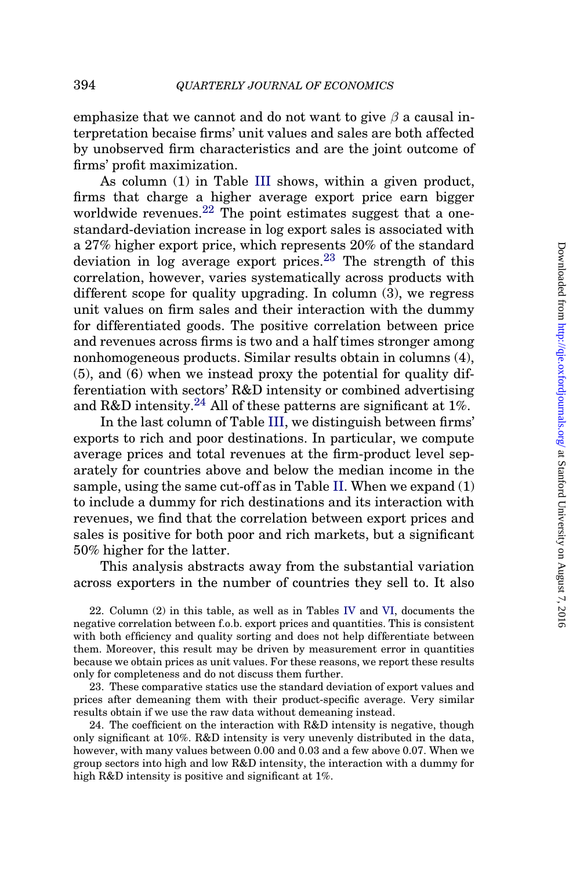emphasize that we cannot and do not want to give  $\beta$  a causal interpretation becaise firms' unit values and sales are both affected by unobserved firm characteristics and are the joint outcome of firms' profit maximization.

As column (1) in Table [III](#page-16-0) shows, within a given product, firms that charge a higher average export price earn bigger worldwide revenues.<sup>22</sup> The point estimates suggest that a onestandard-deviation increase in log export sales is associated with a 27% higher export price, which represents 20% of the standard deviation in  $\log$  average export prices.<sup>23</sup> The strength of this correlation, however, varies systematically across products with different scope for quality upgrading. In column (3), we regress unit values on firm sales and their interaction with the dummy for differentiated goods. The positive correlation between price and revenues across firms is twoand a half times stronger among nonhomogeneous products. Similar results obtain in columns (4), (5), and (6) when we instead proxy the potential for quality differentiation with sectors' R&D intensity or combined advertising and R&D intensity.<sup>24</sup> All of these patterns are significant at 1%.

In the last column of Table [III,](#page-16-0) we distinguish between firms' exports to rich and poor destinations. In particular, we compute average prices and total revenues at the firm-product level separately for countries above and below the median income in the sample, using the same cut-offas in Table [II](#page-13-0). When we expand (1) to include a dummy for rich destinations and its interaction with revenues, we find that the correlation between export prices and sales is positive for both poor and rich markets, but a significant 50% higher for the latter.

This analysis abstracts away from the substantial variation across exporters in the number of countries they sell to. It also

22. Column (2) in this table, as well as in Tables [IV](#page-18-0) and [VI,](#page-24-0) documents the negative correlation between f.o.b. export prices and quantities. This is consistent with both efficiency and quality sorting and does not help differentiate between them. Moreover, this result may be driven by measurement error in quantities because we obtain prices as unit values. For these reasons, we report these results only for completeness and do not discuss them further.

23. These comparative statics use the standard deviation of export values and prices after demeaning them with their product-specific average. Very similar results obtain if we use the raw data without demeaning instead.

24. The coefficient on the interaction with R&D intensity is negative, though only significant at 10%. R&D intensity is very unevenly distributed in the data, however, with many values between 0.00 and 0.03 and a few above 0.07. When we group sectors into high and low R&D intensity, the interaction with a dummy for high R&D intensity is positive and significant at 1%.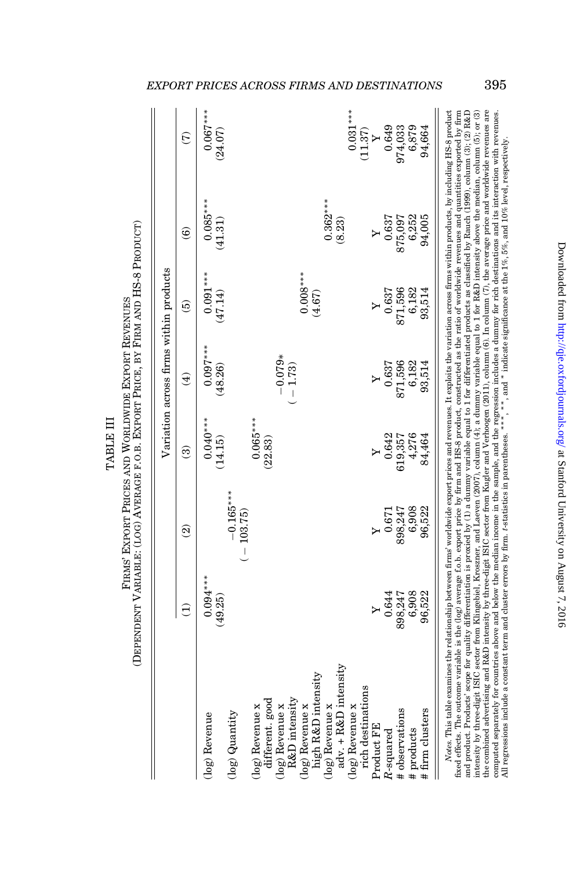|                                       |                       |                          |                       | Variation across firms within products |                         |                        |                       |
|---------------------------------------|-----------------------|--------------------------|-----------------------|----------------------------------------|-------------------------|------------------------|-----------------------|
|                                       |                       | $\widehat{\mathfrak{D}}$ | ම                     | $\widehat{\Theta}$                     | $\widehat{\mathbf{b}}$  | $\widehat{\mathbf{e}}$ | $\widehat{C}$         |
| (log) Revenue                         | $0.094***$<br>(49.25) |                          | $0.040***$<br>(14.15) | $0.097***$<br>48.26)                   | $0.091***$<br>(47.14)   | $0.085***$<br>41.31)   | $0.067***$<br>(24.07) |
| $log)$ Quantity                       |                       | $-0.165***$<br>$-103.75$ |                       |                                        |                         |                        |                       |
| different. good<br>(log) Revenue x    |                       |                          | $0.065***$<br>(22.83) |                                        |                         |                        |                       |
| (log) Revenue x                       |                       |                          |                       | $-0.079*$<br>$(-1.73)$                 |                         |                        |                       |
| R&D intensity                         |                       |                          |                       |                                        |                         |                        |                       |
| high R&D intensity<br>(log) Revenue x |                       |                          |                       |                                        | $0.008***$<br>(4.67)    |                        |                       |
| (log) Revenue x                       |                       |                          |                       |                                        |                         | $0.362***$             |                       |
| adv. + R&D intensity                  |                       |                          |                       |                                        |                         | (8.23)                 |                       |
| (log) Revenue x                       |                       |                          |                       |                                        |                         |                        | $0.031***$            |
| rich destinations                     |                       |                          |                       |                                        |                         |                        | (11.37)               |
| Product FE                            |                       |                          |                       |                                        |                         |                        | Y                     |
| R-squared                             | 0.644                 | 0.671                    | 0.642                 |                                        |                         |                        | 0.649                 |
| # observations                        | 898,247               | 898,247                  | 619,357               | $0.637$<br>$871,596$                   | $\frac{0.637}{871,596}$ | $0.637$<br>875,097     | 974,033               |
| # products                            | 6,908                 | 6,908                    | 4,276                 | 6,182                                  | 6,182                   | 6,252                  | 6,879                 |
| # firm clusters                       | 96,522                | 96,522                   | 84,464                | 93,514                                 | 93,514                  | 94,005                 | 94,664                |

TABLE III TABLE III

FIRMS' E XPORT PRICES AND WORLDWIDE EXPORT REVENUES <span id="page-16-0"></span>*EXPORT PRICES ACROSS FIRMS AND DESTINATIONS* 395

fixed effects. The outcome variable is the (log) average f.o.b. export price by firm and HS-8 product, constructed as the ratio of worldwide revenues and quantities exported by firm and product. Products' scope for quality differentiation is proxied by (1) a dummy variable equal to 1 for differentiated products as classified by Rauch (1999), column (3); (2) R&D intensity by three-digit ISIC sector from Klingebiel, Kroszner, and Laeven (2007), column (4); a dummy variable equal to 1 for R&D intensity above the median, column (5); or (3) the combined advertising and R&D intensity by three-digit ISIC sector from Kugler and Verhoogen (2011), column (6). In column (7), the average price and worldwide revenues are computed separately for countries above and below the median income in the sample, and the regression includes a dummy for rich destinations and its interaction with revenues. All regressions include a constant term and cluster errors by firm. *t*-statistics in parentheses. ∗∗∗, ∗∗, and ∗ indicate significance at the 1%, 5%, and 10% level, respectively.

and product. Products' scope for quality differentiation is proxied by (1) a dummy variable equal to 1 for differentiated products as classified by Rauch (1999), column (3); (2) R&D intensity by three-digit ISIC sector from Klingebiel, Kroszner, and Laeven (2007), column (4); a dummy variable equal to 1 for R&D intensity above the median, column (5); or (3) the combined advertising and R&D intensity by three-digit ISIC sector from Kugler and Verhoogen (2011), column (6). In column (7), the average price and worldwide revenues are<br>computed separately for countries above and b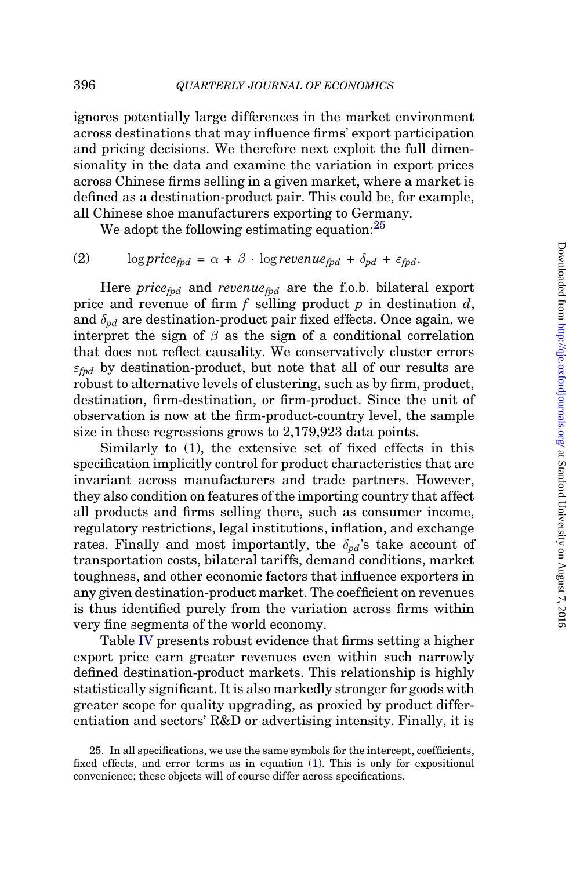ignores potentially large differences in the market environment across destinations that may influence firms' export participation and pricing decisions. We therefore next exploit the full dimensionality in the data and examine the variation in export prices across Chinese firms selling in a given market, where a market is defined as a destination-product pair. This could be, for example, all Chinese shoe manufacturers exporting to Germany.

We adopt the following estimating equation:  $25$ 

### (2)  $\log price_{\text{fnd}} = \alpha + \beta \cdot \log revenue_{\text{fnd}} + \delta_{\text{nd}} + \varepsilon_{\text{fnd}}.$

Here *pricefpd* and *revenuefpd* are the f.o.b. bilateral export price and revenue of firm *f* selling product *p* in destination *d*, and  $\delta_{pd}$  are destination-product pair fixed effects. Once again, we interpret the sign of  $\beta$  as the sign of a conditional correlation that does not reflect causality. We conservatively cluster errors  $\varepsilon_{\text{fpd}}$  by destination-product, but note that all of our results are robust to alternative levels of clustering, such as by firm, product, destination, firm-destination, or firm-product. Since the unit of observation is now at the firm-product-country level, the sample size in these regressions grows to 2,179,923 data points.

Similarly to (1), the extensive set of fixed effects in this specification implicitly control for product characteristics that are invariant across manufacturers and trade partners. However, they also condition on features of the importing country that affect all products and firms selling there, such as consumer income, regulatory restrictions, legal institutions, inflation, and exchange rates. Finally and most importantly, the  $\delta_{pd}$ 's take account of transportation costs, bilateral tariffs, demand conditions, market toughness, and other economic factors that influence exporters in any given destination-product market. The coefficient on revenues is thus identified purely from the variation across firms within very fine segments of the world economy.

Table [IV](#page-18-0) presents robust evidence that firms setting a higher export price earn greater revenues even within such narrowly defined destination-product markets. This relationship is highly statistically significant. It is also markedly stronger for goods with greater scope for quality upgrading, as proxied by product differentiation and sectors' R&D or advertising intensity. Finally, it is

<sup>25.</sup> In all specifications, we use the same symbols for the intercept, coefficients, fixed effects, and error terms as in equation ([1](#page-14-0)). This is only for expositional convenience; these objects will of course differ across specifications.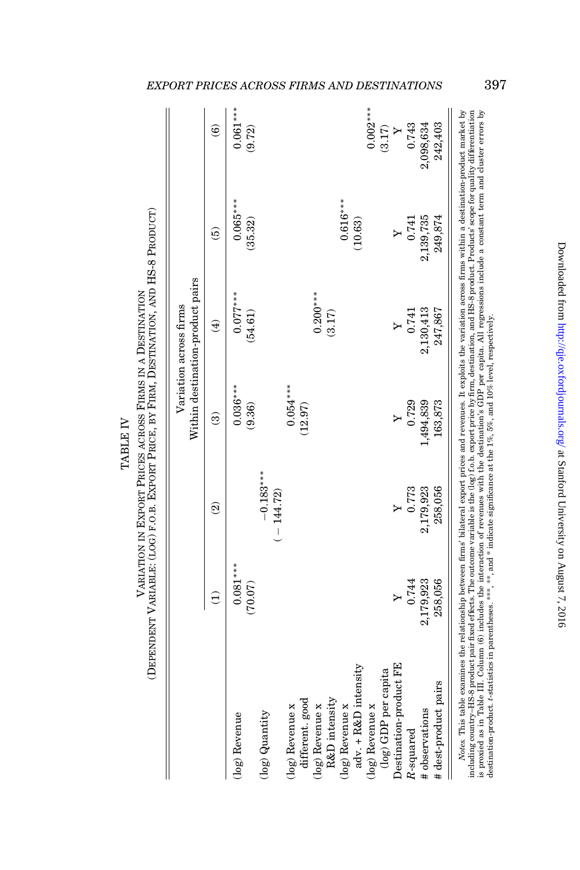| TABLE IV | VARIATION IN EXPORT PRICES ACROSS FIRMS IN A DESTINATION | (DEPENDENT VARIABLE: (LOG) F.O.B. EXPORT PRICE, BY FIRM, DESTINATION, AND HS-8 PRODUCT) |
|----------|----------------------------------------------------------|-----------------------------------------------------------------------------------------|
|----------|----------------------------------------------------------|-----------------------------------------------------------------------------------------|

JCT)

|                                                                                                                                                                                                                                                                                                                   |                       |                            |                      | Within destination-product pairs<br>Variation across firms |                       |                        |
|-------------------------------------------------------------------------------------------------------------------------------------------------------------------------------------------------------------------------------------------------------------------------------------------------------------------|-----------------------|----------------------------|----------------------|------------------------------------------------------------|-----------------------|------------------------|
|                                                                                                                                                                                                                                                                                                                   | Э                     | $\widehat{\mathfrak{D}}$   | ම                    | $\widehat{E}$                                              | ම                     | $\widehat{\mathbf{e}}$ |
| (log) Revenue                                                                                                                                                                                                                                                                                                     | $0.081***$<br>(70.07) |                            | $0.036***$<br>(9.36) | $0.077***$<br>(54.61)                                      | $0.065***$<br>(35.32) | $0.061***$<br>(9.72)   |
| (log) Quantity                                                                                                                                                                                                                                                                                                    |                       | $-0.183***$<br>$(-144.72)$ |                      |                                                            |                       |                        |
| (log) Revenue x                                                                                                                                                                                                                                                                                                   |                       |                            | $0.054***$           |                                                            |                       |                        |
| different. good                                                                                                                                                                                                                                                                                                   |                       |                            | (12.97)              |                                                            |                       |                        |
| (log) Revenue x                                                                                                                                                                                                                                                                                                   |                       |                            |                      | $0.200***$                                                 |                       |                        |
| R&D intensity                                                                                                                                                                                                                                                                                                     |                       |                            |                      | (3.17)                                                     |                       |                        |
| (log) Revenue x                                                                                                                                                                                                                                                                                                   |                       |                            |                      |                                                            | $0.616***$            |                        |
| adv. + R&D intensity                                                                                                                                                                                                                                                                                              |                       |                            |                      |                                                            | (10.63)               |                        |
| (log) Revenue x                                                                                                                                                                                                                                                                                                   |                       |                            |                      |                                                            |                       | $0.002***$             |
| (log) GDP per capita                                                                                                                                                                                                                                                                                              |                       |                            |                      |                                                            |                       | (3.17)                 |
| Destination-product FE                                                                                                                                                                                                                                                                                            |                       |                            |                      |                                                            |                       | Y                      |
| R-squared                                                                                                                                                                                                                                                                                                         | 0.744                 | 0.773                      | 0.729                | 0.741                                                      | 0.741                 | 0.743                  |
| # observations                                                                                                                                                                                                                                                                                                    | 2,179,923             | 2,179,923                  | 1,494,839            | 2,130,413                                                  | 2,139,735             | 2,098,634              |
| # dest-product pairs                                                                                                                                                                                                                                                                                              | 258,056               | 258,056                    | 163,873              | 247,867                                                    | 249,874               | 242,403                |
| allow the collection of the complete $\Omega$ and $\Omega$ and $\Omega$ and $\Omega$ and $\Omega$ and $\Omega$ and $\Omega$ and $\Omega$ and $\Omega$ and $\Omega$ and $\Omega$ and $\Omega$ and $\Omega$ and $\Omega$ and $\Omega$ and $\Omega$ and $\Omega$ and $\Omega$ and $\Omega$ and $\Omega$ and $\Omega$ |                       |                            |                      |                                                            |                       |                        |

*Notes*. This table examines the relationship between firms' bilateral export prices and revenues. It exploits the variation across firms within a destination-product market by<br>including os in ry-HS-8 product pair fixed e *Notes.* This table examines the relationship between firms' bilateral export prices and revenues. It exploits the variation across firms within a destination-product market by including country–HS-8 product pair fixedeffects. The outcome variable is the (log) f.o.b. export price by firm, destination, andHS-8 product. Products' scope for quality differentiation is proxied as in Table III. Column (6) includes the interaction of revenues with the destination's GDP per capita. All regressions include a constant term and cluster errors by destination-product. *t*-statistics in parentheses. \*\*\*, \*\*, and \* indicate significance at the 1%, 5%, and 10% level, respectively.

### <span id="page-18-0"></span>*EXPORT PRICES ACROSS FIRMS AND DESTINATIONS* 397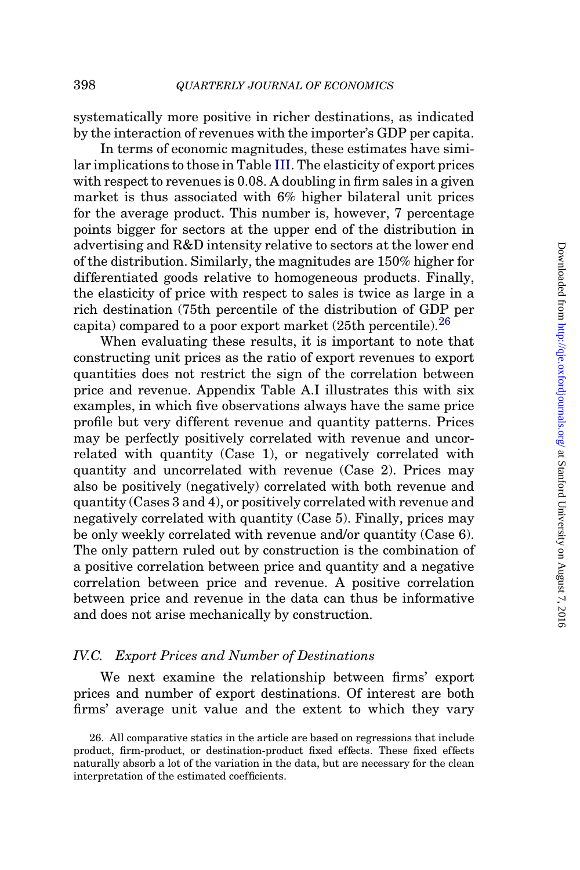systematically more positive in richer destinations, as indicated by the interaction of revenues with the importer's GDP per capita.

In terms of economic magnitudes, these estimates have simi-lar implications to those in Table [III.](#page-16-0) The elasticity of export prices with respect to revenues is  $0.08$ . A doubling in firm sales in a given market is thus associated with 6% higher bilateral unit prices for the average product. This number is, however, 7 percentage points bigger for sectors at the upper end of the distribution in advertising and R&D intensity relative to sectors at the lower end of the distribution. Similarly, the magnitudes are 150% higher for differentiated goods relative to homogeneous products. Finally, the elasticity of price with respect to sales is twice as large in a rich destination (75th percentile of the distribution of GDP per capita) compared to a poor export market  $(25th$  percentile).<sup>26</sup>

When evaluating these results, it is important to note that constructing unit prices as the ratio of export revenues to export quantities does not restrict the sign of the correlation between price and revenue. Appendix Table A.I illustrates this with six examples, in which five observations always have the same price profile but very different revenue and quantity patterns. Prices may be perfectly positively correlated with revenue and uncorrelated with quantity (Case 1), or negatively correlated with quantity and uncorrelated with revenue (Case 2). Prices may also be positively (negatively) correlated with both revenue and quantity (Cases  $3$  and  $4$ ), or positively correlated with revenue and negatively correlated with quantity (Case 5). Finally, prices may be only weekly correlated with revenue and/or quantity (Case 6). The only pattern ruled out by construction is the combination of a positive correlation between price and quantity and a negative correlation between price and revenue. A positive correlation between price and revenue in the data can thus be informative and does not arise mechanically by construction.

### *IV.C. Export Prices and Number of Destinations*

We next examine the relationship between firms' export prices and number of export destinations. Of interest are both firms' average unit value and the extent to which they vary

<sup>26.</sup> All comparative statics in the article are based on regressions that include product, firm-product, or destination-product fixed effects. These fixed effects naturally absorb a lot of the variation in the data, but are necessary for the clean interpretation of the estimated coefficients.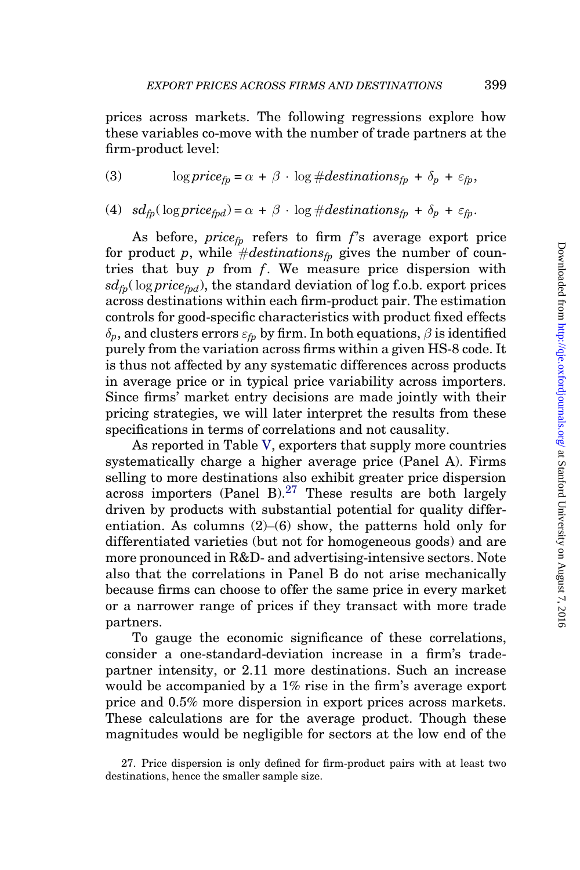prices across markets. The following regressions explore how these variables co-move with the number of trade partners at the firm-product level:

(3) 
$$
\log price_{fp} = \alpha + \beta \cdot \log # destinations_{fp} + \delta_p + \varepsilon_{fp},
$$

(4)  $sd_{fp}(\log price_{fpd}) = \alpha + \beta \cdot \log #destination_{fp} + \delta_p + \varepsilon_{fp}.$ 

As before, *price* $_{fp}$  refers to firm  $f$ 's average export price for product p, while  $\#destinations_{fp}$  gives the number of countries that buy *p* from *f*. We measure price dispersion with  $sd_{fp}$ (log *price<sub>fpd</sub>*), the standard deviation of log f.o.b. export prices across destinations within each firm-product pair. The estimation controls for good-specific characteristics with product fixed effects  $\delta_p$ , and clusters errors  $\varepsilon_{fp}$  by firm. In both equations,  $\beta$  is identified purely from the variation across firms within a given HS-8 code. It is thus not affected by any systematic differences across products in average price or in typical price variability across importers. Since firms' market entry decisions are made jointly with their pricing strategies, we will later interpret the results from these specifications in terms of correlations and not causality.

As reported in Table [V,](#page-22-0) exporters that supply more countries systematically charge a higher average price (Panel A). Firms selling to more destinations also exhibit greater price dispersion  $across$  importers (Panel B).<sup>27</sup> These results are both largely driven by products with substantial potential for quality differentiation. As columns  $(2)$ – $(6)$  show, the patterns hold only for differentiated varieties (but not for homogeneous goods) and are more pronounced in  $R&D$ - and advertising-intensive sectors. Note also that the correlations in Panel B do not arise mechanically because firms can choose to offer the same price in every market or a narrower range of prices if they transact with more trade partners.

To gauge the economic significance of these correlations, consider a one-standard-deviation increase in a firm's tradepartner intensity, or 2.11 more destinations. Such an increase would be accompanied by a 1% rise in the firm's average export price and 0.5% more dispersion in export prices across markets. These calculations are for the average product. Though these magnitudes would be negligible for sectors at the low end of the

<sup>27.</sup> Price dispersion is only defined for firm-product pairs with at least two destinations, hence the smaller sample size.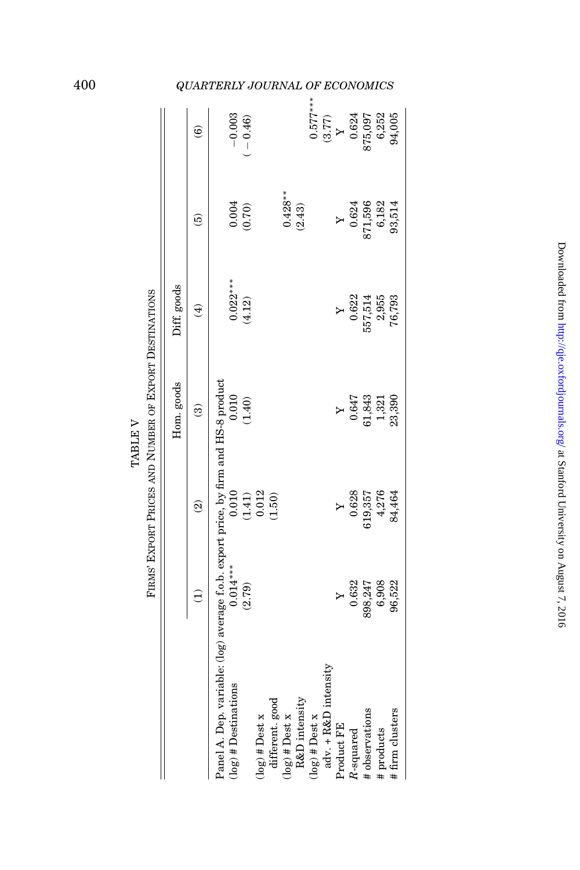|                                                                                     |            |                          | FIRMS' EXPORT PRICES AND NUMBER OF EXPORT DESTINATIONS            |                  |                  |                        |
|-------------------------------------------------------------------------------------|------------|--------------------------|-------------------------------------------------------------------|------------------|------------------|------------------------|
|                                                                                     |            |                          | Hom. goods                                                        | Diff. goods      |                  |                        |
|                                                                                     |            | $\widehat{\mathfrak{D}}$ | $\widehat{\mathcal{E}}$                                           | $\widehat{E}$    | ම                | $\widehat{\mathbf{e}}$ |
| Panel A. Dep. variable: (log) average f.o.b. export price, by firm and HS-8 product |            |                          |                                                                   |                  |                  |                        |
| (log) # Destinations                                                                | $0.014***$ | 0.010                    | 0.010                                                             | $0.022***$       | 0.004            | $-0.003$               |
|                                                                                     | (2.79)     | (1.41)                   | (1.40)                                                            | (4.12)           | (0.70)           | $-0.46$                |
| $(\log)$ # Dest x                                                                   |            | 0.012                    |                                                                   |                  |                  |                        |
| different. good                                                                     |            | (1.50)                   |                                                                   |                  |                  |                        |
| $log)$ # Dest x                                                                     |            |                          |                                                                   |                  | $0.428**$        |                        |
| R&D intensity                                                                       |            |                          |                                                                   |                  | (2.43)           |                        |
| $(\log)$ # Dest x                                                                   |            |                          |                                                                   |                  |                  | $0.577***$             |
| adv. + R&D intensity                                                                |            |                          |                                                                   |                  |                  | $\frac{1}{\gamma}$ )   |
| Product FE                                                                          |            |                          |                                                                   |                  |                  |                        |
| R-squared                                                                           | 0.632      | 0.628                    | $\begin{array}{c} 0.647 \\ 61,843 \\ 1,321 \\ 23,390 \end{array}$ | 0.622            | 0.624            | 0.624                  |
| #observations                                                                       | 898,247    | 619,357                  |                                                                   |                  |                  | 875,097                |
| # products                                                                          | 6,908      | 4,276                    |                                                                   | 557,514<br>2,955 | 871,596<br>6,182 | 6,252                  |
| # firm clusters                                                                     | 96,522     | 84,464                   |                                                                   | 76,793           | 93,514           | 94,005                 |

| ⊡ | l |
|---|---|
| H |   |
| Ę |   |
| ۴ | ֠ |

# 400 *QUARTERLY JOURNAL OF ECONOMICS*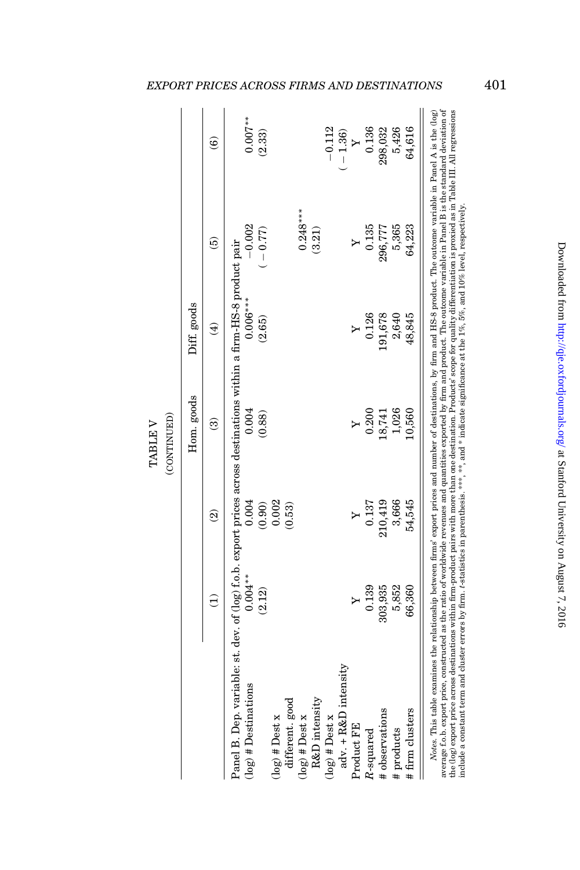<span id="page-22-0"></span>

|                                                                                                                    |           |                          | (CONTINUED) |               |            |                        |
|--------------------------------------------------------------------------------------------------------------------|-----------|--------------------------|-------------|---------------|------------|------------------------|
|                                                                                                                    |           |                          |             |               |            |                        |
|                                                                                                                    |           |                          | Hom. goods  | Diff. goods   |            |                        |
|                                                                                                                    |           | $\widehat{\mathfrak{D}}$ | ම           | $\widehat{E}$ | ම          | $\widehat{\mathbf{e}}$ |
| Panel B. Dep. variable: st. dev. of (log) f.o.b. export prices across destinations within a firm-HS-8 product pair |           |                          |             |               |            |                        |
| $(\log)$ # Destinations                                                                                            | $0.004**$ | 0.004                    | 0.004       | $0.006***$    | $-0.002$   | $0.007**$              |
|                                                                                                                    | (2.12)    | (0.90)                   | (0.88)      | (2.65)        | $-0.77)$   | (2.33)                 |
| $log)$ # Dest x                                                                                                    |           | 0.002                    |             |               |            |                        |
| different. good                                                                                                    |           | (0.53)                   |             |               |            |                        |
| $(\log)$ # Dest x                                                                                                  |           |                          |             |               | $0.248***$ |                        |
| R&D intensity                                                                                                      |           |                          |             |               | (3.21)     |                        |
| $log$ ) # Dest x                                                                                                   |           |                          |             |               |            | $-0.112$               |
| adv. + R&D intensity                                                                                               |           |                          |             |               |            | $-1.36$                |
| Product FE                                                                                                         |           |                          |             |               |            |                        |
| R-squared                                                                                                          | 0.139     | 0.137                    | 0.200       | 0.126         | 0.135      | 0.136                  |
| # observations                                                                                                     | 303,935   | 210,419                  | 18,741      | .91,678       | 296,777    | 298,032                |
| # products                                                                                                         | 5,852     | 3,666                    | 1,026       | 2,640         | 5,365      | 5,426                  |
| # firm clusters                                                                                                    | 66,360    | 54,545                   | 10,560      | 48,845        | 64,223     | 64,616                 |

average i.o.b. export proc, constructed as the ratio of worldwide revenues and quantities exported by Irm and product. The outcome variable in Fanel B is the standard deviation of<br>include a constant term and cluster errors average f.o.b. export price, constructed as the ratio of worldwide revenues and quantities exported by firm and product. The outcome variable in Panel B is the standard deviation of the (log) export price across destinations within firm-product pairs with more than one destination. Products' scope for quality differentiation is proxied as in Table III. All regressions include a constant term and cluster errors by firm. *t*-statistics in parenthesis. \*\*\*, \*\*, and \* indicate significance at the 1%, 5%, and 10% level, respectively.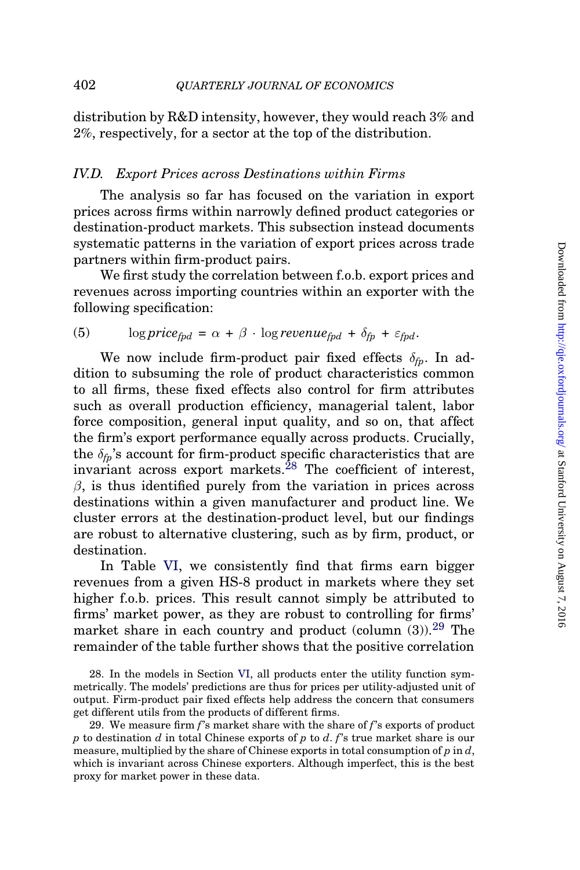distribution by  $R&D$  intensity, however, they would reach  $3%$  and 2%, respectively, for a sector at the top of the distribution.

### *IV.D. Export Prices across Destinations within Firms*

The analysis so far has focused on the variation in export prices across firms within narrowly defined product categories or destination-product markets. This subsection instead documents systematic patterns in the variation of export prices across trade partners within firm-product pairs.

We first study the correlation between f.o.b. export prices and revenues across importing countries within an exporter with the following specification:

### (5)  $\log price_{\text{fpd}} = \alpha + \beta \cdot \log revenue_{\text{fpd}} + \delta_{\text{fp}} + \varepsilon_{\text{fpd}}.$

We now include firm-product pair fixed effects  $\delta_{fp}$ . In addition to subsuming the role of product characteristics common to all firms, these fixed effects also control for firm attributes such as overall production efficiency, managerial talent, labor force composition, general input quality, and so on, that affect the firm's export performance equally across products. Crucially, the  $\delta_{fn}$ 's account for firm-product specific characteristics that are invariant across export markets.<sup>28</sup> The coefficient of interest,  $\beta$ , is thus identified purely from the variation in prices across destinations within a given manufacturer and product line. We cluster errors at the destination-product level, but our findings are robust to alternative clustering, such as by firm, product, or destination.

In Table [VI,](#page-24-0) we consistently find that firms earn bigger revenues from a given HS-8 product in markets where they set higher f.o.b. prices. This result cannot simply be attributed to firms' market power, as they are robust to controlling for firms' market share in each country and product (column  $(3)$ ).<sup>29</sup> The remainder of the table further shows that the positive correlation

28. In the models in Section [VI](#page-40-0), all products enter the utility function symmetrically. The models' predictions are thus for prices per utility-adjusted unit of output. Firm-product pair fixed effects help address the concern that consumers get different utils from the products of different firms.

29. We measure firm *f*'s market share with the share of *f*'s exports of product *p* to destination *d* in total Chinese exports of *p* to *d*. *f*'s true market share is our measure, multiplied by the share of Chinese exports in total consumption of  $p$  in  $d$ , which is invariant across Chinese exporters. Although imperfect, this is the best proxy for market power in these data.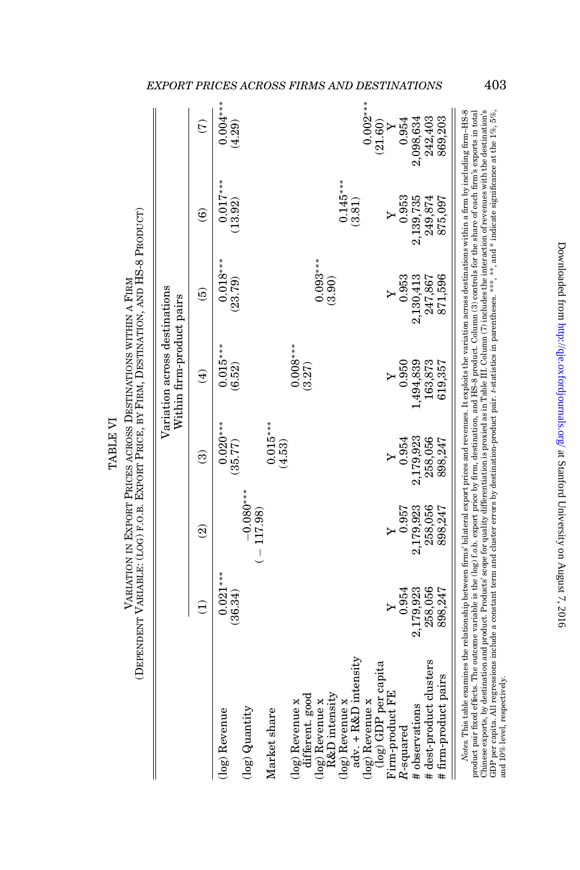| <b>IV ABLEY</b> | PENDENT VARIABLE: (LOG) F.O.B. EXPORT PRICE, BY FIRM, DESTINATION, AND HS-8 PRODUCT.<br>VARIATION IN EXPORT PRICES ACROSS DESTINATIONS WITHIN A |
|-----------------|-------------------------------------------------------------------------------------------------------------------------------------------------|
|-----------------|-------------------------------------------------------------------------------------------------------------------------------------------------|

|                                         |                       |                          |                      | Variation across destinations |                       |                        |                      |
|-----------------------------------------|-----------------------|--------------------------|----------------------|-------------------------------|-----------------------|------------------------|----------------------|
|                                         |                       |                          |                      | Within firm-product pairs     |                       |                        |                      |
|                                         |                       | $\widehat{\mathfrak{S}}$ | ල                    | $\bigoplus$                   | $\widehat{e}$         | $\widehat{\mathbf{e}}$ | $\widehat{C}$        |
| (log) Revenue                           | $0.021***$<br>(36.34) |                          | $0.020***$<br>35.77) | $0.015***$<br>(6.52)          | $0.018***$<br>(23.79) | $0.017***$<br>(13.92)  | $0.004***$<br>(4.29) |
| (log) Quantity                          |                       | $-0.080**$<br>$-117.98$  |                      |                               |                       |                        |                      |
| Market share                            |                       |                          | $0.015***$<br>(4.53) |                               |                       |                        |                      |
| different. good<br>(log) Revenue x      |                       |                          |                      | $0.008***$ (3.27)             |                       |                        |                      |
| $(\log)$ Revenue x<br>R&D intensity     |                       |                          |                      |                               | $0.093***$<br>(3.90)  |                        |                      |
| adv. + R&D intensity<br>(log) Revenue x |                       |                          |                      |                               |                       | $0.145***$<br>(3.81)   |                      |
| (log) Revenue x                         |                       |                          |                      |                               |                       |                        | $0.002***$           |
| (log) GDP per capita<br>Firm-product FE |                       |                          |                      |                               |                       |                        | $^{(21.60)}_{\rm Y}$ |
| $R$ -squared                            | 0.954                 | 0.957                    | 0.954                | 0.950                         | 0.953                 | 0.953                  | 0.954                |
| # observations                          | 2,179,923             | 2,179,923                | 2,179,923            | ,494,839                      | 2,130,413             | 2,139,735              | 2,098,634            |
| # dest-product clusters                 | 258,056               | 258,056                  | 258,056              | 163,873                       | 247,867               | 249,874                | 242,403              |
| # firm-product pairs                    | 898,247               | 898,247                  | 898,247              | 619,357                       | 871,596               | 875,097                | 869,203              |
|                                         |                       |                          |                      |                               |                       |                        |                      |

product pair fixed effects. The outcome variable is the (log) f.o.b. export price by firm, destination, and HS-8 product. Column (3) controls for the share of each firm's exports in total<br>Chinese exports, by destination an GDP per capita. All regressions include a constant term and cluster errors by destination-product pair. t-statistics in parentheses. \*\*\*, \*\*\*, and \* indicate significance at the 1%, 5%,<br>and 10% level, respectively. Notes. This table examines the relationship between firms' bilateral export prices and revenues. It exploits the variation across destinations within a firm by including firm-HS-8 *Notes.* This table examines the relationship between firms' bilateral export prices and revenues. It exploits the variation across destinations within a firm by including firm–HS-8 product pair fixed effects. The outcome variable is the (log) f.o.b. export price by firm, destination, and HS-8 product. Column (3) controls for the share of each firm's exports in total Chinese exports, by destination and product. Products' scope for quality differentiation is proxied as in Table III. Column (7) includes the interaction of revenues with the destination's GDP per capita. All regressions include a constant term and cluster errors by destination-product pair. *t*-statistics in parentheses. \*\*\*, \*\*, and \* indicate significance at the 1%, 5%, and 10% level, respectively.

### <span id="page-24-0"></span>*EXPORT PRICES ACROSS FIRMS AND DESTINATIONS* 403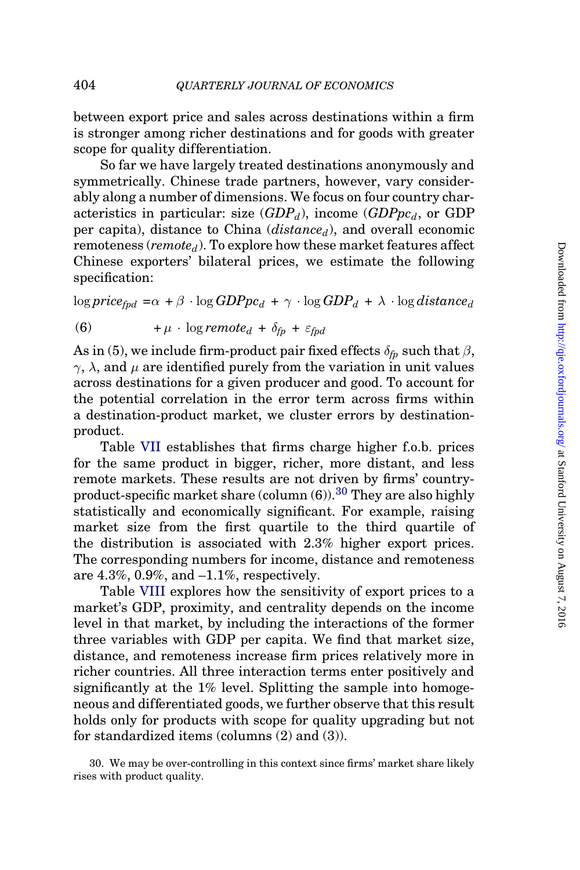between export price and sales across destinations within a firm is stronger among richer destinations and for goods with greater scope for quality differentiation.

Sofar we have largely treated destinations anonymously and symmetrically. Chinese trade partners, however, vary considerably along a number of dimensions. We focus on four country characteristics in particular: size  $(GDP_d)$ , income  $(GDP_{cd})$ , or  $GDP$ per capita), distance to China (*distance<sub>d</sub>*), and overall economic remoteness ( $remote_d$ ). To explore how these market features affect Chinese exporters' bilateral prices, we estimate the following specification:

 $\log price_{\text{fpd}} = \alpha + \beta \cdot \log GDPpc_d + \gamma \cdot \log GDP_d + \lambda \cdot \log distance_d$ 

(6) 
$$
+\mu \cdot \log remote_d + \delta_{fp} + \varepsilon_{fpd}
$$

As in (5), we include firm-product pair fixed effects  $\delta_{fp}$  such that  $\beta$ ,  $\gamma$ ,  $\lambda$ , and  $\mu$  are identified purely from the variation in unit values across destinations for a given producer and good. To account for the potential correlation in the error term across firms within a destination-product market, we cluster errors by destinationproduct.

Table [VII](#page-26-0) establishes that firms charge higher f.o.b. prices for the same product in bigger, richer, more distant, and less remote markets. These results are not driven by firms' countryproduct-specific market share (column  $(6)$ ).<sup>30</sup> They are also highly statistically and economically significant. For example, raising market size from the first quartile to the third quartile of the distribution is associated with 2.3% higher export prices. The corresponding numbers for income, distance and remoteness are 4.3%, 0.9%, and –1.1%, respectively.

Table [VIII](#page-28-0) explores how the sensitivity of export prices to a market's GDP, proximity, and centrality depends on the income level in that market, by including the interactions of the former three variables with GDP per capita. We find that market size, distance, and remoteness increase firm prices relatively more in richer countries. All three interaction terms enter positively and significantly at the 1% level. Splitting the sample into homogeneous and differentiated goods, we further observe that this result holds only for products with scope for quality upgrading but not for standardized items (columns (2) and (3)).

30. We may be over-controlling in this context since firms' market share likely rises with product quality.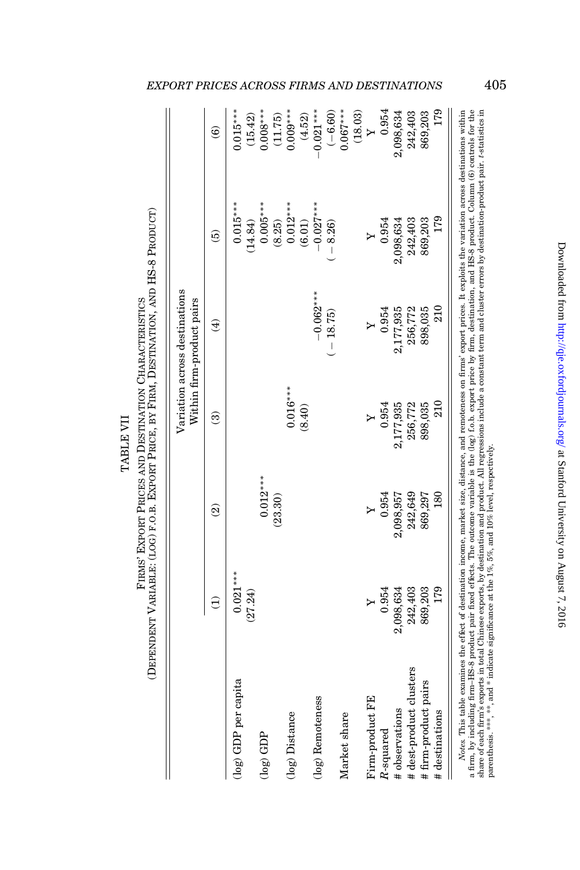| <b>IIABLE VII</b> | AND DA<br>יה ז רוה מ<br><b>THOODA</b> | $18-81$<br>EXPORT PRICE, BY FIRM, DE<br>G) F.O.B. E<br>C<br>C<br>C<br>C<br>C<br>ŗ<br>ravim V A.D.I |
|-------------------|---------------------------------------|----------------------------------------------------------------------------------------------------|
|-------------------|---------------------------------------|----------------------------------------------------------------------------------------------------|

| $0.016***$<br>(8.40)<br>$\odot$<br>$0.012***$<br>(23.30)<br>$\widehat{\mathfrak{D}}$<br>$0.021***$<br>(27.24)<br>$\ominus$<br>(log) GDP per capita<br>(log) Remoteness<br>Firm-product FE<br>(log) Distance<br>Market share<br>$(\log)$ GDP |       | $-0.062***$<br>$\widehat{E}$ | $0.012***$<br>$0.015***$<br>$0.005***$<br>$-0.027***$<br>(14.84)<br>$\left( 8.25\right)$<br>(6.01)<br>$\widehat{5}$ | $(11.75)$<br>$0.009***$<br>$0.015***$<br>$0.008***$<br>(4.52)<br>(15.42)<br>$\widehat{\mathbf{e}}$ |
|---------------------------------------------------------------------------------------------------------------------------------------------------------------------------------------------------------------------------------------------|-------|------------------------------|---------------------------------------------------------------------------------------------------------------------|----------------------------------------------------------------------------------------------------|
|                                                                                                                                                                                                                                             |       |                              |                                                                                                                     |                                                                                                    |
|                                                                                                                                                                                                                                             |       |                              |                                                                                                                     |                                                                                                    |
|                                                                                                                                                                                                                                             |       |                              |                                                                                                                     |                                                                                                    |
|                                                                                                                                                                                                                                             |       |                              |                                                                                                                     |                                                                                                    |
|                                                                                                                                                                                                                                             |       |                              |                                                                                                                     |                                                                                                    |
|                                                                                                                                                                                                                                             |       |                              |                                                                                                                     |                                                                                                    |
|                                                                                                                                                                                                                                             |       |                              |                                                                                                                     | $-0.021***$                                                                                        |
|                                                                                                                                                                                                                                             |       | $-18.75$                     | $-8.26$                                                                                                             | $(-6.60)$<br>0.067***                                                                              |
|                                                                                                                                                                                                                                             |       |                              |                                                                                                                     |                                                                                                    |
|                                                                                                                                                                                                                                             |       |                              |                                                                                                                     | $\frac{\textbf{(18.03)}}{\textbf{Y}}$                                                              |
|                                                                                                                                                                                                                                             |       |                              |                                                                                                                     |                                                                                                    |
| 0.954<br>0.954<br>R-squared                                                                                                                                                                                                                 | 0.954 | 0.954                        | 0.954                                                                                                               | 0.954                                                                                              |
| 2,177,935<br>2,098,957<br>2,098,634<br># observations                                                                                                                                                                                       |       | 2,177,935                    | 2,098,634                                                                                                           | 2,098,634                                                                                          |
| 256,772<br>242,649<br>242,403<br># dest-product clusters                                                                                                                                                                                    |       | 256,772                      | 242,403                                                                                                             | 242,403                                                                                            |
| 898,035<br>869,297<br>869,203<br># firm-product pairs                                                                                                                                                                                       |       | 898,035                      | 869,203                                                                                                             | 869,203                                                                                            |
| 210<br>180<br>179<br># destinations                                                                                                                                                                                                         |       | 210                          | 179                                                                                                                 | 179                                                                                                |

*Notes*. This table examines the effect of destination income, market size, distance, and remoteness on firms expert prices. It exploits the variation across destinations within a firm, by including firm-HS-8 product pair share of each firm's exports in total Chinese exports, by destination and product. All regressions include a constant term and cluster errors by destination-product pair. *t*-statistics in *Notes.* This table examines the effect of destination income, market size, distance, and remoteness on firms' export prices. It exploits the variation across destinations within a firm, by including firm–HS-8 product pair fixed effects. The outcome variable is the (log) f.o.b. export price by firm, destination, and HS-8 product. Column (6) controls for the parenthesis. \*\*\*, \*\*, and \* indicate significance at the 1%, 5%, and 10% level, respectively.

### <span id="page-26-0"></span>*EXPORT PRICES ACROSS FIRMS AND DESTINATIONS* 405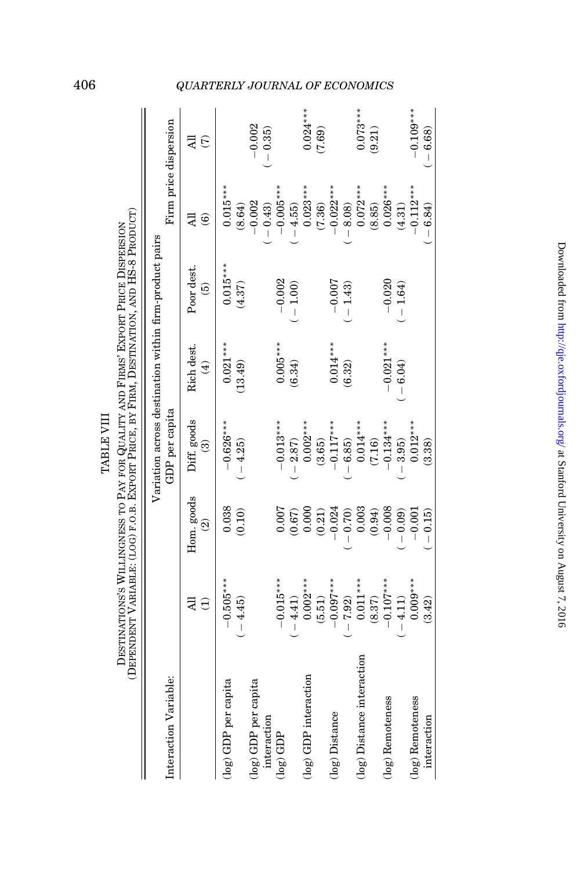|                                     | DEPENDENT VARIABLE: (LOG.) F.O.B. EXPORT PRICE, BY FIRM, DESTINATION, AND HS-8 PRODUCT)<br>DESTINATIONS'S WILLINGNESS TO PAY FOR QUALITY AND FIRMS' EXPORT PRICE DISFERSION |                                        |                         |                           |                                                        |                        |                        |
|-------------------------------------|-----------------------------------------------------------------------------------------------------------------------------------------------------------------------------|----------------------------------------|-------------------------|---------------------------|--------------------------------------------------------|------------------------|------------------------|
| Interaction Variable:               |                                                                                                                                                                             |                                        | GDP per capita          |                           | Variation across destination within firm-product pairs |                        | Firm price dispersion  |
|                                     | E<br>Ξ                                                                                                                                                                      | Hom. goods<br>$\widehat{\mathfrak{D}}$ | Diff. goods<br>$\odot$  | Rich dest.<br>$\bigoplus$ | Poor dest.<br>$\widehat{e}$                            | $\overline{a}$<br>ම    | 티<br>E                 |
| (log) GDP per capita                | $-0.505***$<br>$-4.45$                                                                                                                                                      | 0.038<br>(0.10)                        | $-0.626***$<br>$-4.25$  | $0.021***$<br>(13.49)     | $0.015***$<br>(4.37)                                   | $0.015***$<br>(8.64)   |                        |
| (log) GDP per capita<br>interaction |                                                                                                                                                                             |                                        |                         |                           |                                                        | $-0.002$<br>$-0.43$    | $-0.002$<br>$-0.35$    |
| (log) GDP                           | $-0.015***$<br>$-4.41)$                                                                                                                                                     | 0.007<br>(0.67)                        | $-0.013$ ***<br>$-2.87$ | $0.005***$<br>(6.34)      | $-0.002$<br>$-1.00$                                    | $-0.005***$<br>$-4.55$ |                        |
| (log) GDP interaction               | $0.002***$<br>(5.51)                                                                                                                                                        | 0.000<br>(0.21)                        | $0.002***$<br>(3.65)    |                           |                                                        | $0.023***$<br>(7.36)   | $0.024***$<br>(7.69)   |
| (log) Distance                      | $-0.097***$<br>$-7.92$                                                                                                                                                      | $-0.024$<br>$-0.70$                    | $-0.117***$<br>$-6.85$  | $0.014***$<br>(6.32)      | $-0.007$<br>$-1.43$                                    | $-0.022***$<br>$-8.08$ |                        |
| (log) Distance interaction          | $0.011***$<br>(8.37)                                                                                                                                                        | 0.003<br>(0.94)                        | $0.014***$<br>(7.16)    |                           |                                                        | $0.072***$<br>(8.85)   | $0.073***$<br>(9.21)   |
| (log) Remoteness                    | $-0.107***$<br>$-4.11$                                                                                                                                                      | $-0.008$<br>$-0.09$                    | $-0.134***$<br>$-3.95$  | $-0.021***$<br>$-6.04)$   | $-0.020$<br>$-1.64$                                    | $0.026***$<br>(4.31)   |                        |
| (log) Remoteness<br>interaction     | $0.009***$<br>(3.42)                                                                                                                                                        | $-0.001$<br>$-0.15$                    | $0.012***$<br>(3.38)    |                           |                                                        | $-0.112***$<br>$-6.84$ | $-0.109***$<br>$-6.68$ |
|                                     |                                                                                                                                                                             |                                        |                         |                           |                                                        |                        |                        |

TABLE VIII TABLE VIII

f Р نځ<br>م p TТ

 $\epsilon$ 

# 406 *QUARTERLY JOURNAL OF ECONOMICS*

Downloaded from <http://qje.oxfordjournals.org/> at Stanford University on August 7, 2016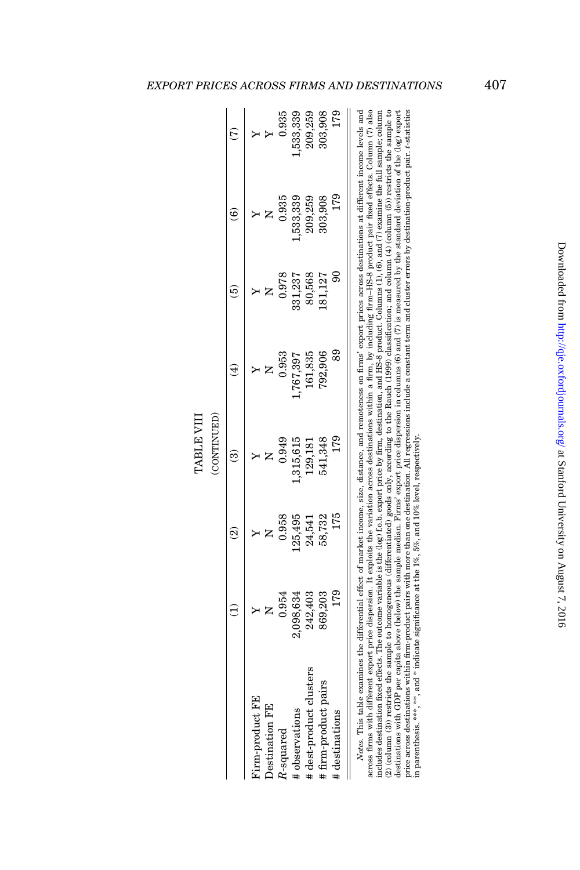<span id="page-28-0"></span>

|                         |          |         | (CONTINUED) |          |         |         |          |
|-------------------------|----------|---------|-------------|----------|---------|---------|----------|
|                         |          | $\odot$ | ల           | 4        | مب      | ڞ       | F        |
| Firm-product FE         |          |         |             |          |         |         |          |
| Destination FE          |          |         |             |          |         |         |          |
| R-squared               | 0.954    | 0.958   | 0.949       | 0.953    | 0.978   | 0.935   | 0.935    |
| #observations           | ,098,634 | 25,495  | ,315,615    | ,767,397 | 331,237 | 533,339 | ,533,339 |
| # dest-product clusters | 242,403  | 24,541  | 129,181     | 161,835  | 80,568  | 209,259 | 209,259  |
| irm-product pairs       | 869,203  | 58,732  | 541,348     | 792,906  | 181,127 | 303,908 | 303,908  |
| # destinations          | 179      | 175     | 179         |          | Ş       | 179     | 179      |
|                         |          |         |             |          |         |         |          |

TABLE VIII

TABLE VIII

| Notes. This table examines the differential effect of market income, size, distance, and remoteness on firms' export prices across destinations at different income levels and<br>across firms with different export price dispersion. It exploits the variation across destinations within a firm, by including firm-HS-8 product pair fixed effects. Column (7) also<br>includes destination fixed effects. The outcome variable is the $(\log)$ f.o.b. export price by firm, destination, and HS-8 product. Columns (1), (6), and (7) examine the full sample; column<br>(2) (column (3)) restricts the sample to homogeneous (differentiated) goods only, according to the Rauch (1999) classification; and column (4) (column (5)) restricts the sample to<br>destinations with GDP per capita above (below) the sample median. Firms' export price dispersion in columns (6) and (7) is measured by the standard deviation of the (log) export<br>price across destinations within firm-product pairs with more than one destination. All regressions include a constant term and cluster errors by destination-product pair. t-statistics<br>in parenthesis. ****, ***, and * indicate significance at the $1\%$ , $5\%$ , and $10\%$ level, respectively. |
|-------------------------------------------------------------------------------------------------------------------------------------------------------------------------------------------------------------------------------------------------------------------------------------------------------------------------------------------------------------------------------------------------------------------------------------------------------------------------------------------------------------------------------------------------------------------------------------------------------------------------------------------------------------------------------------------------------------------------------------------------------------------------------------------------------------------------------------------------------------------------------------------------------------------------------------------------------------------------------------------------------------------------------------------------------------------------------------------------------------------------------------------------------------------------------------------------------------------------------------------------------------------|
|                                                                                                                                                                                                                                                                                                                                                                                                                                                                                                                                                                                                                                                                                                                                                                                                                                                                                                                                                                                                                                                                                                                                                                                                                                                                   |
|                                                                                                                                                                                                                                                                                                                                                                                                                                                                                                                                                                                                                                                                                                                                                                                                                                                                                                                                                                                                                                                                                                                                                                                                                                                                   |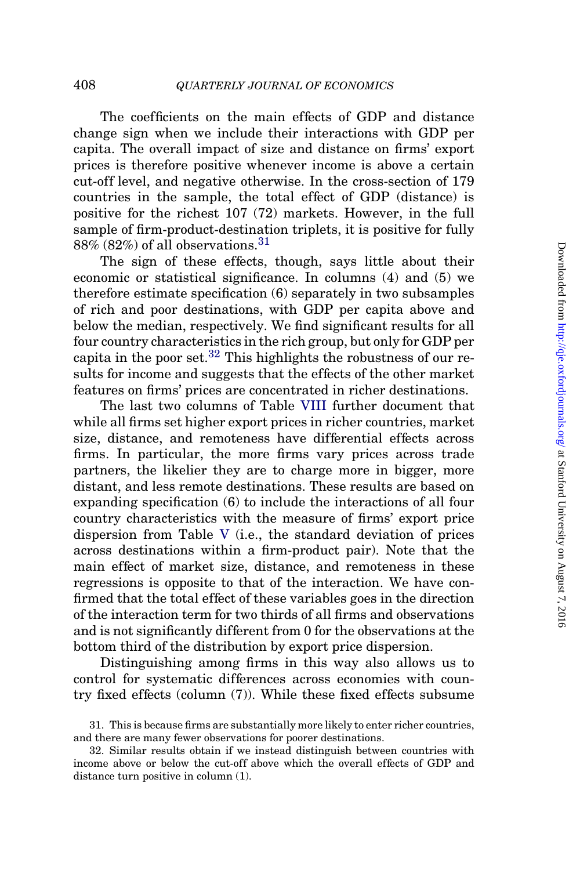The coefficients on the main effects of GDP and distance change sign when we include their interactions with GDP per capita. The overall impact of size and distance on firms' export prices is therefore positive whenever income is above a certain cut-off level, and negative otherwise. In the cross-section of 179 countries in the sample, the total effect of GDP (distance) is positive for the richest 107 (72) markets. However, in the full sample of firm-product-destination triplets, it is positive for fully 88% (82%) of all observations.<sup>31</sup>

The sign of these effects, though, says little about their economic or statistical significance. In columns (4) and (5) we therefore estimate specification (6) separately in two subsamples of rich and poor destinations, with GDP per capita above and below the median, respectively. We find significant results for all four country characteristics in the rich group, but only for GDP per capita in the poor set.<sup>32</sup> This highlights the robustness of our results for income and suggests that the effects of the other market features on firms' prices are concentrated in richer destinations.

The last two columns of Table [VIII](#page-28-0) further document that while all firms set higher export prices in richer countries, market size, distance, and remoteness have differential effects across firms. In particular, the more firms vary prices across trade partners, the likelier they are to charge more in bigger, more distant, and less remote destinations. These results are based on expanding specification (6) to include the interactions of all four country characteristics with the measure of firms' export price dispersion from Table [V](#page-22-0) (i.e., the standard deviation of prices across destinations within a firm-product pair). Note that the main effect of market size, distance, and remoteness in these regressions is opposite to that of the interaction. We have confirmed that the total effect of these variables goes in the direction of the interaction term for twothirds of all firms and observations and is not significantly different from 0 for the observations at the bottom third of the distribution by export price dispersion.

Distinguishing among firms in this way also allows us to control for systematic differences across economies with country fixed effects (column (7)). While these fixed effects subsume

<sup>31.</sup> This is because firms are substantially more likely to enter richer countries, and there are many fewer observations for poorer destinations.

<sup>32.</sup> Similar results obtain if we instead distinguish between countries with income above or below the cut-off above which the overall effects of GDP and distance turn positive in column (1).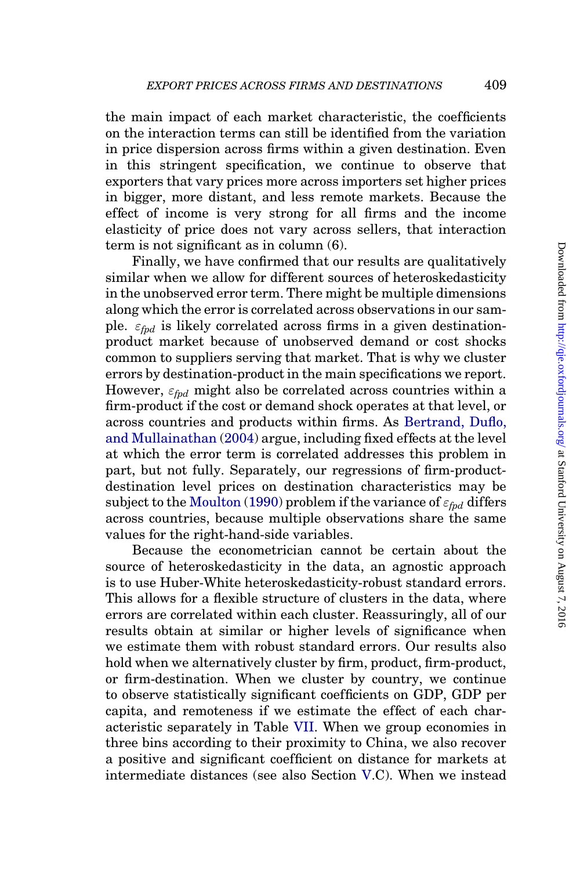the main impact of each market characteristic, the coefficients on the interaction terms can still be identified from the variation in price dispersion across firms within a given destination. Even in this stringent specification, we continue to observe that exporters that vary prices more across importers set higher prices in bigger, more distant, and less remote markets. Because the effect of income is very strong for all firms and the income elasticity of price does not vary across sellers, that interaction term is not significant as in column (6).

Finally, we have confirmed that our results are qualitatively similar when we allow for different sources of heteroskedasticity in the unobserved error term. There might be multiple dimensions along which the error is correlated across observations in our sample. ε*fpd* is likely correlated across firms in a given destinationproduct market because of unobserved demand or cost shocks common to suppliers serving that market. That is why we cluster errors by destination-product in the main specifications we report. However,  $\varepsilon_{\text{fpd}}$  might also be correlated across countries within a firm-product if the cost or demand shock operates at that level, or across countries and products within firms. As [Bertrand, Duflo,](#page-55-0) and Mullainathan (2004) argue, including fixed effects at the level at which the error term is correlated addresses this problem in part, but not fully. Separately, our regressions of firm-productdestination level prices on destination characteristics may be subject to the Moulton (1990) problem if the variance of  $\varepsilon_{\text{fnd}}$  differs across countries, because multiple observations share the same values for the right-hand-side variables.

Because the econometrician cannot be certain about the source of heteroskedasticity in the data, an agnostic approach is to use Huber-White heteroskedasticity-robust standard errors. This allows for a flexible structure of clusters in the data, where errors are correlated within each cluster. Reassuringly, all of our results obtain at similar or higher levels of significance when we estimate them with robust standard errors. Our results also hold when we alternatively cluster by firm, product, firm-product, or firm-destination. When we cluster by country, we continue to observe statistically significant coefficients on GDP, GDP per capita, and remoteness if we estimate the effect of each characteristic separately in Table [VII](#page-26-0). When we group economies in three bins according to their proximity to China, we also recover a positive and significant coefficient on distance for markets at intermediate distances (see also Section [V.](#page-36-0)C). When we instead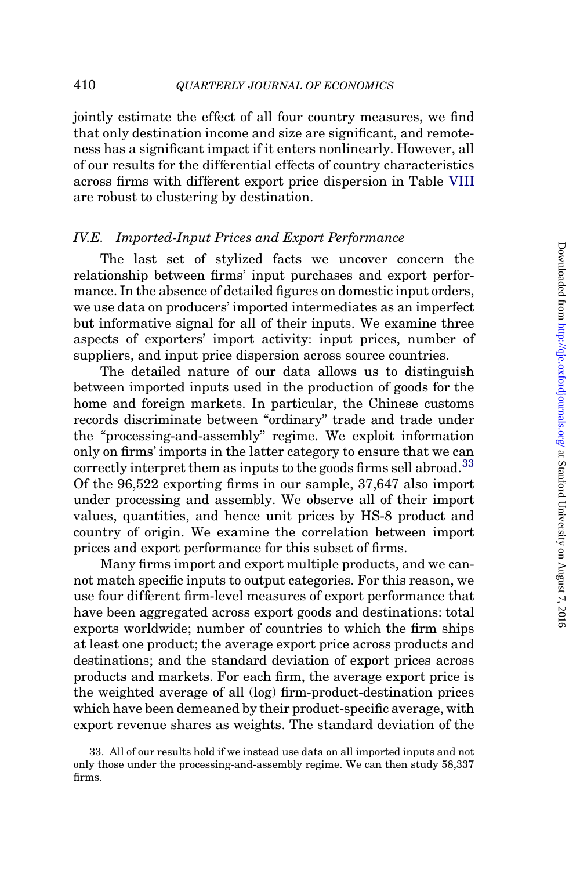jointly estimate the effect of all four country measures, we find that only destination income and size are significant, and remoteness has a significant impact if it enters nonlinearly. However, all of our results for the differential effects of country characteristics across firms with different export price dispersion in Table [VIII](#page-28-0) are robust to clustering by destination.

#### *IV.E. Imported-Input Prices and Export Performance*

The last set of stylized facts we uncover concern the relationship between firms' input purchases and export performance. In the absence of detailed figures on domestic input orders, we use data on producers' imported intermediates as an imperfect but informative signal for all of their inputs. We examine three aspects of exporters' import activity: input prices, number of suppliers, and input price dispersion across source countries.

The detailed nature of our data allows us to distinguish between imported inputs used in the production of goods for the home and foreign markets. In particular, the Chinese customs records discriminate between "ordinary" trade and trade under the "processing-and-assembly" regime. We exploit information only on firms' imports in the latter category to ensure that we can correctly interpret them as inputs to the goods firms sell abroad.<sup>33</sup> Of the 96,522 exporting firms in our sample, 37,647 also import under processing and assembly. We observe all of their import values, quantities, and hence unit prices by HS-8 product and country of origin. We examine the correlation between import prices and export performance for this subset of firms.

Many firms import and export multiple products, and we cannot match specific inputs to output categories. For this reason, we use four different firm-level measures of export performance that have been aggregated across export goods and destinations: total exports worldwide; number of countries to which the firm ships at least one product; the average export price across products and destinations; and the standard deviation of export prices across products and markets. For each firm, the average export price is the weighted average of all (log) firm-product-destination prices which have been demeaned by their product-specific average, with export revenue shares as weights. The standard deviation of the

<sup>33.</sup> All of our results hold if we instead use data on all imported inputs and not only those under the processing-and-assembly regime. We can then study 58,337 firms.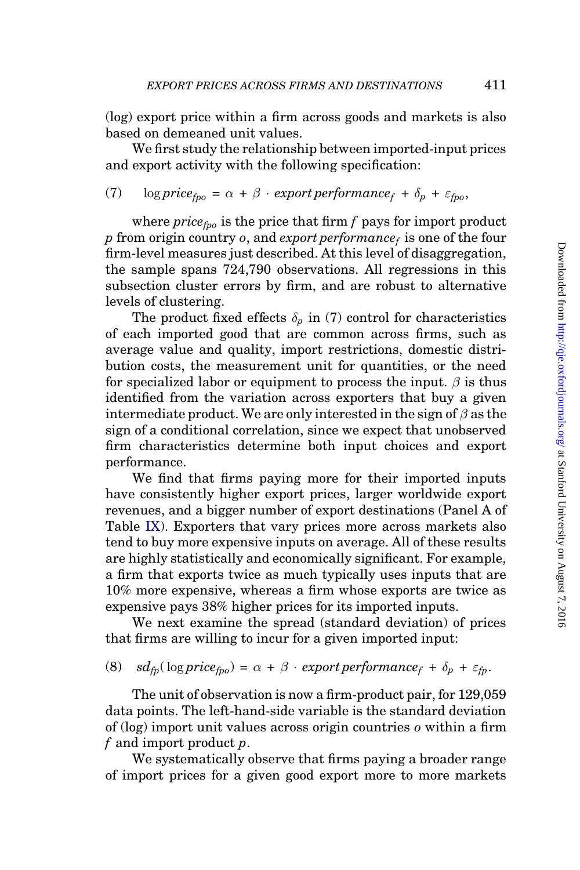(log) export price within a firm across goods and markets is also based on demeaned unit values.

We first study the relationship between imported-input prices and export activity with the following specification:

# (7)  $\log price_{fpo} = \alpha + \beta \cdot export\ performance_f + \delta_p + \varepsilon_{fpo}$ ,

where *pricefpo* is the price that firm *f* pays for import product  $p$  from origin country  $o$ , and *export performance<sub>f</sub>* is one of the four firm-level measures just described. At this level of disaggregation, the sample spans 724,790 observations. All regressions in this subsection cluster errors by firm, and are robust to alternative levels of clustering.

The product fixed effects  $\delta_p$  in (7) control for characteristics of each imported good that are common across firms, such as average value and quality, import restrictions, domestic distribution costs, the measurement unit for quantities, or the need for specialized labor or equipment to process the input.  $\beta$  is thus identified from the variation across exporters that buy a given intermediate product. We are only interested in the sign of  $\beta$  as the sign of a conditional correlation, since we expect that unobserved firm characteristics determine both input choices and export performance.

We find that firms paying more for their imported inputs have consistently higher export prices, larger worldwide export revenues, and a bigger number of export destinations (Panel A of Table [IX](#page-34-0)). Exporters that vary prices more across markets also tend tobuy more expensive inputs on average. All of these results are highly statistically andeconomically significant. For example, a firm that exports twice as much typically uses inputs that are 10% more expensive, whereas a firm whose exports are twice as expensive pays 38% higher prices for its imported inputs.

We next examine the spread (standard deviation) of prices that firms are willing to incur for a given imported input:

### (8)  $sd_{fp}(\log price_{fpo}) = \alpha + \beta \cdot export\ performance_f + \delta_p + \varepsilon_{fp}.$

The unit of observation is now a firm-product pair, for  $129,059$ data points. The left-hand-side variable is the standard deviation of (log) import unit values across origin countries *o* within a firm *f* and import product *p*.

We systematically observe that firms paying a broader range of import prices for a given good export more to more markets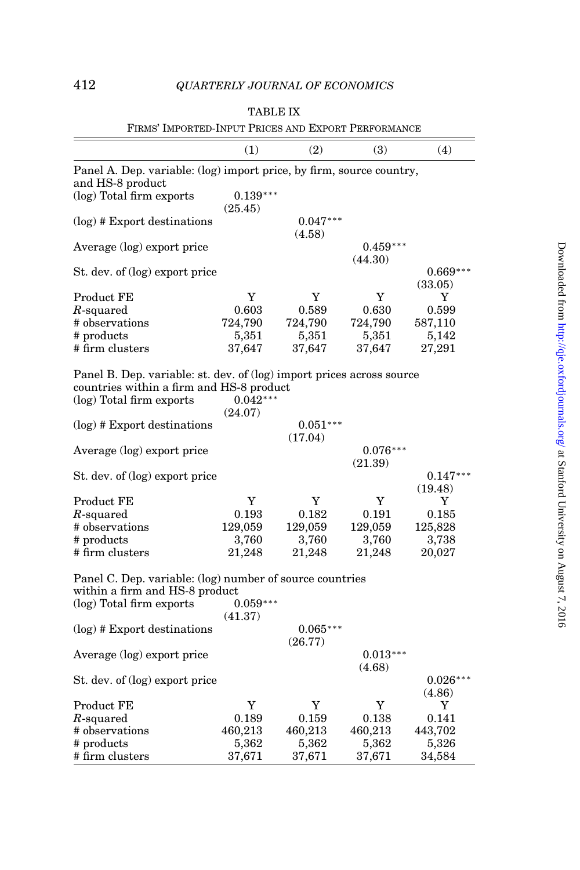| FIRMS' IMPORTED-INPUT PRICES AND EXPORT PERFORMANCE                                                                                           |            |            |            |            |
|-----------------------------------------------------------------------------------------------------------------------------------------------|------------|------------|------------|------------|
|                                                                                                                                               | (1)        | (2)        | <b>(3)</b> | (4)        |
| Panel A. Dep. variable: (log) import price, by firm, source country,                                                                          |            |            |            |            |
| and HS-8 product                                                                                                                              |            |            |            |            |
| (log) Total firm exports                                                                                                                      | $0.139***$ |            |            |            |
|                                                                                                                                               | (25.45)    |            |            |            |
| $(\log)$ # Export destinations                                                                                                                |            | $0.047***$ |            |            |
|                                                                                                                                               |            | (4.58)     |            |            |
| Average (log) export price                                                                                                                    |            |            | $0.459***$ |            |
|                                                                                                                                               |            |            | (44.30)    |            |
| St. dev. of (log) export price                                                                                                                |            |            |            | $0.669***$ |
|                                                                                                                                               |            |            |            | (33.05)    |
| Product FE                                                                                                                                    | Y          | Y          | Y          | Y          |
| $R$ -squared                                                                                                                                  | 0.603      | 0.589      | 0.630      | 0.599      |
| # observations                                                                                                                                | 724,790    | 724,790    | 724,790    | 587,110    |
| # products                                                                                                                                    | 5,351      | 5,351      | 5,351      | 5,142      |
| # firm clusters                                                                                                                               | 37,647     | 37,647     | 37,647     | 27,291     |
| Panel B. Dep. variable: st. dev. of (log) import prices across source<br>countries within a firm and HS-8 product<br>(log) Total firm exports | $0.042***$ |            |            |            |
|                                                                                                                                               | (24.07)    |            |            |            |
| $(\log)$ # Export destinations                                                                                                                |            | $0.051***$ |            |            |
|                                                                                                                                               |            | (17.04)    |            |            |
| Average (log) export price                                                                                                                    |            |            | $0.076***$ |            |
|                                                                                                                                               |            |            | (21.39)    |            |
| St. dev. of (log) export price                                                                                                                |            |            |            | $0.147***$ |
|                                                                                                                                               |            |            |            | (19.48)    |
| <b>Product FE</b>                                                                                                                             | Y          | Y          | Y          | Y          |
| $R$ -squared                                                                                                                                  | 0.193      | 0.182      | 0.191      | 0.185      |
| # observations                                                                                                                                | 129,059    | 129,059    | 129,059    | 125,828    |
| # products                                                                                                                                    | 3,760      | 3,760      | 3,760      | 3,738      |
| # firm clusters                                                                                                                               | 21,248     | 21,248     | 21,248     | 20,027     |
|                                                                                                                                               |            |            |            |            |
| Panel C. Dep. variable: (log) number of source countries<br>within a firm and HS-8 product                                                    |            |            |            |            |
|                                                                                                                                               | $0.059***$ |            |            |            |
| (log) Total firm exports                                                                                                                      | (41.37)    |            |            |            |
| $(\log)$ # Export destinations                                                                                                                |            | $0.065***$ |            |            |
|                                                                                                                                               |            | (26.77)    |            |            |
| Average (log) export price                                                                                                                    |            |            | $0.013***$ |            |
|                                                                                                                                               |            |            | (4.68)     |            |
| St. dev. of (log) export price                                                                                                                |            |            |            | $0.026***$ |
|                                                                                                                                               |            |            |            | (4.86)     |
| Product FE                                                                                                                                    | Y          | Y          | Y          | Y          |
| $R$ -squared                                                                                                                                  | 0.189      | 0.159      | 0.138      | 0.141      |
| # observations                                                                                                                                | 460,213    | 460,213    | 460,213    | 443,702    |
| # products                                                                                                                                    | 5,362      | 5,362      | 5,362      | 5,326      |
| # firm clusters                                                                                                                               | 37,671     | 37,671     | $37,\!671$ | 34,584     |

### TABLE IX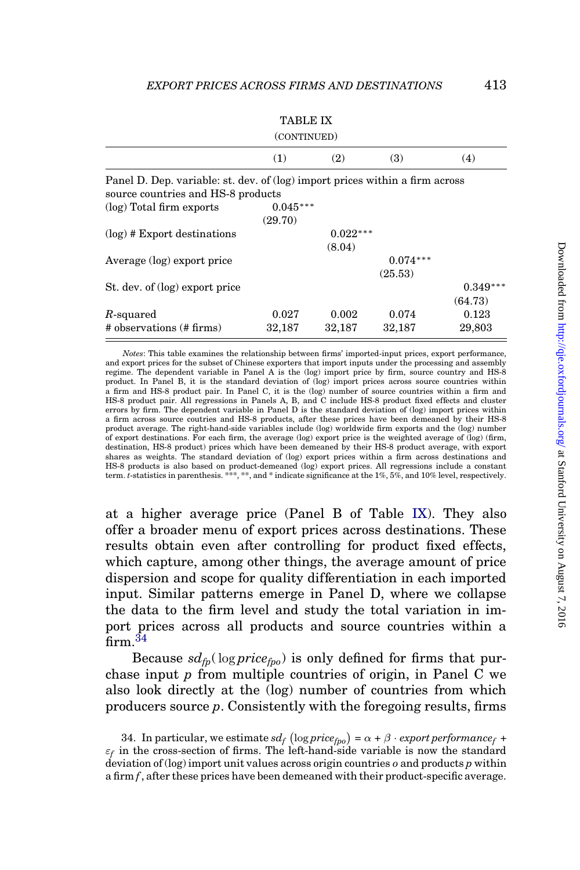$TATETIT$ 

<span id="page-34-0"></span>

|                                                                                                                    | TADLE IA<br>(CONTINUED) |                      |                       |                       |
|--------------------------------------------------------------------------------------------------------------------|-------------------------|----------------------|-----------------------|-----------------------|
|                                                                                                                    | (1)                     | (2)                  | (3)                   | (4)                   |
| Panel D. Dep. variable: st. dev. of (log) import prices within a firm across<br>source countries and HS-8 products |                         |                      |                       |                       |
| (log) Total firm exports                                                                                           | $0.045***$<br>(29.70)   |                      |                       |                       |
| $(\log)$ # Export destinations                                                                                     |                         | $0.022***$<br>(8.04) |                       |                       |
| Average (log) export price                                                                                         |                         |                      | $0.074***$<br>(25.53) |                       |
| St. dev. of (log) export price                                                                                     |                         |                      |                       | $0.349***$<br>(64.73) |
| $R$ -squared<br># observations (# firms)                                                                           | 0.027<br>32,187         | 0.002<br>32,187      | 0.074<br>32,187       | 0.123<br>29,803       |

*Notes*: This table examines the relationship between firms' imported-input prices, export performance, and export prices for the subset of Chinese exporters that import inputs under the processing and assembly regime. The dependent variable in Panel A is the (log) import price by firm, source country and HS-8 product. In Panel B, it is the standard deviation of (log) import prices across source countries within a firm and HS-8 product pair. In Panel C, it is the (log) number of source countries within a firm and HS-8 product pair. All regressions in Panels A, B, and C include HS-8 product fixed effects and cluster errors by firm. The dependent variable in Panel D is the standard deviation of (log) import prices within a firm across source coutries and HS-8 products, after these prices have been demeaned by their HS-8 product average. The right-hand-side variables include (log) worldwide firm exports and the (log) number of export destinations. For each firm, the average (log) export price is the weighted average of (log) (firm, destination, HS-8 product) prices which have been demeaned by their HS-8 product average, with export shares as weights. The standard deviation of (log) export prices within a firm across destinations and HS-8 products is also based on product-demeaned (log) export prices. All regressions include a constant term. *t*-statistics in parenthesis. \*\*\*, \*\*, and \* indicate significance at the 1%, 5%, and 10% level, respectively.

at a higher average price (Panel B of Table IX). They also offer a broader menu of export prices across destinations. These results obtain even after controlling for product fixed effects, which capture, among other things, the average amount of price dispersion and scope for quality differentiation in each imported input. Similar patterns emerge in Panel D, where we collapse the data to the firm level and study the total variation in import prices across all products and source countries within a  $firm.<sup>34</sup>$ 

Because  $sd_{fp}(\log price_{fpo})$  is only defined for firms that purchase input *p* from multiple countries of origin, in Panel C we also look directly at the (log) number of countries from which producers source *p*. Consistently with the foregoing results, firms

<sup>34.</sup> In particular, we estimate  $sd_f$  ( $log price_{fpo}$ ) =  $\alpha + \beta$  • *export performance<sub>f</sub>* +  $\varepsilon_f$  in the cross-section of firms. The left-hand-side variable is now the standard deviation of (log) import unit values across origin countries *o* and products *p* within a firm f, after these prices have been demeaned with their product-specific average.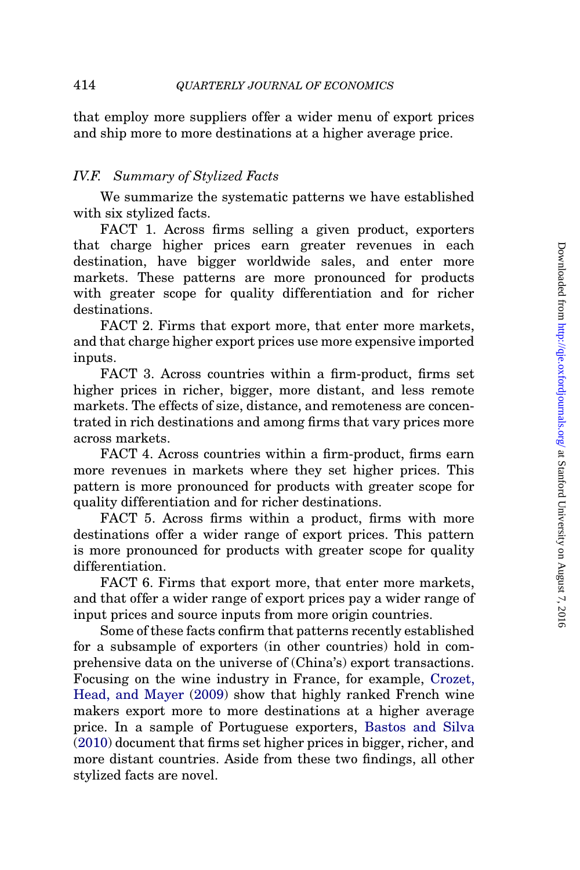that employ more suppliers offer a wider menu of export prices and ship more to more destinations at a higher average price.

### *IV.F. Summary of Stylized Facts*

We summarize the systematic patterns we have established with six stylized facts.

FACT 1. Across firms selling a given product, exporters that charge higher prices earn greater revenues in each destination, have bigger worldwide sales, and enter more markets. These patterns are more pronounced for products with greater scope for quality differentiation and for richer destinations.

FACT 2. Firms that export more, that enter more markets, and that charge higher export prices use more expensive imported inputs.

FACT 3. Across countries within a firm-product, firms set higher prices in richer, bigger, more distant, and less remote markets. The effects of size, distance, and remoteness are concentrated in rich destinations and among firms that vary prices more across markets.

FACT 4. Across countries within a firm-product, firms earn more revenues in markets where they set higher prices. This pattern is more pronounced for products with greater scope for quality differentiation and for richer destinations.

FACT 5. Across firms within a product, firms with more destinations offer a wider range of export prices. This pattern is more pronounced for products with greater scope for quality differentiation.

FACT 6. Firms that export more, that enter more markets, and that offer a wider range of export prices pay a wider range of input prices and source inputs from more origin countries.

Some of these facts confirm that patterns recently established for a subsample of exporters (in other countries) hold in comprehensive data on the universe of (China's) export transactions. Focusing on the wine industry in France, for example, [Crozet,](#page-56-0) [Head, and Mayer](#page-56-0) [\(2009\)](#page-56-0) show that highly ranked French wine makers export more to more destinations at a higher average price. In a sample of Portuguese exporters, [Bastos and Silva](#page-55-0) [\(2010](#page-55-0)) document that firms set higher prices in bigger, richer, and more distant countries. Aside from these two findings, all other stylized facts are novel.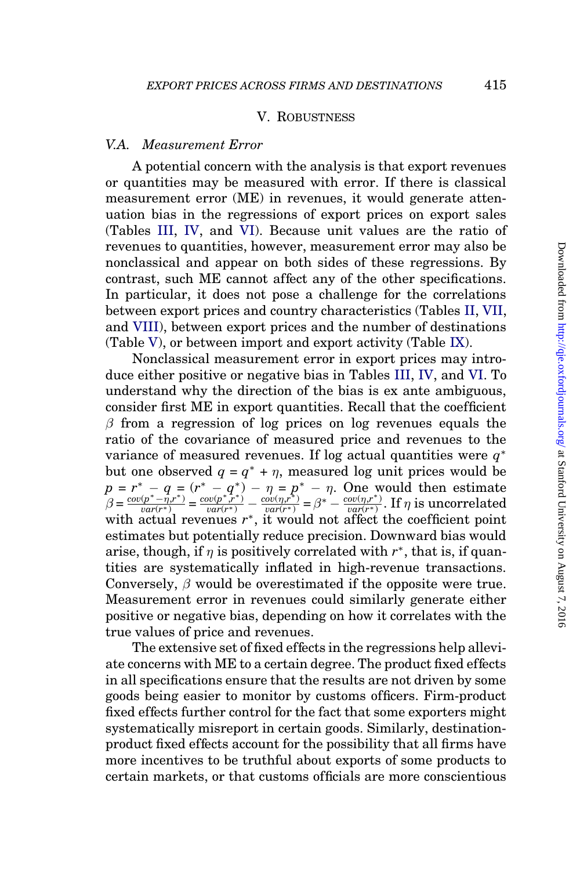#### V. ROBUSTNESS

#### <span id="page-36-0"></span>*V.A. Measurement Error*

A potential concern with the analysis is that export revenues or quantities may be measured with error. If there is classical measurement error (ME) in revenues, it would generate attenuation bias in the regressions of export prices on export sales (Tables [III,](#page-16-0) [IV,](#page-18-0) and [VI\)](#page-24-0). Because unit values are the ratio of revenues to quantities, however, measurement error may also be nonclassical and appear on both sides of these regressions. By contrast, such ME cannot affect any of the other specifications. In particular, it does not pose a challenge for the correlations between export prices and country characteristics (Tables [II,](#page-13-0) [VII,](#page-26-0) and [VIII\)](#page-28-0), between export prices and the number of destinations (Table [V\)](#page-22-0), or between import and export activity (Table [IX](#page-34-0)).

Nonclassical measurement error in export prices may introduce either positive or negative bias in Tables [III,](#page-16-0) [IV,](#page-18-0) and [VI](#page-24-0). To understand why the direction of the bias is ex ante ambiguous, consider first ME in export quantities. Recall that the coefficient  $\beta$  from a regression of log prices on log revenues equals the ratio of the covariance of measured price and revenues to the variance of measured revenues. If log actual quantities were *q*<sup>∗</sup> but one observed  $q = q^* + \eta$ , measured log unit prices would be  $p = r^* - q = (r^* - q^*) - \eta = p^* - \eta$ . One would then estimate  $\beta = \frac{cov(p^* - \eta, r^*)}{var(r^*)} = \frac{cov(p^*, r^*)}{var(r^*)} - \frac{cov(\eta, r^*)}{var(r^*)} = \beta^* - \frac{cov(\eta, r^*)}{var(r^*)}.$  If  $\eta$  is uncorrelated with actual revenues *r*<sup>∗</sup>, it would not affect the coefficient point estimates but potentially reduce precision. Downward bias would arise, though, if  $\eta$  is positively correlated with  $r^*$ , that is, if quantities are systematically inflated in high-revenue transactions. Conversely,  $\beta$  would be overestimated if the opposite were true. Measurement error in revenues could similarly generate either positive or negative bias, depending on how it correlates with the true values of price and revenues.

The extensive set of fixed effects in the regressions help alleviate concerns with ME to a certain degree. The product fixed effects in all specifications ensure that the results are not driven by some goods being easier to monitor by customs officers. Firm-product fixed effects further control for the fact that some exporters might systematically misreport in certain goods. Similarly, destinationproduct fixed effects account for the possibility that all firms have more incentives to be truthful about exports of some products to certain markets, or that customs officials are more conscientious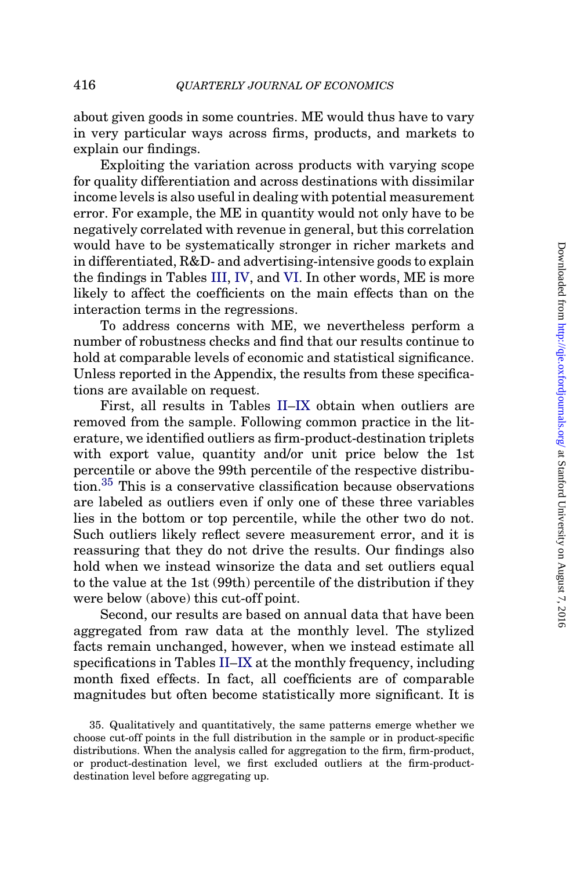about given goods in some countries. ME would thus have to vary in very particular ways across firms, products, and markets to explain our findings.

Exploiting the variation across products with varying scope for quality differentiation and across destinations with dissimilar income levels is also useful in dealing with potential measurement error. For example, the ME in quantity would not only have to be negatively correlated with revenue in general, but this correlation would have to be systematically stronger in richer markets and in differentiated, R&D- and advertising-intensive goods to explain the findings in Tables [III,](#page-16-0) [IV,](#page-18-0) and [VI.](#page-24-0) In other words, ME is more likely to affect the coefficients on the main effects than on the interaction terms in the regressions.

To address concerns with ME, we nevertheless perform a number of robustness checks and find that our results continue to hold at comparable levels of economicand statistical significance. Unless reported in the Appendix, the results from these specifications are available on request.

First, all results in Tables [II–](#page-13-0)[IX](#page-34-0) obtain when outliers are removed from the sample. Following common practice in the literature, we identified outliers as firm-product-destination triplets with export value, quantity and/or unit price below the 1st percentile or above the 99th percentile of the respective distribution.<sup>35</sup> This is a conservative classification because observations are labeled as outliers even if only one of these three variables lies in the bottom or top percentile, while the other two do not. Such outliers likely reflect severe measurement error, and it is reassuring that they do not drive the results. Our findings also hold when we instead winsorize the data and set outliers equal to the value at the 1st (99th) percentile of the distribution if they were below (above) this cut-off point.

Second, our results are based on annual data that have been aggregated from raw data at the monthly level. The stylized facts remain unchanged, however, when we instead estimate all specifications in Tables [II–](#page-13-0)[IX](#page-34-0) at the monthly frequency, including month fixed effects. In fact, all coefficients are of comparable magnitudes but often become statistically more significant. It is

<sup>35.</sup> Qualitatively and quantitatively, the same patterns emerge whether we choose cut-off points in the full distribution in the sample or in product-specific distributions. When the analysis called for aggregation to the firm, firm-product, or product-destination level, we first excluded outliers at the firm-productdestination level before aggregating up.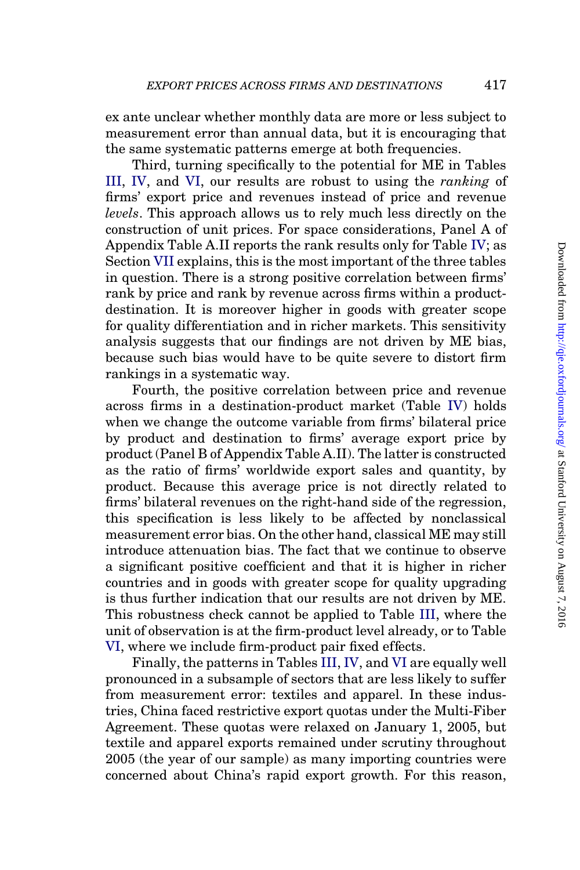ex ante unclear whether monthly data are more or less subject to measurement error than annual data, but it is encouraging that the same systematic patterns emerge at both frequencies.

Third, turning specifically to the potential for ME in Tables [III,](#page-16-0) [IV](#page-18-0), and [VI,](#page-24-0) our results are robust to using the *ranking* of firms' export price and revenues instead of price and revenue *levels*. This approach allows us to rely much less directly on the construction of unit prices. For space considerations, Panel A of Appendix Table A.II reports the rank results only for Table [IV](#page-18-0); as Section [VII](#page-44-0) explains, this is the most important of the three tables in question. There is a strong positive correlation between firms' rank by price and rank by revenue across firms within a productdestination. It is moreover higher in goods with greater scope for quality differentiation and in richer markets. This sensitivity analysis suggests that our findings are not driven by ME bias, because such bias would have to be quite severe to distort firm rankings in a systematic way.

Fourth, the positive correlation between price and revenue across firms in a destination-product market (Table [IV\)](#page-18-0) holds when we change the outcome variable from firms' bilateral price by product and destination to firms' average export price by product (Panel B of Appendix Table A.II). The latter is constructed as the ratio of firms' worldwide export sales and quantity, by product. Because this average price is not directly related to firms' bilateral revenues on the right-hand side of the regression, this specification is less likely to be affected by nonclassical measurement error bias. On the other hand, classical ME may still introduce attenuation bias. The fact that we continue to observe a significant positive coefficient and that it is higher in richer countries and in goods with greater scope for quality upgrading is thus further indication that our results are not driven by ME. This robustness check cannot be applied to Table [III,](#page-16-0) where the unit of observation is at the firm-product level already, or to Table [VI,](#page-24-0) where we include firm-product pair fixed effects.

Finally, the patterns in Tables [III,](#page-16-0) [IV,](#page-18-0) and [VI](#page-24-0) are equally well pronounced in a subsample of sectors that are less likely to suffer from measurement error: textiles and apparel. In these industries, China faced restrictive export quotas under the Multi-Fiber Agreement. These quotas were relaxed on January 1, 2005, but textile and apparel exports remained under scrutiny throughout 2005 (the year of our sample) as many importing countries were concerned about China's rapid export growth. For this reason,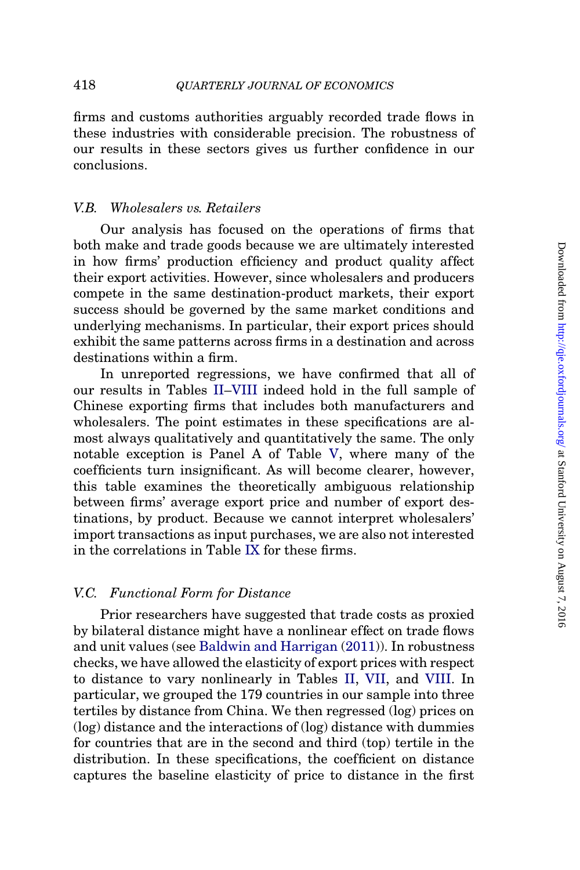firms and customs authorities arguably recorded trade flows in these industries with considerable precision. The robustness of our results in these sectors gives us further confidence in our conclusions.

### *V.B. Wholesalers vs. Retailers*

Our analysis has focused on the operations of firms that both make and trade goods because we are ultimately interested in how firms' production efficiency and product quality affect their export activities. However, since wholesalers and producers compete in the same destination-product markets, their export success should be governed by the same market conditions and underlying mechanisms. In particular, their export prices should exhibit the same patterns across firms in a destination andacross destinations within a firm.

In unreported regressions, we have confirmed that all of our results in Tables [II–](#page-13-0)[VIII](#page-28-0) indeed hold in the full sample of Chinese exporting firms that includes both manufacturers and wholesalers. The point estimates in these specifications are almost always qualitatively and quantitatively the same. The only notable exception is Panel A of Table [V,](#page-22-0) where many of the coefficients turn insignificant. As will become clearer, however, this table examines the theoretically ambiguous relationship between firms' average export price and number of export destinations, by product. Because we cannot interpret wholesalers' import transactions as input purchases, we are also not interested in the correlations in Table [IX](#page-34-0) for these firms.

### *V.C. Functional Form for Distance*

Prior researchers have suggested that trade costs as proxied by bilateral distance might have a nonlinear effect on trade flows and unit values (see [Baldwin and Harrigan](#page-55-0) [\(2011\)](#page-55-0)). In robustness checks, we have allowed the elasticity of export prices with respect to distance to vary nonlinearly in Tables [II,](#page-13-0) [VII,](#page-26-0) and [VIII](#page-28-0). In particular, we grouped the 179 countries in our sample into three tertiles by distance from China. We then regressed (log) prices on (log) distance and the interactions of (log) distance with dummies for countries that are in the second and third (top) tertile in the distribution. In these specifications, the coefficient on distance captures the baseline elasticity of price to distance in the first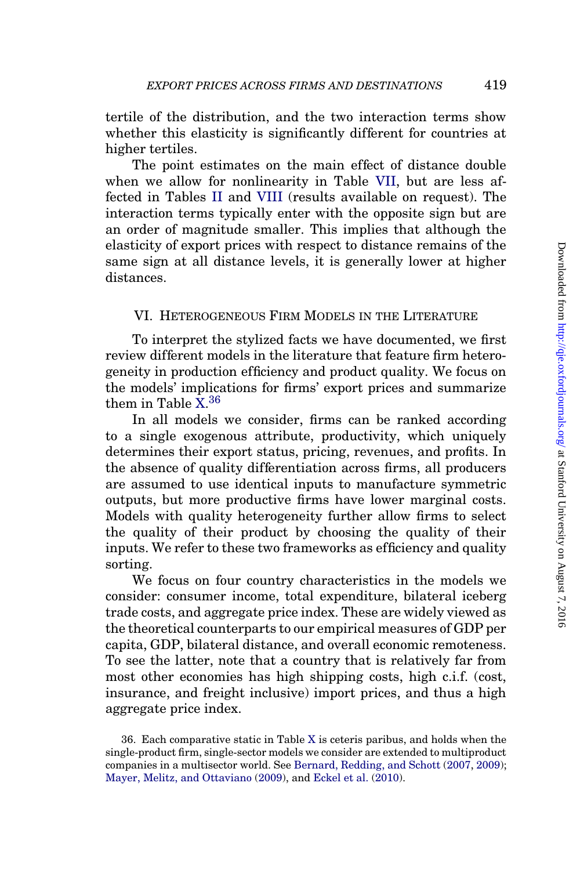<span id="page-40-0"></span>tertile of the distribution, and the two interaction terms show whether this elasticity is significantly different for countries at higher tertiles.

The point estimates on the main effect of distance double when we allow for nonlinearity in Table [VII](#page-26-0), but are less affected in Tables [II](#page-13-0) and [VIII](#page-28-0) (results available on request). The interaction terms typically enter with the opposite sign but are an order of magnitude smaller. This implies that although the elasticity of export prices with respect to distance remains of the same sign at all distance levels, it is generally lower at higher distances.

### VI. HETEROGENEOUS FIRM MODELS IN THE LITERATURE

To interpret the stylized facts we have documented, we first review different models in the literature that feature firm heterogeneity in production efficiency and product quality. We focus on the models' implications for firms' export prices and summarize them in Table  $\rm \bar{X}.^{36}$ 

In all models we consider, firms can be ranked according to a single exogenous attribute, productivity, which uniquely determines their export status, pricing, revenues, and profits. In the absence of quality differentiation across firms, all producers are assumed to use identical inputs to manufacture symmetric outputs, but more productive firms have lower marginal costs. Models with quality heterogeneity further allow firms to select the quality of their product by choosing the quality of their inputs. We refer to these two frameworks as efficiency and quality sorting.

We focus on four country characteristics in the models we consider: consumer income, total expenditure, bilateral iceberg trade costs, and aggregate price index. These are widely viewed as the theoretical counterparts to our empirical measures of GDP per capita, GDP, bilateral distance, and overall economic remoteness. To see the latter, note that a country that is relatively far from most other economies has high shipping costs, high c.i.f. (cost, insurance, and freight inclusive) import prices, and thus a high aggregate price index.

<sup>36.</sup> Each comparative static in Table  $X$  is ceteris paribus, and holds when the single-product firm, single-sector models we consider are extended to multiproduct companies in a multisector world. See [Bernard, Redding, and Schott](#page-55-0) [\(2007,](#page-55-0) [2009\)](#page-55-0); [Mayer, Melitz, and Ottaviano](#page-57-0) [\(2009](#page-57-0)), and [Eckel et al.](#page-56-0) [\(2010](#page-56-0)).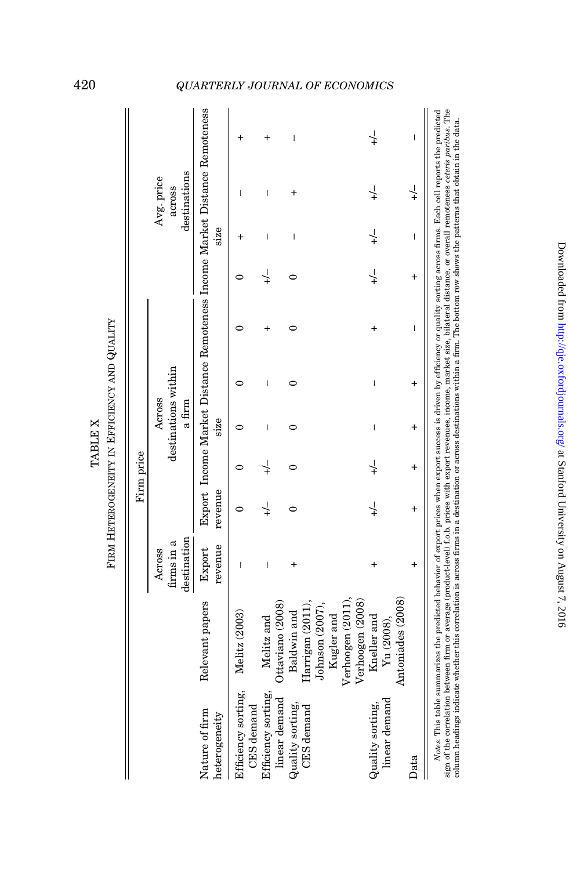|                                          |                               |             |               | Firm price   |                                                                                                                                                                                                                                                                                                                                                                                                                |                |   |               |                          |                |                                                                            |
|------------------------------------------|-------------------------------|-------------|---------------|--------------|----------------------------------------------------------------------------------------------------------------------------------------------------------------------------------------------------------------------------------------------------------------------------------------------------------------------------------------------------------------------------------------------------------------|----------------|---|---------------|--------------------------|----------------|----------------------------------------------------------------------------|
|                                          |                               | Across      |               |              | Across                                                                                                                                                                                                                                                                                                                                                                                                         |                |   |               |                          | Avg. price     |                                                                            |
|                                          |                               | firms in a  |               |              | destinations within                                                                                                                                                                                                                                                                                                                                                                                            |                |   |               |                          | across         |                                                                            |
|                                          |                               | destination |               |              | a firm                                                                                                                                                                                                                                                                                                                                                                                                         |                |   |               |                          | destinations   |                                                                            |
| Nature of firm                           | Relevant papers               | Export      |               |              |                                                                                                                                                                                                                                                                                                                                                                                                                |                |   |               |                          |                | Export Income Market Distance Remoteness Income Market Distance Remoteness |
| heterogeneity                            |                               | revenue     | revenue       |              | size                                                                                                                                                                                                                                                                                                                                                                                                           |                |   |               | S1Ze                     |                |                                                                            |
| Efficiency sorting,<br><b>CES</b> demand | Melitz (2003)                 |             |               |              |                                                                                                                                                                                                                                                                                                                                                                                                                |                |   |               |                          |                |                                                                            |
| Efficiency sorting,                      | Melitz and                    | Ï           | $\frac{1}{4}$ | $\downarrow$ |                                                                                                                                                                                                                                                                                                                                                                                                                | I              |   | $\frac{1}{4}$ | Ī                        | I              |                                                                            |
| linear demand                            | Ottaviano (2008)              |             |               |              |                                                                                                                                                                                                                                                                                                                                                                                                                |                |   |               |                          |                |                                                                            |
| Quality sorting,                         | Baldwin and                   |             |               |              |                                                                                                                                                                                                                                                                                                                                                                                                                |                |   |               | I                        | $\overline{ }$ | Ï                                                                          |
| <b>CES</b> demand                        | Harrigan (2011)               |             |               |              |                                                                                                                                                                                                                                                                                                                                                                                                                |                |   |               |                          |                |                                                                            |
|                                          | Johnson (2007),<br>Kugler and |             |               |              |                                                                                                                                                                                                                                                                                                                                                                                                                |                |   |               |                          |                |                                                                            |
|                                          |                               |             |               |              |                                                                                                                                                                                                                                                                                                                                                                                                                |                |   |               |                          |                |                                                                            |
|                                          | Verhoogen (2011)              |             |               |              |                                                                                                                                                                                                                                                                                                                                                                                                                |                |   |               |                          |                |                                                                            |
|                                          | Verhoogen (2008)              |             |               |              |                                                                                                                                                                                                                                                                                                                                                                                                                |                |   |               |                          |                |                                                                            |
| Quality sorting,                         | Kneller and                   |             | $\downarrow$  | $\downarrow$ | $\begin{array}{c} \rule{0pt}{2ex} \rule{0pt}{2ex} \rule{0pt}{2ex} \rule{0pt}{2ex} \rule{0pt}{2ex} \rule{0pt}{2ex} \rule{0pt}{2ex} \rule{0pt}{2ex} \rule{0pt}{2ex} \rule{0pt}{2ex} \rule{0pt}{2ex} \rule{0pt}{2ex} \rule{0pt}{2ex} \rule{0pt}{2ex} \rule{0pt}{2ex} \rule{0pt}{2ex} \rule{0pt}{2ex} \rule{0pt}{2ex} \rule{0pt}{2ex} \rule{0pt}{2ex} \rule{0pt}{2ex} \rule{0pt}{2ex} \rule{0pt}{2ex} \rule{0pt}{$ | $\overline{1}$ |   | $\downarrow$  | $\downarrow$             | $\downarrow$   | $\downarrow$                                                               |
| linear demand                            | Yu(2008).                     |             |               |              |                                                                                                                                                                                                                                                                                                                                                                                                                |                |   |               |                          |                |                                                                            |
|                                          | Antoniades (2008)             |             |               |              |                                                                                                                                                                                                                                                                                                                                                                                                                |                |   |               |                          |                |                                                                            |
| Data                                     |                               | $\ddot{}$   | $^{+}$        |              | $\ddot{}$                                                                                                                                                                                                                                                                                                                                                                                                      | $^{+}$         | Ī | $\ddot{}$     | $\overline{\phantom{a}}$ | $\downarrow$   |                                                                            |

FIRM HETEROGENEITY IN EFFICIENCY AND QUALITY **TABLEX** TABLE X

# <span id="page-41-0"></span>420 *QUARTERLY JOURNAL OF ECONOMICS*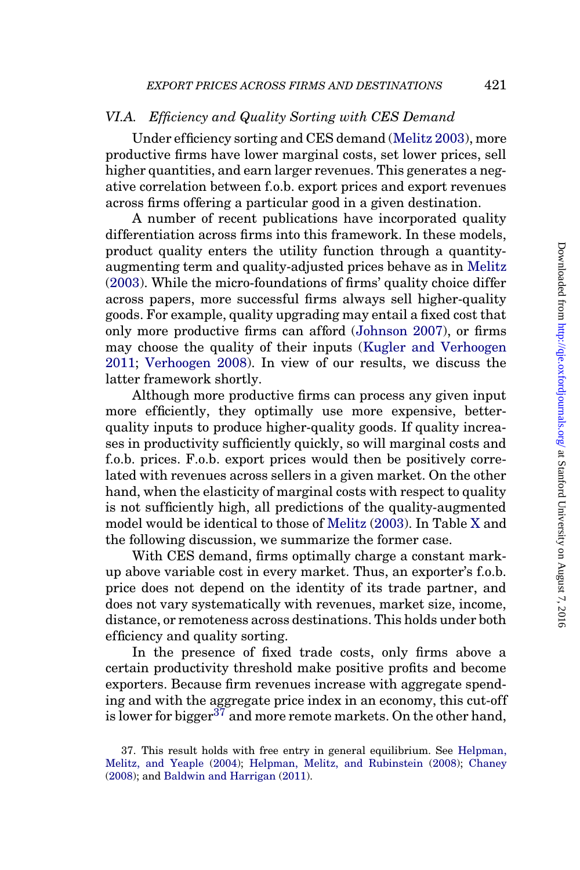### *VI.A. Efficiency and Quality Sorting with CES Demand*

Under efficiency sorting and CES demand (Melitz 2003), more productive firms have lower marginal costs, set lower prices, sell higher quantities, and earn larger revenues. This generates a negative correlation between f.o.b. export prices and export revenues across firms offering a particular good in a given destination.

A number of recent publications have incorporated quality differentiation across firms into this framework. In these models, product quality enters the utility function through a quantityaugmenting term and quality-adjusted prices behave as in [Melitz](#page-57-0) [\(2003](#page-57-0)). While the micro-foundations of firms' quality choice differ across papers, more successful firms always sell higher-quality goods. For example, quality upgrading may entail a fixed cost that only more productive firms can afford [\(Johnson 2007\)](#page-56-0), or firms may choose the quality of their inputs [\(Kugler and Verhoogen](#page-57-0) [2011;](#page-57-0) [Verhoogen 2008\)](#page-57-0). In view of our results, we discuss the latter framework shortly.

Although more productive firms can process any given input more efficiently, they optimally use more expensive, betterquality inputs to produce higher-quality goods. If quality increases in productivity sufficiently quickly, so will marginal costs and f.o.b. prices. F.o.b. export prices would then be positively correlated with revenues across sellers in a given market. On the other hand, when the elasticity of marginal costs with respect to quality is not sufficiently high, all predictions of the quality-augmented model would be identical to those of [Melitz](#page-57-0) [\(2003\)](#page-57-0). In Table [X](#page-41-0) and the following discussion, we summarize the former case.

With CES demand, firms optimally charge a constant markup above variable cost in every market. Thus, an exporter's f.o.b. price does not depend on the identity of its trade partner, and does not vary systematically with revenues, market size, income, distance, or remoteness across destinations. This holds under both efficiency and quality sorting.

In the presence of fixed trade costs, only firms above a certain productivity threshold make positive profits and become exporters. Because firm revenues increase with aggregate spending and with the aggregate price index in an economy, this cut-off is lower for bigger<sup>37</sup> and more remote markets. On the other hand,

37. This result holds with free entry in general equilibrium. See [Helpman,](#page-56-0) [Melitz, and Yeaple](#page-56-0) [\(2004\)](#page-56-0); [Helpman, Melitz, and Rubinstein](#page-56-0) [\(2008](#page-56-0)); [Chaney](#page-55-0) [\(2008\)](#page-55-0); and [Baldwin and Harrigan](#page-55-0) [\(2011](#page-55-0)).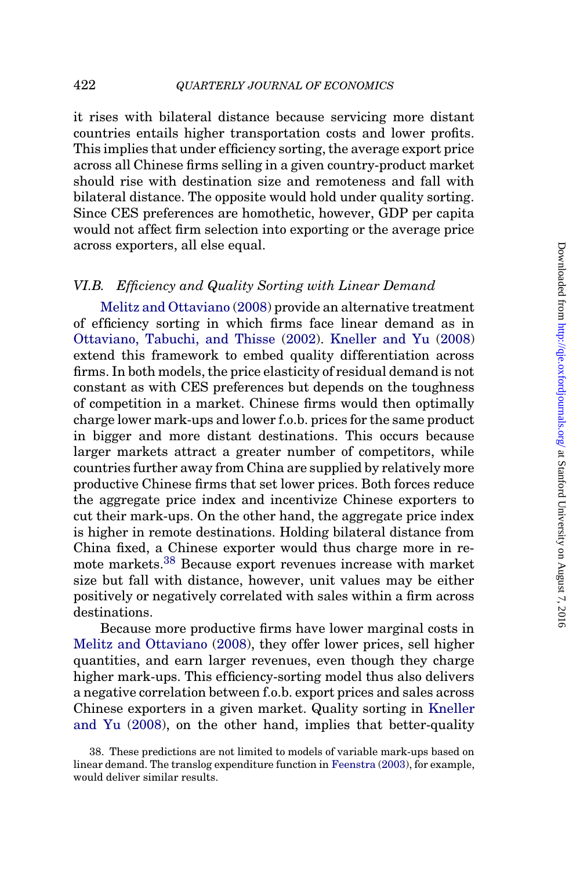it rises with bilateral distance because servicing more distant countries entails higher transportation costs and lower profits. This implies that under efficiency sorting, the average export price across all Chinese firms selling in a given country-product market should rise with destination size and remoteness and fall with bilateral distance. The opposite would hold under quality sorting. Since CES preferences are homothetic, however, GDP per capita would not affect firm selection into exporting or the average price across exporters, all else equal.

### *VI.B. Efficiency and Quality Sorting with Linear Demand*

Melitz and Ottaviano (2008) provide an alternative treatment of efficiency sorting in which firms face linear demand as in [Ottaviano, Tabuchi, and Thisse](#page-57-0) [\(2002](#page-57-0)). [Kneller and Yu](#page-56-0) [\(2008](#page-56-0)) extend this framework to embed quality differentiation across firms. In both models, the price elasticity of residual demand is not constant as with CES preferences but depends on the toughness of competition in a market. Chinese firms would then optimally charge lower mark-ups and lower f.o.b. prices for the same product in bigger and more distant destinations. This occurs because larger markets attract a greater number of competitors, while countries further away from China are supplied by relatively more productive Chinese firms that set lower prices. Both forces reduce the aggregate price index and incentivize Chinese exporters to cut their mark-ups. On the other hand, the aggregate price index is higher in remote destinations. Holding bilateral distance from China fixed, a Chinese exporter would thus charge more in remote markets.<sup>38</sup> Because export revenues increase with market size but fall with distance, however, unit values may be either positively or negatively correlated with sales within a firm across destinations.

Because more productive firms have lower marginal costs in [Melitz and Ottaviano](#page-57-0) [\(2008\)](#page-57-0), they offer lower prices, sell higher quantities, and earn larger revenues, even though they charge higher mark-ups. This efficiency-sorting model thus also delivers a negative correlation between f.o.b. export prices and sales across Chinese exporters in a given market. Quality sorting in [Kneller](#page-56-0) [and Yu](#page-56-0) [\(2008\)](#page-56-0), on the other hand, implies that better-quality

<sup>38.</sup> These predictions are not limited to models of variable mark-ups based on linear demand. The translog expenditure function in [Feenstra](#page-56-0) [\(2003](#page-56-0)), for example, would deliver similar results.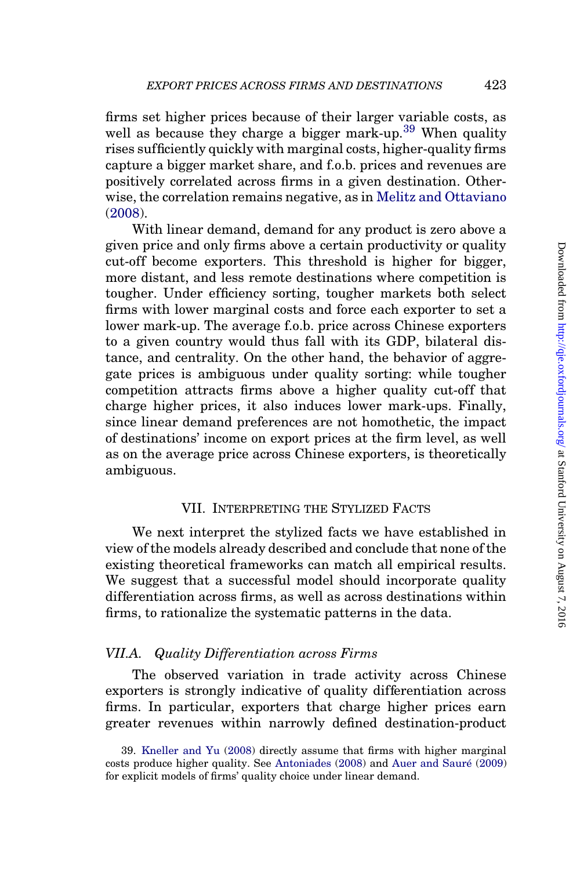<span id="page-44-0"></span>firms set higher prices because of their larger variable costs, as well as because they charge a bigger mark-up.<sup>39</sup> When quality rises sufficiently quickly with marginal costs, higher-quality firms capture a bigger market share, and f.o.b. prices and revenues are positively correlated across firms in a given destination. Otherwise, the correlation remains negative, as in Melitz and Ottaviano [\(2008](#page-57-0)).

With linear demand, demand for any product is zero above a given price and only firms above a certain productivity or quality cut-off become exporters. This threshold is higher for bigger, more distant, and less remote destinations where competition is tougher. Under efficiency sorting, tougher markets both select firms with lower marginal costs and force each exporter to set a lower mark-up. The average f.o.b. price across Chinese exporters to a given country would thus fall with its GDP, bilateral distance, and centrality. On the other hand, the behavior of aggregate prices is ambiguous under quality sorting: while tougher competition attracts firms above a higher quality cut-off that charge higher prices, it also induces lower mark-ups. Finally, since linear demand preferences are not homothetic, the impact of destinations' income on export prices at the firm level, as well as on the average price across Chinese exporters, is theoretically ambiguous.

#### VII. INTERPRETING THE STYLIZED FACTS

We next interpret the stylized facts we have established in view of the models already described and conclude that none of the existing theoretical frameworks can match all empirical results. We suggest that a successful model should incorporate quality differentiation across firms, as well as across destinations within firms, to rationalize the systematic patterns in the data.

### *VII.A. Quality Differentiation across Firms*

The observed variation in trade activity across Chinese exporters is strongly indicative of quality differentiation across firms. In particular, exporters that charge higher prices earn greater revenues within narrowly defined destination-product

<sup>39.</sup> [Kneller and Yu](#page-56-0) [\(2008\)](#page-56-0) directly assume that firms with higher marginal costs produce higher quality. See [Antoniades](#page-55-0) [\(2008\)](#page-55-0) and Auer and Sauré [\(2009\)](#page-55-0) for explicit models of firms' quality choice under linear demand.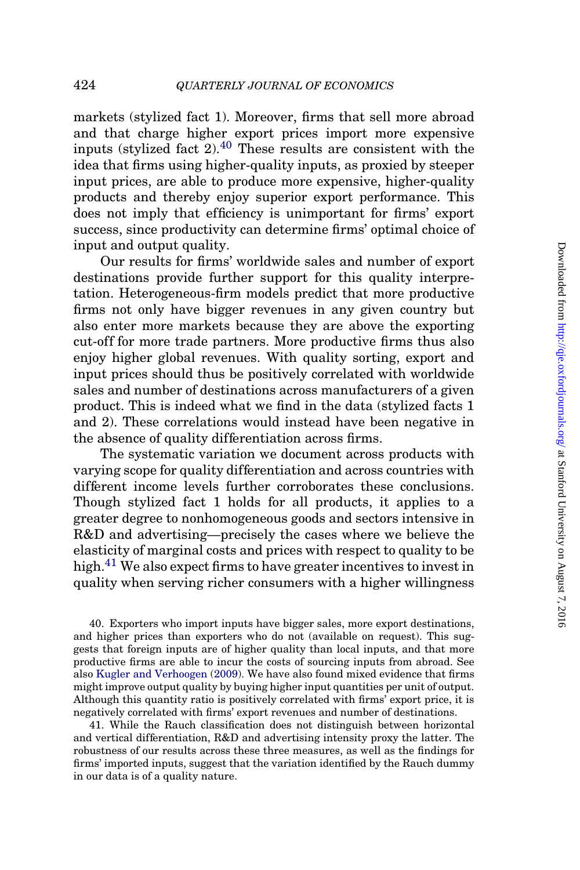markets (stylized fact 1). Moreover, firms that sell more abroad and that charge higher export prices import more expensive inputs (stylized fact 2).<sup>40</sup> These results are consistent with the idea that firms using higher-quality inputs, as proxied by steeper input prices, are able to produce more expensive, higher-quality products and thereby enjoy superior export performance. This does not imply that efficiency is unimportant for firms' export success, since productivity can determine firms' optimal choice of input and output quality.

Our results for firms' worldwide sales and number of export destinations provide further support for this quality interpretation. Heterogeneous-firm models predict that more productive firms not only have bigger revenues in any given country but also enter more markets because they are above the exporting cut-off for more trade partners. More productive firms thus also enjoy higher global revenues. With quality sorting, export and input prices should thus be positively correlated with worldwide sales and number of destinations across manufacturers of a given product. This is indeed what we find in the data (stylized facts 1 and 2). These correlations would instead have been negative in the absence of quality differentiation across firms.

The systematic variation we document across products with varying scope for quality differentiation and across countries with different income levels further corroborates these conclusions. Though stylized fact 1 holds for all products, it applies to a greater degree to nonhomogeneous goods and sectors intensive in R&D and advertising—precisely the cases where we believe the elasticity of marginal costs and prices with respect to quality to be high.<sup>41</sup> We also expect firms to have greater incentives to invest in quality when serving richer consumers with a higher willingness

40. Exporters who import inputs have bigger sales, more export destinations, and higher prices than exporters who do not (available on request). This suggests that foreign inputs are of higher quality than local inputs, and that more productive firms are able to incur the costs of sourcing inputs from abroad. See also [Kugler and Verhoogen](#page-56-0) [\(2009](#page-56-0)). We have also found mixed evidence that firms might improve output quality by buying higher input quantities per unit of output. Although this quantity ratio is positively correlated with firms' export price, it is negatively correlated with firms' export revenues and number of destinations.

41. While the Rauch classification does not distinguish between horizontal and vertical differentiation, R&D and advertising intensity proxy the latter. The robustness of our results across these three measures, as well as the findings for firms' imported inputs, suggest that the variation identified by the Rauch dummy in our data is of a quality nature.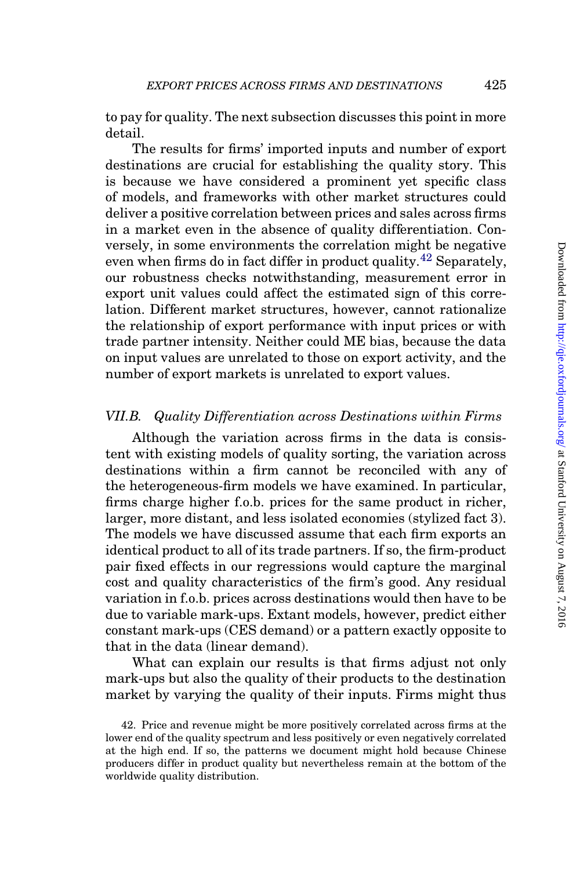to pay for quality. The next subsection discusses this point in more detail.

The results for firms' imported inputs and number of export destinations are crucial for establishing the quality story. This is because we have considered a prominent yet specific class of models, and frameworks with other market structures could deliver a positive correlation between prices and sales across firms in a market even in the absence of quality differentiation. Conversely, in some environments the correlation might be negative even when firms do in fact differ in product quality.<sup>42</sup> Separately, our robustness checks notwithstanding, measurement error in export unit values could affect the estimated sign of this correlation. Different market structures, however, cannot rationalize the relationship of export performance with input prices or with trade partner intensity. Neither could ME bias, because the data on input values are unrelated to those on export activity, and the number of export markets is unrelated to export values.

### *VII.B. Quality Differentiation across Destinations within Firms*

Although the variation across firms in the data is consistent with existing models of quality sorting, the variation across destinations within a firm cannot be reconciled with any of the heterogeneous-firm models we have examined. In particular, firms charge higher f.o.b. prices for the same product in richer, larger, more distant, and less isolated economies (stylized fact 3). The models we have discussed assume that each firm exports an identical product to all of its trade partners. If so, the firm-product pair fixed effects in our regressions would capture the marginal cost and quality characteristics of the firm's good. Any residual variation in f.o.b. prices across destinations would then have to be due to variable mark-ups. Extant models, however, predict either constant mark-ups (CES demand) or a pattern exactly opposite to that in the data (linear demand).

What can explain our results is that firms adjust not only mark-ups but also the quality of their products to the destination market by varying the quality of their inputs. Firms might thus

<sup>42.</sup> Price and revenue might be more positively correlated across firms at the lower end of the quality spectrum and less positively or even negatively correlated at the high end. If so, the patterns we document might hold because Chinese producers differ in product quality but nevertheless remain at the bottom of the worldwide quality distribution.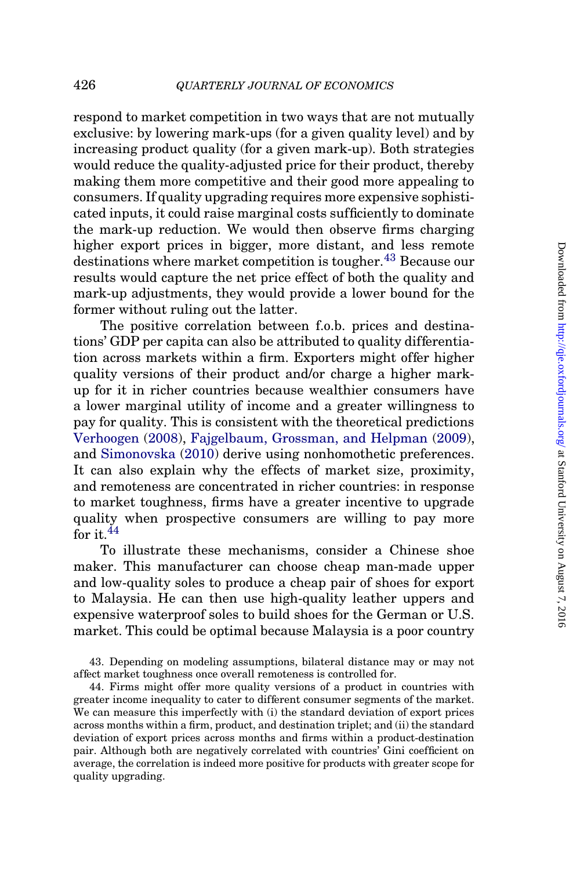respond to market competition in two ways that are not mutually exclusive: by lowering mark-ups (for a given quality level) and by increasing product quality (for a given mark-up). Both strategies would reduce the quality-adjusted price for their product, thereby making them more competitive and their good more appealing to consumers. If quality upgrading requires more expensive sophisticated inputs, it could raise marginal costs sufficiently to dominate the mark-up reduction. We would then observe firms charging higher export prices in bigger, more distant, and less remote destinations where market competition is tougher.<sup>43</sup> Because our results would capture the net price effect of both the quality and mark-up adjustments, they would provide a lower bound for the former without ruling out the latter.

The positive correlation between f.o.b. prices and destinations' GDP per capita can also be attributed to quality differentiation across markets within a firm. Exporters might offer higher quality versions of their product and/or charge a higher markup for it in richer countries because wealthier consumers have a lower marginal utility of income and a greater willingness to pay for quality. This is consistent with the theoretical predictions [Verhoogen](#page-57-0) [\(2008\)](#page-57-0), [Fajgelbaum, Grossman, and Helpman](#page-56-0) [\(2009\)](#page-56-0), and [Simonovska](#page-57-0) [\(2010\)](#page-57-0) derive using nonhomothetic preferences. It can also explain why the effects of market size, proximity, and remoteness are concentrated in richer countries: in response to market toughness, firms have a greater incentive to upgrade quality when prospective consumers are willing to pay more for it. $44$ 

To illustrate these mechanisms, consider a Chinese shoe maker. This manufacturer can choose cheap man-made upper and low-quality soles to produce a cheap pair of shoes for export to Malaysia. He can then use high-quality leather uppers and expensive waterproof soles to build shoes for the German or U.S. market. This could be optimal because Malaysia is a poor country

43. Depending on modeling assumptions, bilateral distance may or may not affect market toughness once overall remoteness is controlled for.

44. Firms might offer more quality versions of a product in countries with greater income inequality to cater to different consumer segments of the market. We can measure this imperfectly with (i) the standard deviation of export prices across months within a firm, product, and destination triplet; and (ii) the standard deviation of export prices across months and firms within a product-destination pair. Although both are negatively correlated with countries' Gini coefficient on average, the correlation is indeedmore positive for products with greater scope for quality upgrading.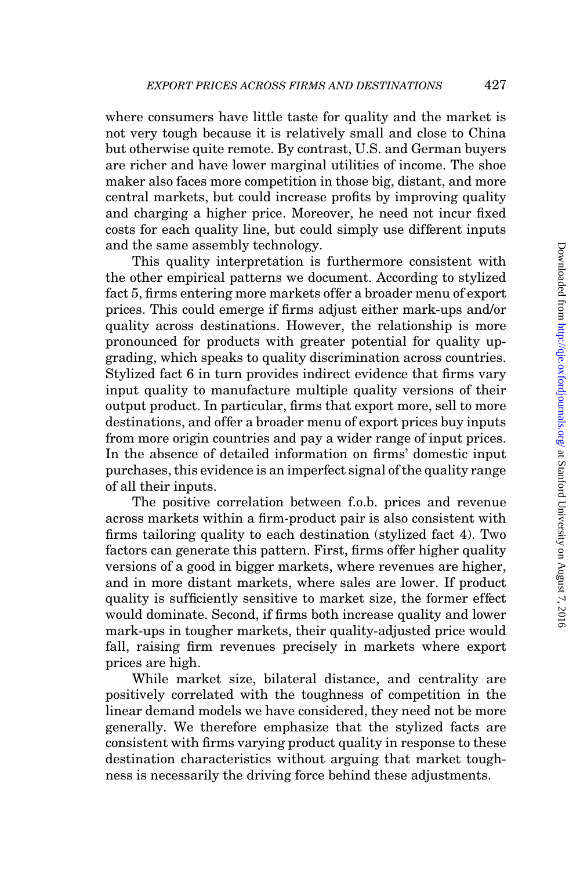where consumers have little taste for quality and the market is not very tough because it is relatively small and close to China but otherwise quite remote. By contrast, U.S. and German buyers are richer and have lower marginal utilities of income. The shoe maker also faces more competition in those big, distant, and more central markets, but could increase profits by improving quality and charging a higher price. Moreover, he need not incur fixed costs for each quality line, but could simply use different inputs and the same assembly technology.

This quality interpretation is furthermore consistent with the other empirical patterns we document. According to stylized fact 5, firms entering more markets offer a broader menu of export prices. This could emerge if firms adjust either mark-ups and/or quality across destinations. However, the relationship is more pronounced for products with greater potential for quality upgrading, which speaks to quality discrimination across countries. Stylized fact 6 in turn provides indirect evidence that firms vary input quality to manufacture multiple quality versions of their output product. In particular, firms that export more, sell to more destinations, andoffer a broader menu of export prices buy inputs from more origin countries and pay a wider range of input prices. In the absence of detailed information on firms' domestic input purchases, this evidence is an imperfect signal of the quality range of all their inputs.

The positive correlation between f.o.b. prices and revenue across markets within a firm-product pair is also consistent with firms tailoring quality to each destination (stylized fact 4). Two factors can generate this pattern. First, firms offer higher quality versions of a good in bigger markets, where revenues are higher, and in more distant markets, where sales are lower. If product quality is sufficiently sensitive to market size, the former effect would dominate. Second, if firms both increase quality and lower mark-ups in tougher markets, their quality-adjusted price would fall, raising firm revenues precisely in markets where export prices are high.

While market size, bilateral distance, and centrality are positively correlated with the toughness of competition in the linear demand models we have considered, they need not be more generally. We therefore emphasize that the stylized facts are consistent with firms varying product quality in response to these destination characteristics without arguing that market toughness is necessarily the driving force behind these adjustments.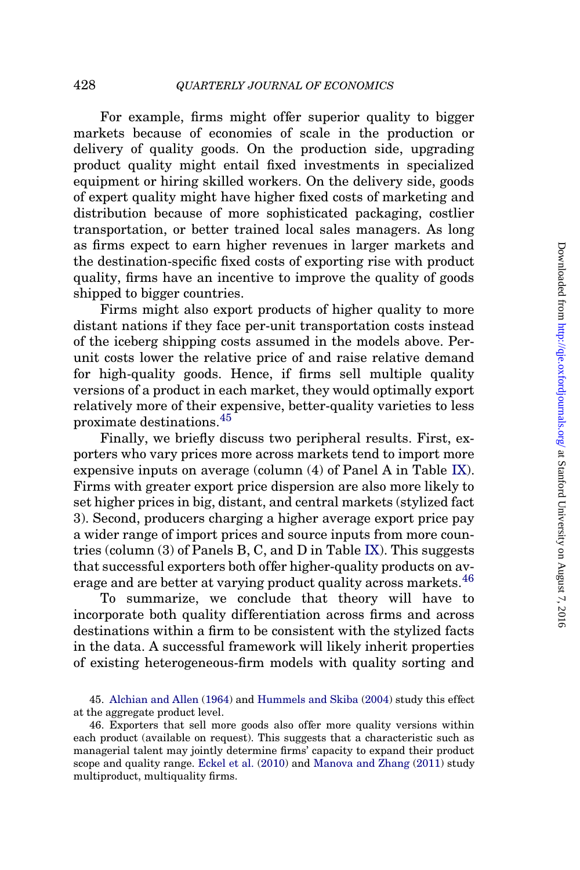For example, firms might offer superior quality to bigger markets because of economies of scale in the production or delivery of quality goods. On the production side, upgrading product quality might entail fixed investments in specialized equipment or hiring skilled workers. On the delivery side, goods of expert quality might have higher fixed costs of marketing and distribution because of more sophisticated packaging, costlier transportation, or better trained local sales managers. As long as firms expect to earn higher revenues in larger markets and the destination-specific fixed costs of exporting rise with product quality, firms have an incentive to improve the quality of goods shipped to bigger countries.

Firms might also export products of higher quality to more distant nations if they face per-unit transportation costs instead of the iceberg shipping costs assumed in the models above. Perunit costs lower the relative price of and raise relative demand for high-quality goods. Hence, if firms sell multiple quality versions of a product in each market, they would optimally export relatively more of their expensive, better-quality varieties to less proximate destinations.<sup>45</sup>

Finally, we briefly discuss two peripheral results. First, exporters who vary prices more across markets tend to import more expensive inputs on average (column (4) of Panel A in Table [IX\)](#page-34-0). Firms with greater export price dispersion are also more likely to set higher prices in big, distant, and central markets (stylized fact) 3). Second, producers charging a higher average export price pay a wider range of import prices and source inputs from more countries (column (3) of Panels B, C, and D in Table [IX\)](#page-34-0). This suggests that successful exporters both offer higher-quality products on average and are better at varying product quality across markets.<sup>46</sup>

To summarize, we conclude that theory will have to incorporate both quality differentiation across firms and across destinations within a firm to be consistent with the stylized facts in the data. A successful framework will likely inherit properties of existing heterogeneous-firm models with quality sorting and

45. [Alchian and Allen](#page-55-0) [\(1964\)](#page-55-0) and [Hummels and Skiba](#page-56-0) [\(2004\)](#page-56-0) study this effect at the aggregate product level.

<sup>46.</sup> Exporters that sell more goods also offer more quality versions within each product (available on request). This suggests that a characteristic such as managerial talent may jointly determine firms' capacity to expand their product scope and quality range. [Eckel et al.](#page-56-0) [\(2010](#page-56-0)) and [Manova and Zhang](#page-57-0) [\(2011](#page-57-0)) study multiproduct, multiquality firms.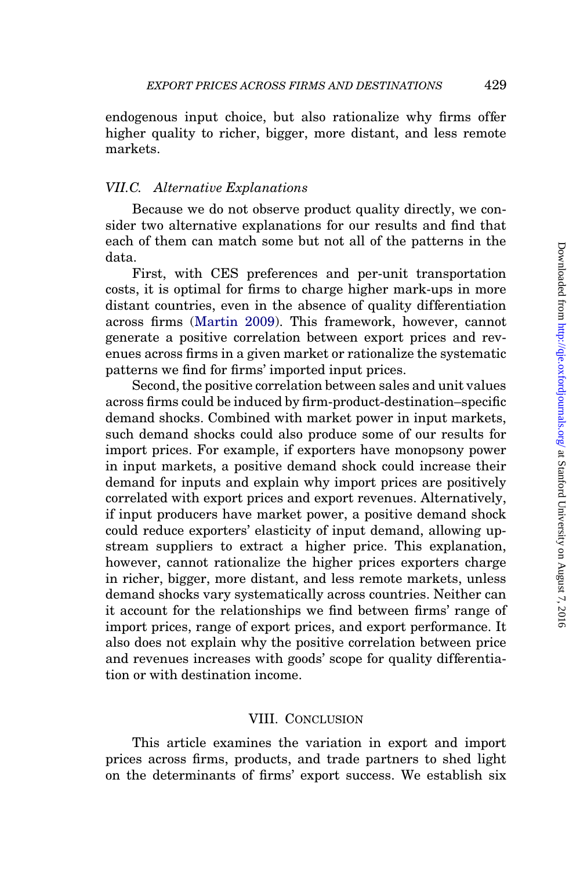endogenous input choice, but also rationalize why firms offer higher quality to richer, bigger, more distant, and less remote markets.

### *VII.C. Alternative Explanations*

Because we do not observe product quality directly, we consider two alternative explanations for our results and find that each of them can match some but not all of the patterns in the data.

First, with CES preferences and per-unit transportation costs, it is optimal for firms to charge higher mark-ups in more distant countries, even in the absence of quality differentiation across firms [\(Martin 2009\)](#page-57-0). This framework, however, cannot generate a positive correlation between export prices and revenues across firms in a given market or rationalize the systematic patterns we find for firms' imported input prices.

Second, the positive correlation between sales and unit values across firms could be induced by firm-product-destination–specific demand shocks. Combined with market power in input markets, such demand shocks could also produce some of our results for import prices. For example, if exporters have monopsony power in input markets, a positive demand shock could increase their demand for inputs and explain why import prices are positively correlated with export prices and export revenues. Alternatively, if input producers have market power, a positive demand shock could reduce exporters' elasticity of input demand, allowing upstream suppliers to extract a higher price. This explanation, however, cannot rationalize the higher prices exporters charge in richer, bigger, more distant, and less remote markets, unless demand shocks vary systematically across countries. Neither can it account for the relationships we find between firms' range of import prices, range of export prices, and export performance. It also does not explain why the positive correlation between price and revenues increases with goods' scope for quality differentiation or with destination income.

### VIII. CONCLUSION

This article examines the variation in export and import prices across firms, products, and trade partners to shed light on the determinants of firms' export success. We establish six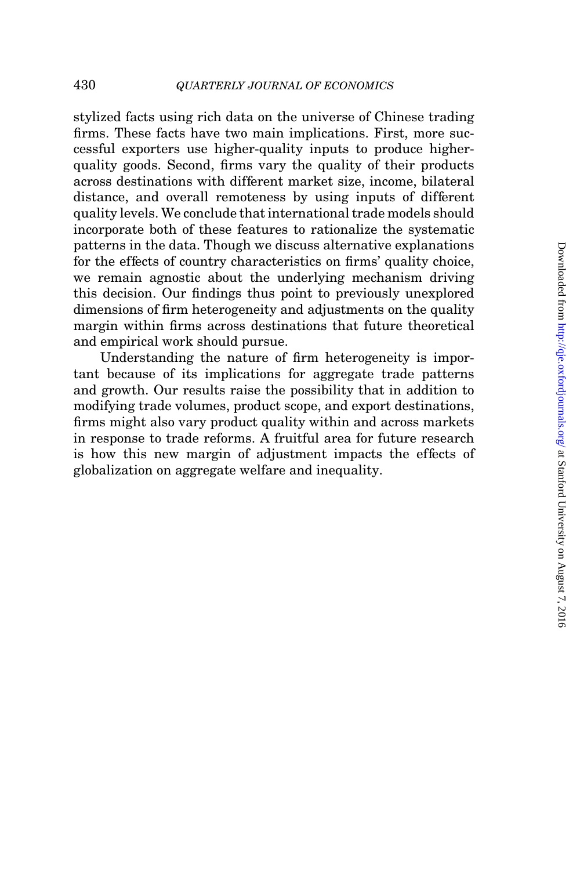stylized facts using rich data on the universe of Chinese trading firms. These facts have two main implications. First, more successful exporters use higher-quality inputs to produce higherquality goods. Second, firms vary the quality of their products across destinations with different market size, income, bilateral distance, and overall remoteness by using inputs of different quality levels. We conclude that international trade models should incorporate both of these features to rationalize the systematic patterns in the data. Though we discuss alternative explanations for the effects of country characteristics on firms' quality choice, we remain agnostic about the underlying mechanism driving this decision. Our findings thus point to previously unexplored dimensions of firm heterogeneity and adjustments on the quality margin within firms across destinations that future theoretical and empirical work should pursue.

Understanding the nature of firm heterogeneity is important because of its implications for aggregate trade patterns and growth. Our results raise the possibility that in addition to modifying trade volumes, product scope, and export destinations, firms might also vary product quality within and across markets in response to trade reforms. A fruitful area for future research is how this new margin of adjustment impacts the effects of globalization on aggregate welfare and inequality.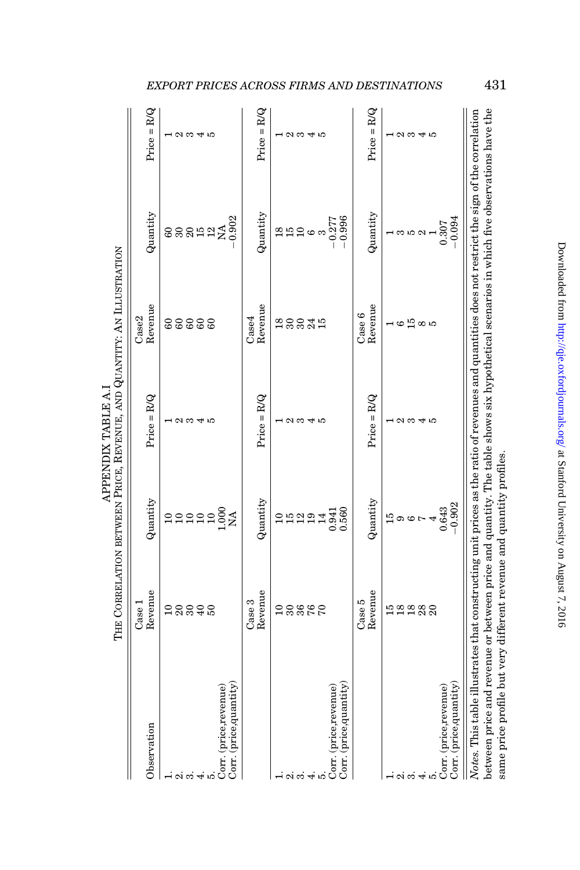|                                                                                                                                                                                    |                   |                                                        | THE CORRELATION BETWEEN PRICE, REVENUE, AND QUANTITY: AN ILLUSTRATION |                               |                                                            |                     |
|------------------------------------------------------------------------------------------------------------------------------------------------------------------------------------|-------------------|--------------------------------------------------------|-----------------------------------------------------------------------|-------------------------------|------------------------------------------------------------|---------------------|
| Observation                                                                                                                                                                        | Revenue<br>Case 1 | Quantity                                               | $Price = RQ$                                                          | Revenue<br>Case <sub>2</sub>  | Quantity                                                   | Price = $R/Q$       |
| ∔လံက                                                                                                                                                                               | <b>28845</b>      |                                                        | S                                                                     | 88888                         |                                                            | $\sim$              |
| Corr. (price,quantity)<br>Corr. (price, revenue)                                                                                                                                   |                   | 2222200X                                               |                                                                       |                               | ទី<br>ទីក្នុង ដូច ទី                                       | LC)                 |
|                                                                                                                                                                                    | Revenue<br>Case 3 | Quantity                                               | $Price = RQ$                                                          | Case4<br>Revenue              | Quantity                                                   | $Price = R/Q$       |
| $\begin{array}{c} \textrm{Corr.} \left( \textrm{price,} \textrm{queue} \right) \ \textrm{Corr.} \left( \textrm{price,} \textrm{quantity} \right) \end{array}$<br>$\sim$<br>4.<br>ю | 323865            | 09500<br>1991<br>0950<br>00500                         | S                                                                     | 22234                         | $-0.277$<br>$\frac{80}{11}$ $\frac{10}{10}$ $\frac{6}{10}$ | ന                   |
|                                                                                                                                                                                    | Revenue<br>Case 5 | Quantity                                               | $Price = RQ$                                                          | Case 6<br>Revenue             | Quantity                                                   | $Price = R/Q$       |
| Corr. (price,quantity)<br>Corr. (price,revenue)<br>்வ்ல்<br>4. ro                                                                                                                  | 158888            | $-0.902$<br>0.643<br>$\frac{15}{10}$ o $\frac{15}{11}$ | က<br>4                                                                | $\frac{6}{10}$ $\frac{6}{10}$ | $0.307$<br>-0.307<br>$\frac{3}{2}$                         | ന<br>4 ro<br>$\sim$ |
| Notes. This table illustrates that constructing unit prices as the ratio of revenues and quantities does not restrict the sign of the correlation                                  |                   |                                                        |                                                                       |                               |                                                            |                     |

 ILLUSTRATIO NUANTITY: A  $\zeta$ APPENDIX TABLE A.I APPENDIX TABLE A.I PRICE, REVENUE, AND  $\frac{1}{2}$ HE CORRELATION BETWEEN

between price and revenue or between price and quantity. The table shows six hypothetical scenarios in which five observations have the between price and revenue or between price and quantity. The table shows six hypothetical scenarios in which five observations have the same price profile but very different revenue and quantity profiles. same price profile but very different revenue and quantity profiles.

## *EXPORT PRICES ACROSS FIRMS AND DESTINATIONS* 431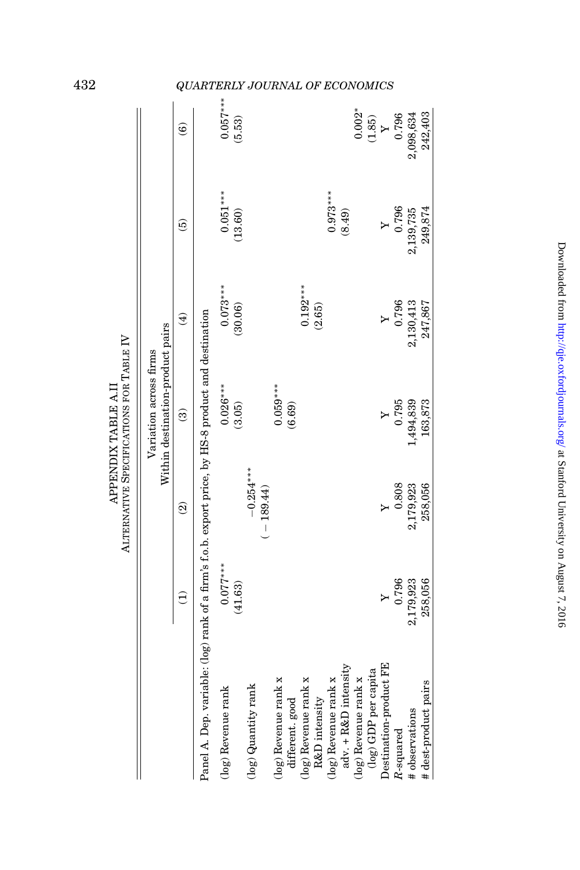|                                                                                                     |                       |                            | Within destination-product pairs<br>Variation across firms |                       |                       |                      |
|-----------------------------------------------------------------------------------------------------|-----------------------|----------------------------|------------------------------------------------------------|-----------------------|-----------------------|----------------------|
|                                                                                                     |                       | $\widehat{\mathfrak{D}}$   | $\widehat{\mathbf{e}}$                                     | $\widehat{E}$         | $\widehat{e}$         | ම                    |
| Panel A. Dep. variable: (log) rank of a firm's f.o.b. export price, by HS-8 product and destination |                       |                            |                                                            |                       |                       |                      |
| (log) Revenue rank                                                                                  | $0.077***$<br>(41.63) |                            | $0.026***$<br>(3.05)                                       | $0.073***$<br>(30.06) | $0.051***$<br>(13.60) | $0.057***$<br>(5.53) |
| (log) Quantity rank                                                                                 |                       | $-0.254***$<br>$(-189.44)$ |                                                            |                       |                       |                      |
| (log) Revenue rank x<br>different. good                                                             |                       |                            | $0.059***$<br>(6.69)                                       |                       |                       |                      |
| (log) Revenue rank x<br>R&D intensity                                                               |                       |                            |                                                            | $0.192***$<br>(2.65)  |                       |                      |
| $adv. + R&D$ intensity<br>(log) Revenue rank x                                                      |                       |                            |                                                            |                       | $0.973***$<br>(8.49)  |                      |
| (log) Revenue rank x                                                                                |                       |                            |                                                            |                       |                       | $0.002*$             |
| Destination-product FE<br>(log) GDP per capita                                                      |                       |                            |                                                            |                       |                       | $\frac{1.85}{Y}$     |
| R-squared                                                                                           | 0.796                 | 0.808                      | 0.795                                                      | 0.796                 | 0.796                 | 0.796                |
| # observations                                                                                      | 2,179,923             | 2,179,923                  | 1,494,839                                                  | 2,130,413             | 2,139,735             | 2,098,634            |
| # dest-product pairs                                                                                | 258,056               | 258,056                    | 163,873                                                    | 247,867               | 249,874               | 242,403              |

APPENDIX TABLE A.II ALTERNATIVE SPECIFICATIONS FOR TABLE IV

# 432 *QUARTERLY JOURNAL OF ECONOMICS*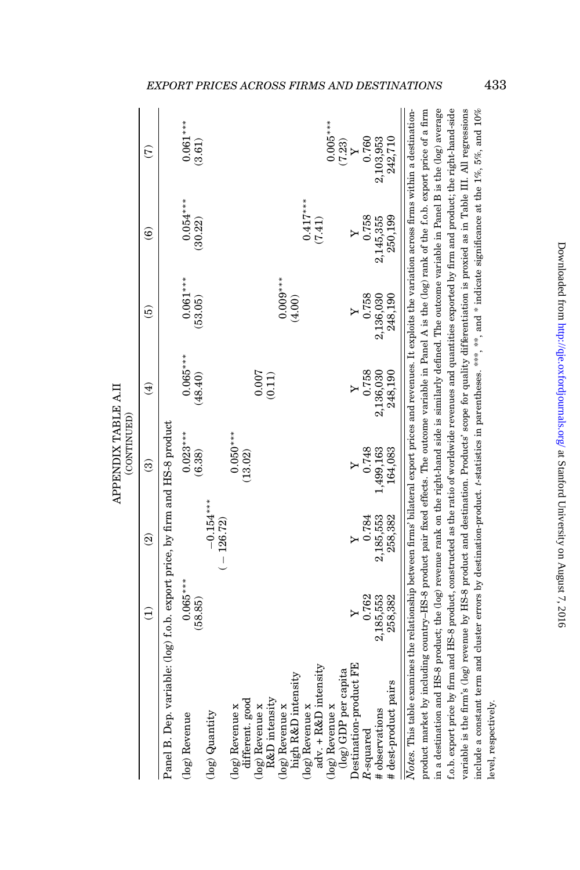|                                                                                                                                                                                                                                                                                                                                                                                                                                                                                             |                       |                          | APPENDIX TABLE A.II<br>(CONTINUED) |                          |                       |                        |                                                          |
|---------------------------------------------------------------------------------------------------------------------------------------------------------------------------------------------------------------------------------------------------------------------------------------------------------------------------------------------------------------------------------------------------------------------------------------------------------------------------------------------|-----------------------|--------------------------|------------------------------------|--------------------------|-----------------------|------------------------|----------------------------------------------------------|
|                                                                                                                                                                                                                                                                                                                                                                                                                                                                                             | $\widehat{\Xi}$       | $\widehat{\mathfrak{D}}$ | $\widehat{\mathbf{e}}$             | $\widehat{\mathfrak{A}}$ | $\widehat{5}$         | $\widehat{\mathbf{e}}$ | $\widehat{L}$                                            |
| Panel B. Dep. variable: (log) f.o.b. export price, by firm and HS-8 product                                                                                                                                                                                                                                                                                                                                                                                                                 |                       |                          |                                    |                          |                       |                        |                                                          |
| (log) Revenue                                                                                                                                                                                                                                                                                                                                                                                                                                                                               | $0.065***$<br>(58.85) |                          | $0.023***$<br>(6.38)               | $0.065***$<br>(48.40)    | $0.061***$<br>(53.05) | $0.054***$<br>(30.22)  | $0.061***$<br>(3.61)                                     |
| (log) Quantity                                                                                                                                                                                                                                                                                                                                                                                                                                                                              |                       | $-0.154***$<br>$-126.72$ |                                    |                          |                       |                        |                                                          |
| different. good<br>(log) Revenue x                                                                                                                                                                                                                                                                                                                                                                                                                                                          |                       |                          | $0.050***$<br>(13.02)              |                          |                       |                        |                                                          |
| (log) Revenue x                                                                                                                                                                                                                                                                                                                                                                                                                                                                             |                       |                          |                                    | 0.007                    |                       |                        |                                                          |
| R&D intensity                                                                                                                                                                                                                                                                                                                                                                                                                                                                               |                       |                          |                                    | (0.11)                   |                       |                        |                                                          |
| (log) Revenue x                                                                                                                                                                                                                                                                                                                                                                                                                                                                             |                       |                          |                                    |                          | $0.009***$            |                        |                                                          |
| high R&D intensity                                                                                                                                                                                                                                                                                                                                                                                                                                                                          |                       |                          |                                    |                          | (4.00)                |                        |                                                          |
| (log) Revenue x                                                                                                                                                                                                                                                                                                                                                                                                                                                                             |                       |                          |                                    |                          |                       | $0.417***$             |                                                          |
| adv. + R&D intensity                                                                                                                                                                                                                                                                                                                                                                                                                                                                        |                       |                          |                                    |                          |                       | (7.41)                 |                                                          |
| (log) Revenue x                                                                                                                                                                                                                                                                                                                                                                                                                                                                             |                       |                          |                                    |                          |                       |                        |                                                          |
| Destination-product FE<br>(log) GDP per capita                                                                                                                                                                                                                                                                                                                                                                                                                                              |                       |                          |                                    |                          |                       |                        | $\begin{array}{c} 0.005*** \ (7.23) \ V \ Y \end{array}$ |
| R-squared                                                                                                                                                                                                                                                                                                                                                                                                                                                                                   | 0.762                 | 0.784                    | 0.748                              | 0.758                    | 0.758                 | 0.758                  | 0.760                                                    |
| # observations                                                                                                                                                                                                                                                                                                                                                                                                                                                                              | 2,185,553             | 2,185,553                | 1,499,163                          | 2,136,030                | 2,136,030             | 2,145,355              | 2,103,953                                                |
| # dest-product pairs                                                                                                                                                                                                                                                                                                                                                                                                                                                                        | 258,382               | 258,382                  | 164,083                            | 248,190                  | 248,190               | 250,199                | 242,710                                                  |
| Notes. This table examines the relationship between firms' bilateral export prices and revenues. It exploits the variation across firms within a destination-<br>in a destination and HS-8 product; the (log) revenue rank on the right-hand side is similarly defined. The outcome variable in Panel B is the (log) average<br>product market by including country–H3-8 product pair fixed effects. The outcome variable in Panel A is the (log) rank of the f.o.b. export price of a firm |                       |                          |                                    |                          |                       |                        |                                                          |
|                                                                                                                                                                                                                                                                                                                                                                                                                                                                                             |                       |                          |                                    |                          |                       |                        |                                                          |

in a destination and HS-8 product; the (log) revenue rank on the right-hand side is similarly defined. The outcome variable in Panel B is the (log) average f.o.b. export price by firm and HS-8 product, constructed as the ratioof worldwide revenues and quantities exported by firm and product; the right-hand-side variable is the firm's (log) revenue by HS-8 product and destination. Products' scope for quality differentiation is proxied as in Table III. All regressions include a constant term and cluster errors by destination-product. *t*-statistics in parentheses. \*\*\*, \*\*, and \* indicate significance at the 1%, 5%, and 10%

 $f \circ h$ . export price by firm and HS-8 product, constructed as the ratio of worldwide revenues and quantities exported by firm and product; the right-hand-side

variable is the firm's (log) revenue by HS-8 product and destination. Products' scope for quality differentiation is proxied as in Table III. All regressions include a constant term and cluster errors by destination-product. t-statistics in parentheses. \*\*\*, \*\*, and \* indicate significance at the 1%,  $5\%$ , and  $10\%$ 

level, respectively.

level, respectively.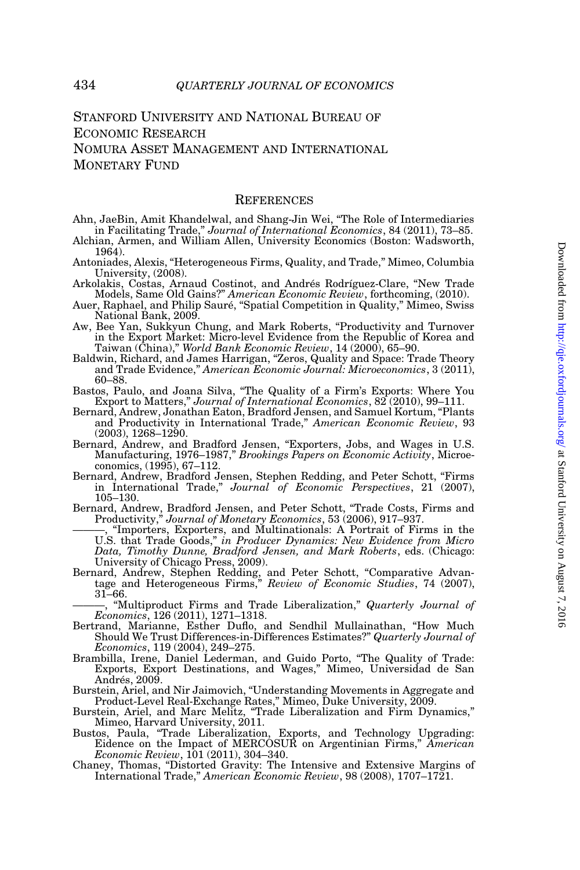### <span id="page-55-0"></span>STANFORD UNIVERSITY AND NATIONAL BUREAU OF ECONOMIC RESEARCH NOMURA ASSET MANAGEMENT AND INTERNATIONAL MONETARY FUND

#### **REFERENCES**

Ahn, JaeBin, Amit Khandelwal, and Shang-Jin Wei, "The Role of Intermediaries in Facilitating Trade," *Journal of International Economics*, 84 (2011), 73–85.

- Alchian, Armen, and William Allen, University Economics (Boston: Wadsworth, 1964).
- Antoniades, Alexis, "Heterogeneous Firms, Quality, andTrade,"Mimeo, Columbia University, (2008).
- Arkolakis, Costas, Arnaud Costinot, and Andrés Rodríguez-Clare, "New Trade Models, Same Old Gains?" *American Economic Review*, forthcoming, (2010).
- Auer, Raphael, and Philip Sauré, "Spatial Competition in Quality," Mimeo, Swiss National Bank, 2009.
- Aw, Bee Yan, Sukkyun Chung, and Mark Roberts, "Productivity and Turnover in the Export Market: Micro-level Evidence from the Republic of Korea and Taiwan (China)," *World Bank Economic Review*, 14 (2000), 65–90.
- Baldwin, Richard, and James Harrigan, "Zeros, Quality and Space: Trade Theory and Trade Evidence," *American Economic Journal: Microeconomics*, 3 (2011), 60–88.
- Bastos, Paulo, and Joana Silva, "The Quality of a Firm's Exports: Where You Export to Matters," *Journal of International Economics*, 82 (2010), 99–111.
- Bernard, Andrew, Jonathan Eaton, Bradford Jensen, and Samuel Kortum, "Plants<br>and Productivity in International Trade," *American Economic Review*, 93<br>(2003), 1268–1290.
- Bernard, Andrew, and Bradford Jensen, "Exporters, Jobs, and Wages in U.S. Manufacturing, 1976–1987," *Brookings Papers on Economic Activity*, Microeconomics, (1995), 67–112.
- Bernard, Andrew, Bradford Jensen, Stephen Redding, and Peter Schott, "Firms in International Trade," *Journal of Economic Perspectives*, 21 (2007), 105–130.
- Bernard, Andrew, Bradford Jensen, and Peter Schott, "Trade Costs, Firms and Productivity," *Journal of Monetary Economics*, 53 (2006), 917–937.
- ---------, "Importers, Exporters, and Multinationals: A Portrait of Firms in the U.S. that Trade Goods," in Producer Dynamics: New Evidence from Micro Data, Timothy Dunne, Bradford Jensen, and Mark Roberts, eds. (Chicago:
- University of Chicago Press, 2009). Bernard, Andrew, Stephen Redding, and Peter Schott, "Comparative Advan-tage and Heterogeneous Firms," *Review of Economic Studies*, 74 (2007), 31–66.

———, "Multiproduct Firms and Trade Liberalization," *Quarterly Journal of Economics*, 126 (2011), 1271–1318.

- Bertrand, Marianne, Esther Duflo, and Sendhil Mullainathan, "How Much Should We Trust Differences-in-Differences Estimates?" *Quarterly Journal of Economics*, 119 (2004), 249–275.
- Brambilla, Irene, Daniel Lederman, and Guido Porto, "The Quality of Trade: Exports, Export Destinations, and Wages," Mimeo, Universidad de San Andrés, 2009.
- Burstein, Ariel, and Nir Jaimovich, "Understanding Movements in Aggregate and Product-Level Real-Exchange Rates," Mimeo, Duke University, 2009. Burstein, Ariel, and Marc Melitz, "Trade Liberalization and Firm Dynamics,"
- Mimeo, Harvard University, 2011.
- Bustos, Paula, "Trade Liberalization, Exports, and Technology Upgrading: Eidence on the Impact of MERCOSUR on Argentinian Firms," *American Economic Review*, 101 (2011), 304–340.
- Chaney, Thomas, "Distorted Gravity: The Intensive and Extensive Margins of International Trade," *American Economic Review*, 98 (2008), 1707–1721.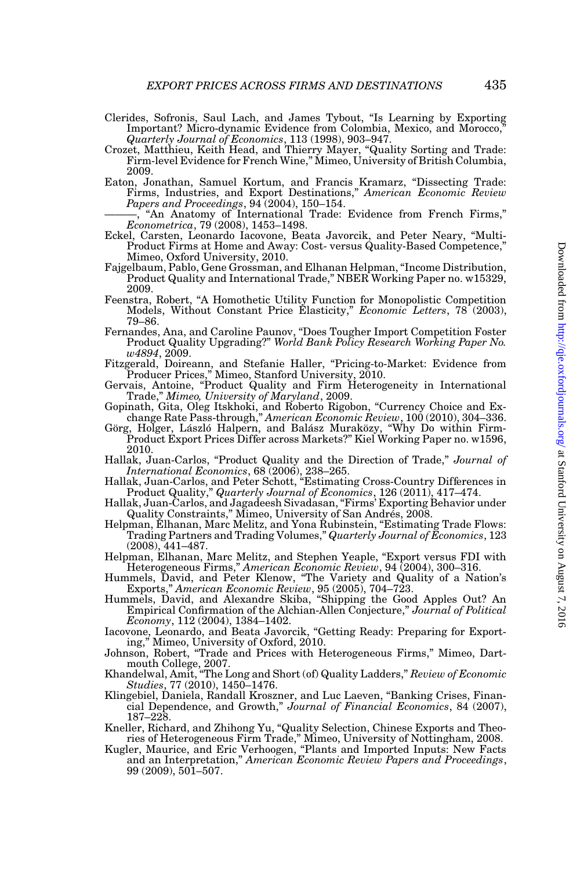- <span id="page-56-0"></span>Clerides, Sofronis, Saul Lach, and James Tybout, "Is Learning by Exporting Important? Micro-dynamic Evidence from Colombia, Mexico, and Morocco,"
- *Quarterly Journal of Economics*, 113 (1998), 903–947. Crozet, Matthieu, Keith Head, and Thierry Mayer, "Quality Sorting and Trade: Firm-level EvidenceforFrenchWine,"Mimeo, UniversityofBritishColumbia, 2009.
- Eaton, Jonathan, Samuel Kortum, and Francis Kramarz, "Dissecting Trade: Firms, Industries, and Export Destinations," *American Economic Review Papers and Proceedings*, 94 (2004), 150–154.
	- ———, "An Anatomy of International Trade: Evidence from French Firms," *Econometrica*, 79 (2008), 1453–1498.
- Eckel, Carsten, Leonardo Iacovone, Beata Javorcik, and Peter Neary, "Multi-Product Firms at Home and Away: Cost- versus Quality-Based Competence," Mimeo, Oxford University, 2010.
- Fajgelbaum, Pablo, Gene Grossman, and Elhanan Helpman, "Income Distribution, Product Quality and International Trade,"  $NBER$  Working Paper no. w15329, 2009.
- Feenstra, Robert, "A Homothetic Utility Function for Monopolistic Competition Models, Without Constant Price Elasticity," *Economic Letters*, 78 (2003), 79–86.
- Fernandes, Ana, and Caroline Paunov, "Does Tougher Import Competition Foster Product Quality Upgrading?" *World Bank Policy Research Working Paper No. w4894*, 2009.
- Fitzgerald, Doireann, and Stefanie Haller, "Pricing-to-Market: Evidence from Producer Prices," Mimeo, Stanford University, 2010.
- Gervais, Antoine, "Product Quality and Firm Heterogeneity in International Trade," *Mimeo, University of Maryland*, 2009.
- Gopinath, Gita, Oleg Itskhoki, and Roberto Rigobon, "Currency Choice and Exchange Rate Pass-through," American Economic Review, 100 (2010), 304–336.<br>Görg, Holger, László Halpern, and Balász Muraközy, "Why Do within Firm-
- Product Export Prices Differ across Markets?"Kiel Working Paper no. w1596, 2010.
- Hallak, Juan-Carlos, "Product Quality and the Direction of Trade," *Journal of*
- International Economics, 68 (2006), 238–265.<br>Hallak, Juan-Carlos, and Peter Schott, "Estimating Cross-Country Differences in<br>Product Quality," *Quarterly Journal of Economics*, 126 (2011), 417–474.<br>Hallak, Juan-Carlos, and
- Quality Constraints," Mimeo, University of San Andrés, 2008.
- Helpman, Elhanan, Marc Melitz, and Yona Rubinstein, "Estimating Trade Flows: TradingPartners andTradingVolumes,"*Quarterly Journal of Economics*, 123 (2008), 441–487.
- Helpman, Elhanan, Marc Melitz, and Stephen Yeaple, "Export versus FDI with Heterogeneous Firms," *American Economic Review*, 94 (2004), 300–316.
- Hummels, David, and Peter Klenow, "The Variety and Quality of a Nation's Exports," *American Economic Review*, 95 (2005), 704–723. Hummels, David, and Alexandre Skiba, "Shipping the Good Apples Out? An
- Empirical Confirmation of the Alchian-Allen Conjecture," *Journal of Political Economy*, 112 (2004), 1384–1402.
- Iacovone, Leonardo, and Beata Javorcik, "Getting Ready: Preparing for Export-ing," Mimeo, University of Oxford, 2010.
- Johnson, Robert, "Trade and Prices with Heterogeneous Firms," Mimeo, Dartmouth College, 2007. Khandelwal, Amit, "TheLongandShort (of) QualityLadders," *Review of Economic*
- *Studies*, 77 (2010), 1450–1476.
- Klingebiel, Daniela, Randall Kroszner, and Luc Laeven, "Banking Crises, Finan-cial Dependence, and Growth," *Journal of Financial Economics*, 84 (2007), 187–228.
- Kneller, Richard, and Zhihong Yu, "Quality Selection, Chinese Exports and Theories of Heterogeneous Firm Trade," Mimeo, University of Nottingham, 2008.
- Kugler, Maurice, and Eric Verhoogen, "Plants and Imported Inputs: New Facts and an Interpretation," *American Economic Review Papers and Proceedings*, 99 (2009), 501–507.